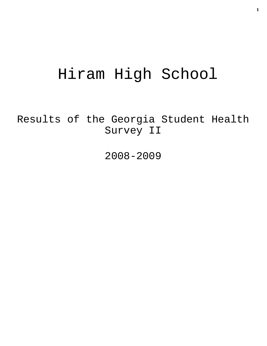# Hiram High School

Results of the Georgia Student Health Survey II

2008-2009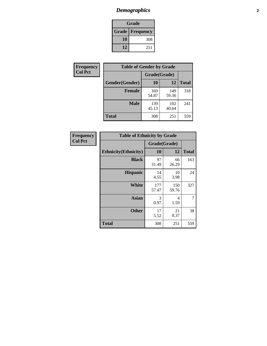# *Demographics* **2**

| Grade                    |     |  |  |  |
|--------------------------|-----|--|--|--|
| <b>Grade   Frequency</b> |     |  |  |  |
| 10                       | 308 |  |  |  |
| 12<br>251                |     |  |  |  |

| Frequency      | <b>Table of Gender by Grade</b> |              |              |              |  |  |
|----------------|---------------------------------|--------------|--------------|--------------|--|--|
| <b>Col Pct</b> |                                 | Grade(Grade) |              |              |  |  |
|                | Gender(Gender)                  | 10           | 12           | <b>Total</b> |  |  |
|                | <b>Female</b>                   | 169<br>54.87 | 149<br>59.36 | 318          |  |  |
|                | <b>Male</b>                     | 139<br>45.13 | 102<br>40.64 | 241          |  |  |
|                | <b>Total</b>                    | 308          | 251          | 559          |  |  |

| <b>Frequency</b><br>Col Pct |
|-----------------------------|

| <b>Table of Ethnicity by Grade</b> |              |              |              |  |  |  |
|------------------------------------|--------------|--------------|--------------|--|--|--|
|                                    | Grade(Grade) |              |              |  |  |  |
| <b>Ethnicity</b> (Ethnicity)       | 10           | 12           | <b>Total</b> |  |  |  |
| <b>Black</b>                       | 97<br>31.49  | 66<br>26.29  | 163          |  |  |  |
| <b>Hispanic</b>                    | 14<br>4.55   | 10<br>3.98   | 24           |  |  |  |
| <b>White</b>                       | 177<br>57.47 | 150<br>59.76 | 327          |  |  |  |
| <b>Asian</b>                       | 3<br>0.97    | 4<br>1.59    | 7            |  |  |  |
| <b>Other</b>                       | 17<br>5.52   | 21<br>8.37   | 38           |  |  |  |
| <b>Total</b>                       | 308          | 251          | 559          |  |  |  |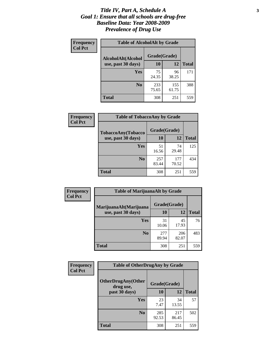#### *Title IV, Part A, Schedule A* **3** *Goal 1: Ensure that all schools are drug-free Baseline Data: Year 2008-2009 Prevalence of Drug Use*

| Frequency<br><b>Col Pct</b> | <b>Table of AlcoholAlt by Grade</b> |              |              |              |  |  |
|-----------------------------|-------------------------------------|--------------|--------------|--------------|--|--|
|                             | AlcoholAlt(Alcohol                  | Grade(Grade) |              |              |  |  |
|                             | use, past 30 days)                  | <b>10</b>    | 12           | <b>Total</b> |  |  |
|                             | Yes                                 | 75<br>24.35  | 96<br>38.25  | 171          |  |  |
|                             | N <sub>0</sub>                      | 233<br>75.65 | 155<br>61.75 | 388          |  |  |
|                             | Total                               | 308          | 251          | 559          |  |  |

| Frequency      | <b>Table of TobaccoAny by Grade</b> |              |              |              |  |
|----------------|-------------------------------------|--------------|--------------|--------------|--|
| <b>Col Pct</b> | TobaccoAny(Tobacco                  | Grade(Grade) |              |              |  |
|                | use, past 30 days)                  | <b>10</b>    | 12           | <b>Total</b> |  |
|                | Yes                                 | 51<br>16.56  | 74<br>29.48  | 125          |  |
|                | N <sub>0</sub>                      | 257<br>83.44 | 177<br>70.52 | 434          |  |
|                | Total                               | 308          | 251          | 559          |  |

| Frequency      | <b>Table of MarijuanaAlt by Grade</b> |              |              |              |  |
|----------------|---------------------------------------|--------------|--------------|--------------|--|
| <b>Col Pct</b> | MarijuanaAlt(Marijuana                | Grade(Grade) |              |              |  |
|                | use, past 30 days)                    | 10           | 12           | <b>Total</b> |  |
|                | <b>Yes</b>                            | 31<br>10.06  | 45<br>17.93  | 76           |  |
|                | N <sub>0</sub>                        | 277<br>89.94 | 206<br>82.07 | 483          |  |
|                | <b>Total</b>                          | 308          | 251          | 559          |  |

| <b>Frequency</b> | <b>Table of OtherDrugAny by Grade</b>  |              |              |              |  |
|------------------|----------------------------------------|--------------|--------------|--------------|--|
| <b>Col Pct</b>   | <b>OtherDrugAny(Other</b><br>drug use, | Grade(Grade) |              |              |  |
|                  | past 30 days)                          | 10           | 12           | <b>Total</b> |  |
|                  | Yes                                    | 23<br>7.47   | 34<br>13.55  | 57           |  |
|                  | N <sub>0</sub>                         | 285<br>92.53 | 217<br>86.45 | 502          |  |
|                  | <b>Total</b>                           | 308          | 251          | 559          |  |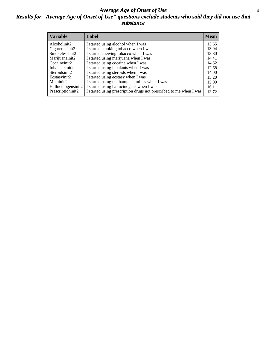#### *Average Age of Onset of Use* **4** *Results for "Average Age of Onset of Use" questions exclude students who said they did not use that substance*

| <b>Variable</b>    | Label                                                              | <b>Mean</b> |
|--------------------|--------------------------------------------------------------------|-------------|
| Alcoholinit2       | I started using alcohol when I was                                 | 13.65       |
| Cigarettesinit2    | I started smoking tobacco when I was                               | 13.94       |
| Smokelessinit2     | I started chewing tobacco when I was                               | 13.80       |
| Marijuanainit2     | I started using marijuana when I was                               | 14.41       |
| Cocaineinit2       | I started using cocaine when I was                                 | 14.52       |
| Inhalantsinit2     | I started using inhalants when I was                               | 12.68       |
| Steroidsinit2      | I started using steroids when I was                                | 14.00       |
| Ecstasyinit2       | I started using ecstasy when I was                                 | 15.20       |
| Methinit2          | I started using methamphetamines when I was                        | 15.00       |
| Hallucinogensinit2 | I started using hallucinogens when I was                           | 16.11       |
| Prescriptioninit2  | I started using prescription drugs not prescribed to me when I was | 13.72       |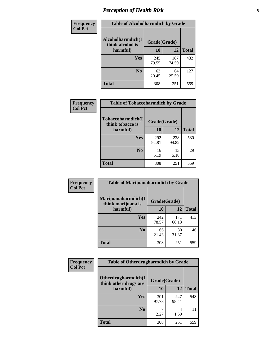# *Perception of Health Risk* **5**

| Frequency      | <b>Table of Alcoholharmdich by Grade</b> |              |              |              |
|----------------|------------------------------------------|--------------|--------------|--------------|
| <b>Col Pct</b> | Alcoholharmdich(I<br>think alcohol is    | Grade(Grade) |              |              |
|                | harmful)                                 | 10           | 12           | <b>Total</b> |
|                | <b>Yes</b>                               | 245<br>79.55 | 187<br>74.50 | 432          |
|                | N <sub>0</sub>                           | 63<br>20.45  | 64<br>25.50  | 127          |
|                | <b>Total</b>                             | 308          | 251          | 559          |

| Frequency      | <b>Table of Tobaccoharmdich by Grade</b> |              |              |              |  |
|----------------|------------------------------------------|--------------|--------------|--------------|--|
| <b>Col Pct</b> | Tobaccoharmdich(I<br>think tobacco is    | Grade(Grade) |              |              |  |
|                | harmful)                                 | 10           | 12           | <b>Total</b> |  |
|                | Yes                                      | 292<br>94.81 | 238<br>94.82 | 530          |  |
|                | N <sub>0</sub>                           | 16<br>5.19   | 13<br>5.18   | 29           |  |
|                | <b>Total</b>                             | 308          | 251          | 559          |  |

| <b>Frequency</b> | <b>Table of Marijuanaharmdich by Grade</b> |              |              |              |  |  |
|------------------|--------------------------------------------|--------------|--------------|--------------|--|--|
| <b>Col Pct</b>   | Marijuanaharmdich(I<br>think marijuana is  | Grade(Grade) |              |              |  |  |
|                  | harmful)                                   | 10           | 12           | <b>Total</b> |  |  |
|                  | <b>Yes</b>                                 | 242<br>78.57 | 171<br>68.13 | 413          |  |  |
|                  | N <sub>0</sub>                             | 66<br>21.43  | 80<br>31.87  | 146          |  |  |
|                  | <b>Total</b>                               | 308          | 251          | 559          |  |  |

| Frequency      | <b>Table of Otherdrugharmdich by Grade</b>   |              |              |              |  |  |  |  |
|----------------|----------------------------------------------|--------------|--------------|--------------|--|--|--|--|
| <b>Col Pct</b> | Otherdrugharmdich(I<br>think other drugs are | Grade(Grade) |              |              |  |  |  |  |
|                | harmful)                                     | 10           | <b>12</b>    | <b>Total</b> |  |  |  |  |
|                | Yes                                          | 301<br>97.73 | 247<br>98.41 | 548          |  |  |  |  |
|                | N <sub>0</sub>                               | 2.27         | 4<br>1.59    | 11           |  |  |  |  |
|                | <b>Total</b>                                 | 308          | 251          | 559          |  |  |  |  |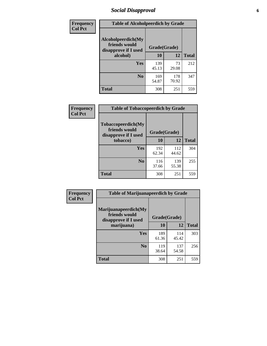# *Social Disapproval* **6**

| Frequency      | <b>Table of Alcoholpeerdich by Grade</b>                    |              |              |     |
|----------------|-------------------------------------------------------------|--------------|--------------|-----|
| <b>Col Pct</b> | Alcoholpeerdich(My<br>friends would<br>disapprove if I used | Grade(Grade) |              |     |
|                | alcohol)                                                    | 10           | <b>Total</b> |     |
|                | <b>Yes</b>                                                  | 139<br>45.13 | 73<br>29.08  | 212 |
|                | N <sub>0</sub>                                              | 169<br>54.87 | 178<br>70.92 | 347 |
|                | <b>Total</b>                                                | 308          | 251          | 559 |

| <b>Frequency</b> |
|------------------|
| <b>Col Pct</b>   |

| <b>Table of Tobaccopeerdich by Grade</b>                    |              |              |              |  |  |  |  |
|-------------------------------------------------------------|--------------|--------------|--------------|--|--|--|--|
| Tobaccopeerdich(My<br>friends would<br>disapprove if I used | Grade(Grade) |              |              |  |  |  |  |
| tobacco)                                                    | 10           | 12           | <b>Total</b> |  |  |  |  |
| Yes                                                         | 192<br>62.34 | 112<br>44.62 | 304          |  |  |  |  |
|                                                             |              |              |              |  |  |  |  |
| N <sub>0</sub>                                              | 116          | 139          | 255          |  |  |  |  |
|                                                             | 37.66        | 55.38        |              |  |  |  |  |
| <b>Total</b>                                                | 308          | 251          | 559          |  |  |  |  |

| <b>Frequency</b> | <b>Table of Marijuanapeerdich by Grade</b>                    |              |              |              |  |  |  |  |
|------------------|---------------------------------------------------------------|--------------|--------------|--------------|--|--|--|--|
| <b>Col Pct</b>   | Marijuanapeerdich(My<br>friends would<br>disapprove if I used | Grade(Grade) |              |              |  |  |  |  |
|                  | marijuana)                                                    | 10           | 12           | <b>Total</b> |  |  |  |  |
|                  | <b>Yes</b>                                                    | 189<br>61.36 | 114<br>45.42 | 303          |  |  |  |  |
|                  | N <sub>0</sub>                                                | 119<br>38.64 | 137<br>54.58 | 256          |  |  |  |  |
|                  | <b>Total</b>                                                  | 308          | 251          | 559          |  |  |  |  |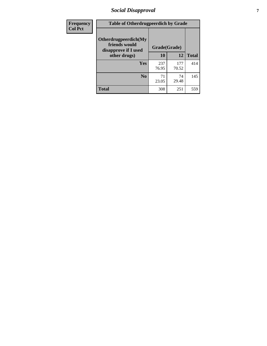# *Social Disapproval* **7**

| Frequency      | <b>Table of Otherdrugpeerdich by Grade</b>                    |              |              |              |  |  |  |  |
|----------------|---------------------------------------------------------------|--------------|--------------|--------------|--|--|--|--|
| <b>Col Pct</b> | Otherdrugpeerdich(My<br>friends would<br>disapprove if I used | Grade(Grade) |              |              |  |  |  |  |
|                | other drugs)                                                  | 10           | 12           | <b>Total</b> |  |  |  |  |
|                | <b>Yes</b>                                                    | 237<br>76.95 | 177<br>70.52 | 414          |  |  |  |  |
|                | N <sub>0</sub>                                                | 71<br>23.05  | 74<br>29.48  | 145          |  |  |  |  |
|                | <b>Total</b>                                                  | 308          | 251          | 559          |  |  |  |  |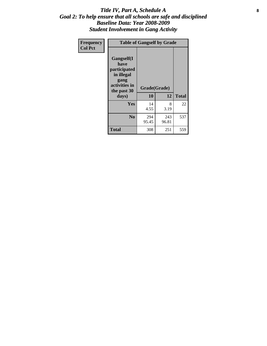#### Title IV, Part A, Schedule A **8** *Goal 2: To help ensure that all schools are safe and disciplined Baseline Data: Year 2008-2009 Student Involvement in Gang Activity*

| Frequency      | <b>Table of Gangself by Grade</b>                                                                 |                    |              |              |
|----------------|---------------------------------------------------------------------------------------------------|--------------------|--------------|--------------|
| <b>Col Pct</b> | Gangself(I<br>have<br>participated<br>in illegal<br>gang<br>activities in<br>the past 30<br>days) | Grade(Grade)<br>10 | 12           | <b>Total</b> |
|                | Yes                                                                                               | 14<br>4.55         | 8<br>3.19    | 22           |
|                | N <sub>0</sub>                                                                                    | 294<br>95.45       | 243<br>96.81 | 537          |
|                | <b>Total</b>                                                                                      | 308                | 251          | 559          |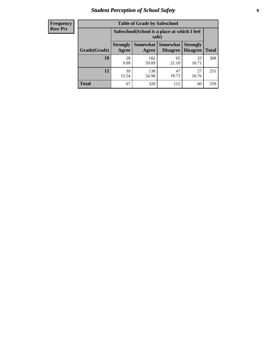# *Student Perception of School Safety* **9**

| <b>Frequency</b><br>Row Pct |
|-----------------------------|
|                             |

| <b>Table of Grade by Safeschool</b> |                                                                                                                                    |                                                        |             |             |     |  |  |  |
|-------------------------------------|------------------------------------------------------------------------------------------------------------------------------------|--------------------------------------------------------|-------------|-------------|-----|--|--|--|
|                                     |                                                                                                                                    | Safeschool (School is a place at which I feel<br>safe) |             |             |     |  |  |  |
| Grade(Grade)                        | <b>Somewhat</b><br>Somewhat<br><b>Strongly</b><br><b>Strongly</b><br><b>Disagree</b><br>Agree<br>Disagree<br><b>Total</b><br>Agree |                                                        |             |             |     |  |  |  |
| 10                                  | 28<br>9.09                                                                                                                         | 182<br>59.09                                           | 65<br>21.10 | 33<br>10.71 | 308 |  |  |  |
| 12                                  | 39<br>15.54                                                                                                                        | 138<br>54.98                                           | 47<br>18.73 | 27<br>10.76 | 251 |  |  |  |
| <b>Total</b>                        | 67                                                                                                                                 | 320                                                    | 112         | 60          | 559 |  |  |  |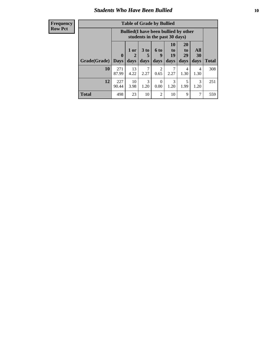### *Students Who Have Been Bullied* **10**

| <b>Frequency</b> |
|------------------|
| Row Pct          |

| <b>Table of Grade by Bullied</b> |                            |                                                                               |                              |                   |                        |                        |                                 |              |
|----------------------------------|----------------------------|-------------------------------------------------------------------------------|------------------------------|-------------------|------------------------|------------------------|---------------------------------|--------------|
|                                  |                            | <b>Bullied</b> (I have been bullied by other<br>students in the past 30 days) |                              |                   |                        |                        |                                 |              |
| Grade(Grade)                     | $\mathbf 0$<br><b>Days</b> | 1 or<br>2<br>days                                                             | 3 <sub>to</sub><br>5<br>days | 6 to<br>9<br>days | 10<br>to<br>19<br>days | 20<br>to<br>29<br>days | <b>All</b><br><b>30</b><br>days | <b>Total</b> |
| 10                               | 271<br>87.99               | 13<br>4.22                                                                    | 7<br>2.27                    | 2<br>0.65         | 2.27                   | 4<br>1.30              | 4<br>1.30                       | 308          |
| 12                               | 227<br>90.44               | 10<br>3.98                                                                    | 3<br>1.20                    | 0<br>0.00         | 3<br>1.20              | 5<br>1.99              | 3<br>1.20                       | 251          |
| Total                            | 498                        | 23                                                                            | 10                           | $\overline{2}$    | 10                     | 9                      | 7                               | 559          |

 $\blacksquare$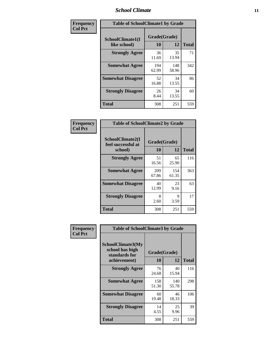### *School Climate* **11**

| Frequency      | <b>Table of SchoolClimate1 by Grade</b> |                    |              |              |  |  |  |
|----------------|-----------------------------------------|--------------------|--------------|--------------|--|--|--|
| <b>Col Pct</b> | SchoolClimate1(I<br>like school)        | Grade(Grade)<br>10 | 12           | <b>Total</b> |  |  |  |
|                | <b>Strongly Agree</b>                   | 36<br>11.69        | 35<br>13.94  | 71           |  |  |  |
|                | <b>Somewhat Agree</b>                   | 194<br>62.99       | 148<br>58.96 | 342          |  |  |  |
|                | <b>Somewhat Disagree</b>                | 52<br>16.88        | 34<br>13.55  | 86           |  |  |  |
|                | <b>Strongly Disagree</b>                | 26<br>8.44         | 34<br>13.55  | 60           |  |  |  |
|                | Total                                   | 308                | 251          | 559          |  |  |  |

| <b>Frequency</b> | <b>Table of SchoolClimate2 by Grade</b>           |                    |              |              |
|------------------|---------------------------------------------------|--------------------|--------------|--------------|
| <b>Col Pct</b>   | SchoolClimate2(I<br>feel successful at<br>school) | Grade(Grade)<br>10 | 12           | <b>Total</b> |
|                  | <b>Strongly Agree</b>                             | 51<br>16.56        | 65<br>25.90  | 116          |
|                  | <b>Somewhat Agree</b>                             | 209<br>67.86       | 154<br>61.35 | 363          |
|                  | <b>Somewhat Disagree</b>                          | 40<br>12.99        | 23<br>9.16   | 63           |
|                  | <b>Strongly Disagree</b>                          | 8<br>2.60          | 9<br>3.59    | 17           |
|                  | <b>Total</b>                                      | 308                | 251          | 559          |

| Frequency      | <b>Table of SchoolClimate3 by Grade</b>                                      |                           |              |              |
|----------------|------------------------------------------------------------------------------|---------------------------|--------------|--------------|
| <b>Col Pct</b> | <b>SchoolClimate3(My</b><br>school has high<br>standards for<br>achievement) | Grade(Grade)<br><b>10</b> | 12           | <b>Total</b> |
|                |                                                                              |                           |              |              |
|                | <b>Strongly Agree</b>                                                        | 76<br>24.68               | 40<br>15.94  | 116          |
|                | <b>Somewhat Agree</b>                                                        | 158<br>51.30              | 140<br>55.78 | 298          |
|                | <b>Somewhat Disagree</b>                                                     | 60<br>19.48               | 46<br>18.33  | 106          |
|                | <b>Strongly Disagree</b>                                                     | 14<br>4.55                | 25<br>9.96   | 39           |
|                | Total                                                                        | 308                       | 251          | 559          |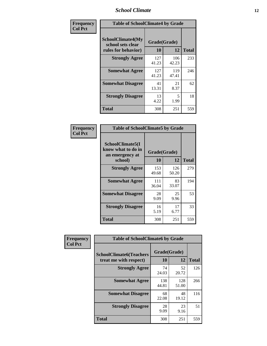### *School Climate* **12**

| Frequency      | <b>Table of SchoolClimate4 by Grade</b>                              |                    |              |              |
|----------------|----------------------------------------------------------------------|--------------------|--------------|--------------|
| <b>Col Pct</b> | <b>SchoolClimate4(My</b><br>school sets clear<br>rules for behavior) | Grade(Grade)<br>10 | 12           | <b>Total</b> |
|                | <b>Strongly Agree</b>                                                | 127<br>41.23       | 106<br>42.23 | 233          |
|                | <b>Somewhat Agree</b>                                                | 127<br>41.23       | 119<br>47.41 | 246          |
|                | <b>Somewhat Disagree</b>                                             | 41<br>13.31        | 21<br>8.37   | 62           |
|                | <b>Strongly Disagree</b>                                             | 13<br>4.22         | 5<br>1.99    | 18           |
|                | Total                                                                | 308                | 251          | 559          |

| <b>Table of SchoolClimate5 by Grade</b>                   |              |              |              |  |  |
|-----------------------------------------------------------|--------------|--------------|--------------|--|--|
| SchoolClimate5(I<br>know what to do in<br>an emergency at | Grade(Grade) |              |              |  |  |
| school)                                                   | 10           | 12           | <b>Total</b> |  |  |
| <b>Strongly Agree</b>                                     | 153<br>49.68 | 126<br>50.20 | 279          |  |  |
| <b>Somewhat Agree</b>                                     | 111<br>36.04 | 83<br>33.07  | 194          |  |  |
| <b>Somewhat Disagree</b>                                  | 28<br>9.09   | 25<br>9.96   | 53           |  |  |
| <b>Strongly Disagree</b>                                  | 16<br>5.19   | 17<br>6.77   | 33           |  |  |
| <b>Total</b>                                              | 308          | 251          | 559          |  |  |

| Frequency      | <b>Table of SchoolClimate6 by Grade</b>                  |                    |              |              |
|----------------|----------------------------------------------------------|--------------------|--------------|--------------|
| <b>Col Pct</b> | <b>SchoolClimate6(Teachers</b><br>treat me with respect) | Grade(Grade)<br>10 | 12           | <b>Total</b> |
|                | <b>Strongly Agree</b>                                    | 74<br>24.03        | 52<br>20.72  | 126          |
|                | <b>Somewhat Agree</b>                                    | 138<br>44.81       | 128<br>51.00 | 266          |
|                | <b>Somewhat Disagree</b>                                 | 68<br>22.08        | 48<br>19.12  | 116          |
|                | <b>Strongly Disagree</b>                                 | 28<br>9.09         | 23<br>9.16   | 51           |
|                | <b>Total</b>                                             | 308                | 251          | 559          |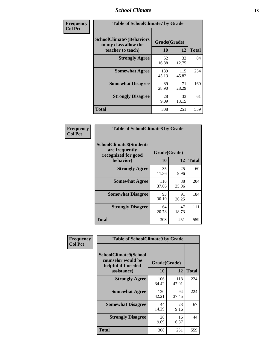### *School Climate* **13**

| Frequency      | <b>Table of SchoolClimate7 by Grade</b>                                       |                           |              |              |
|----------------|-------------------------------------------------------------------------------|---------------------------|--------------|--------------|
| <b>Col Pct</b> | <b>SchoolClimate7(Behaviors</b><br>in my class allow the<br>teacher to teach) | Grade(Grade)<br><b>10</b> | 12           | <b>Total</b> |
|                | <b>Strongly Agree</b>                                                         | 52<br>16.88               | 32<br>12.75  | 84           |
|                | <b>Somewhat Agree</b>                                                         | 139<br>45.13              | 115<br>45.82 | 254          |
|                | <b>Somewhat Disagree</b>                                                      | 89<br>28.90               | 71<br>28.29  | 160          |
|                | <b>Strongly Disagree</b>                                                      | 28<br>9.09                | 33<br>13.15  | 61           |
|                | <b>Total</b>                                                                  | 308                       | 251          | 559          |

| Frequency      | <b>Table of SchoolClimate8 by Grade</b>                                              |                    |             |              |
|----------------|--------------------------------------------------------------------------------------|--------------------|-------------|--------------|
| <b>Col Pct</b> | <b>SchoolClimate8(Students</b><br>are frequently<br>recognized for good<br>behavior) | Grade(Grade)<br>10 | 12          | <b>Total</b> |
|                | <b>Strongly Agree</b>                                                                | 35<br>11.36        | 25<br>9.96  | 60           |
|                | <b>Somewhat Agree</b>                                                                | 116<br>37.66       | 88<br>35.06 | 204          |
|                | <b>Somewhat Disagree</b>                                                             | 93<br>30.19        | 91<br>36.25 | 184          |
|                | <b>Strongly Disagree</b>                                                             | 64<br>20.78        | 47<br>18.73 | 111          |
|                | <b>Total</b>                                                                         | 308                | 251         | 559          |

| Frequency      | <b>Table of SchoolClimate9 by Grade</b>                                                  |                    |              |              |
|----------------|------------------------------------------------------------------------------------------|--------------------|--------------|--------------|
| <b>Col Pct</b> | <b>SchoolClimate9(School</b><br>counselor would be<br>helpful if I needed<br>assistance) | Grade(Grade)<br>10 | 12           | <b>Total</b> |
|                | <b>Strongly Agree</b>                                                                    | 106<br>34.42       | 118<br>47.01 | 224          |
|                | <b>Somewhat Agree</b>                                                                    | 130<br>42.21       | 94<br>37.45  | 224          |
|                | <b>Somewhat Disagree</b>                                                                 | 44<br>14.29        | 23<br>9.16   | 67           |
|                | <b>Strongly Disagree</b>                                                                 | 28<br>9.09         | 16<br>6.37   | 44           |
|                | Total                                                                                    | 308                | 251          | 559          |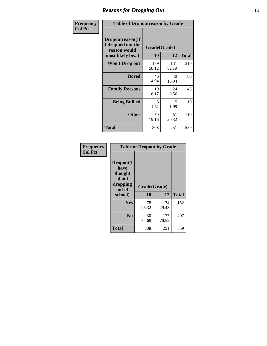### *Reasons for Dropping Out* **14**

| Frequency      | <b>Table of Dropoutreason by Grade</b>                                   |                    |              |              |
|----------------|--------------------------------------------------------------------------|--------------------|--------------|--------------|
| <b>Col Pct</b> | Dropoutreason(If<br>I dropped out the<br>reason would<br>most likely be) | Grade(Grade)<br>10 | 12           | <b>Total</b> |
|                | Won't Drop out                                                           | 179<br>58.12       | 131<br>52.19 | 310          |
|                | <b>Bored</b>                                                             | 46<br>14.94        | 40<br>15.94  | 86           |
|                | <b>Family Reasons</b>                                                    | 19<br>6.17         | 24<br>9.56   | 43           |
|                | <b>Being Bullied</b>                                                     | 5<br>1.62          | 5<br>1.99    | 10           |
|                | <b>Other</b>                                                             | 59<br>19.16        | 51<br>20.32  | 110          |
|                | Total                                                                    | 308                | 251          | 559          |

| Frequency<br><b>Col Pct</b> | <b>Table of Dropout by Grade</b>                                       |                    |              |              |  |
|-----------------------------|------------------------------------------------------------------------|--------------------|--------------|--------------|--|
|                             | Dropout(I<br>have<br>thought<br>about<br>dropping<br>out of<br>school) | Grade(Grade)<br>10 | 12           | <b>Total</b> |  |
|                             |                                                                        |                    |              |              |  |
|                             | Yes                                                                    | 78<br>25.32        | 74<br>29.48  | 152          |  |
|                             | N <sub>0</sub>                                                         | 230<br>74.68       | 177<br>70.52 | 407          |  |
|                             | <b>Total</b>                                                           | 308                | 251          | 559          |  |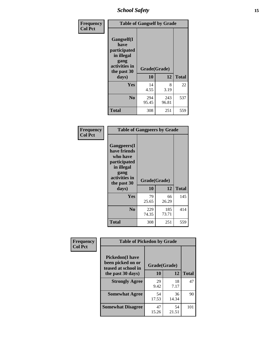*School Safety* **15**

| Frequency      | <b>Table of Gangself by Grade</b>                                                                 |                          |              |              |
|----------------|---------------------------------------------------------------------------------------------------|--------------------------|--------------|--------------|
| <b>Col Pct</b> | Gangself(I<br>have<br>participated<br>in illegal<br>gang<br>activities in<br>the past 30<br>days) | Grade(Grade)<br>10<br>12 |              | <b>Total</b> |
|                | Yes                                                                                               | 14<br>4.55               | 8<br>3.19    | 22           |
|                | N <sub>0</sub>                                                                                    | 294<br>95.45             | 243<br>96.81 | 537          |
|                | <b>Total</b>                                                                                      | 308                      | 251          | 559          |

| Frequency<br><b>Col Pct</b> | <b>Table of Gangpeers by Grade</b>                                                                                             |                    |              |              |
|-----------------------------|--------------------------------------------------------------------------------------------------------------------------------|--------------------|--------------|--------------|
|                             | <b>Gangpeers</b> (I<br>have friends<br>who have<br>participated<br>in illegal<br>gang<br>activities in<br>the past 30<br>days) | Grade(Grade)<br>10 | 12           | <b>Total</b> |
|                             | <b>Yes</b>                                                                                                                     | 79<br>25.65        | 66<br>26.29  | 145          |
|                             | N <sub>0</sub>                                                                                                                 | 229<br>74.35       | 185<br>73.71 | 414          |
|                             | <b>Total</b>                                                                                                                   | 308                | 251          | 559          |

| Frequency      |                                                                    | <b>Table of Pickedon by Grade</b> |             |              |  |  |  |  |  |  |
|----------------|--------------------------------------------------------------------|-----------------------------------|-------------|--------------|--|--|--|--|--|--|
| <b>Col Pct</b> | <b>Pickedon(I have</b><br>been picked on or<br>teased at school in | Grade(Grade)                      |             |              |  |  |  |  |  |  |
|                | the past 30 days)                                                  | 10                                | 12          | <b>Total</b> |  |  |  |  |  |  |
|                | <b>Strongly Agree</b>                                              | 29<br>9.42                        | 18<br>7.17  | 47           |  |  |  |  |  |  |
|                | <b>Somewhat Agree</b>                                              | 54<br>17.53                       | 36<br>14.34 | 90           |  |  |  |  |  |  |
|                | <b>Somewhat Disagree</b>                                           | 47<br>15.26                       | 54<br>21.51 | 101          |  |  |  |  |  |  |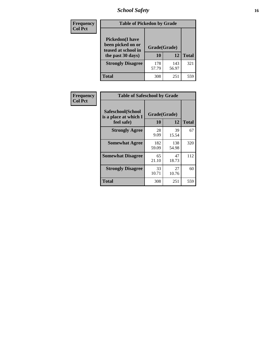# *School Safety* **16**

| Frequency      | <b>Table of Pickedon by Grade</b>                                                        |                    |              |              |
|----------------|------------------------------------------------------------------------------------------|--------------------|--------------|--------------|
| <b>Col Pct</b> | <b>Pickedon</b> (I have<br>been picked on or<br>teased at school in<br>the past 30 days) | Grade(Grade)<br>10 | 12           | <b>Total</b> |
|                | <b>Strongly Disagree</b>                                                                 | 178<br>57.79       | 143<br>56.97 | 321          |
|                | Total                                                                                    | 308                | 251          | 559          |

| Frequency      | <b>Table of Safeschool by Grade</b>                      |                    |              |              |  |  |  |  |  |  |
|----------------|----------------------------------------------------------|--------------------|--------------|--------------|--|--|--|--|--|--|
| <b>Col Pct</b> | Safeschool(School<br>is a place at which I<br>feel safe) | Grade(Grade)<br>10 | 12           | <b>Total</b> |  |  |  |  |  |  |
|                | <b>Strongly Agree</b>                                    | 28<br>9.09         | 39<br>15.54  | 67           |  |  |  |  |  |  |
|                | <b>Somewhat Agree</b>                                    | 182<br>59.09       | 138<br>54.98 | 320          |  |  |  |  |  |  |
|                | <b>Somewhat Disagree</b>                                 | 65<br>21.10        | 47<br>18.73  | 112          |  |  |  |  |  |  |
|                | <b>Strongly Disagree</b>                                 | 33<br>10.71        | 27<br>10.76  | 60           |  |  |  |  |  |  |
|                | Total                                                    | 308                | 251          | 559          |  |  |  |  |  |  |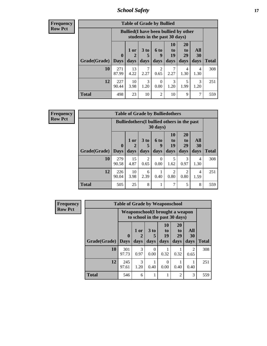*School Safety* **17**

**Frequency Row Pct**

> ٦ Г

|                             | <b>Table of Grade by Bullied</b> |                                                                               |                              |                        |                        |                               |                          |              |  |  |  |  |  |
|-----------------------------|----------------------------------|-------------------------------------------------------------------------------|------------------------------|------------------------|------------------------|-------------------------------|--------------------------|--------------|--|--|--|--|--|
|                             |                                  | <b>Bullied</b> (I have been bullied by other<br>students in the past 30 days) |                              |                        |                        |                               |                          |              |  |  |  |  |  |
| <b>Grade</b> (Grade)   Days | $\mathbf 0$                      | 1 or<br>2<br>days                                                             | 3 <sub>to</sub><br>5<br>days | 6 to<br>q<br>days      | 10<br>to<br>19<br>days | <b>20</b><br>to<br>29<br>days | All<br><b>30</b><br>days | <b>Total</b> |  |  |  |  |  |
| 10                          | 271<br>87.99                     | 13<br>4.22                                                                    | 2.27                         | $\mathfrak{D}$<br>0.65 | 7<br>2.27              | 4<br>1.30                     | 4<br>1.30                | 308          |  |  |  |  |  |
| 12                          | 227<br>90.44                     | 10<br>3.98                                                                    | 3<br>1.20                    | 0<br>0.00              | 3<br>1.20              | 5<br>1.99                     | 3<br>1.20                | 251          |  |  |  |  |  |
| <b>Total</b>                | 498                              | 23                                                                            | 10                           | $\overline{c}$         | 10                     | 9                             | 7                        | 559          |  |  |  |  |  |

| <b>Frequency</b> | <b>Table of Grade by Bulliedothers</b> |                             |                                                    |                   |                          |                        |                               |                   |              |  |
|------------------|----------------------------------------|-----------------------------|----------------------------------------------------|-------------------|--------------------------|------------------------|-------------------------------|-------------------|--------------|--|
| <b>Row Pct</b>   |                                        |                             | <b>Bulliedothers</b> (I bullied others in the past |                   | $30 \text{ days}$        |                        |                               |                   |              |  |
|                  | Grade(Grade)                           | $\mathbf{0}$<br><b>Days</b> | 1 or<br>2<br>days                                  | 3 to<br>5<br>days | <b>6 to</b><br>9<br>days | 10<br>to<br>19<br>days | <b>20</b><br>to<br>29<br>days | All<br>30<br>days | <b>Total</b> |  |
|                  | 10                                     | 279<br>90.58                | 15<br>4.87                                         | 2<br>0.65         | $\theta$<br>0.00         | 5<br>1.62              | 3<br>0.97                     | 4<br>1.30         | 308          |  |
|                  | 12                                     | 226<br>90.04                | 10<br>3.98                                         | 6<br>2.39         | 0.40                     | 2<br>0.80              | $\mathfrak{D}$<br>0.80        | 4<br>1.59         | 251          |  |
|                  | <b>Total</b>                           | 505                         | 25                                                 | 8                 | 1                        | 7                      | 5                             | 8                 | 559          |  |

| <b>Frequency</b> |              | <b>Table of Grade by Weaponschool</b> |                                                                   |                  |                        |                                           |                   |              |
|------------------|--------------|---------------------------------------|-------------------------------------------------------------------|------------------|------------------------|-------------------------------------------|-------------------|--------------|
| <b>Row Pct</b>   |              |                                       | Weaponschool(I brought a weapon<br>to school in the past 30 days) |                  |                        |                                           |                   |              |
|                  | Grade(Grade) | $\mathbf{0}$<br><b>Days</b>           | 1 or<br>days                                                      | 3 to<br>days     | 10<br>to<br>19<br>days | <b>20</b><br>t <sub>0</sub><br>29<br>days | All<br>30<br>days | <b>Total</b> |
|                  | 10           | 301<br>97.73                          | 3<br>0.97                                                         | $\Omega$<br>0.00 | 0.32                   | 0.32                                      | 2<br>0.65         | 308          |
|                  | 12           | 245<br>97.61                          | $\mathcal{E}$<br>1.20                                             | 0.40             | 0<br>0.00              | 0.40                                      | 0.40              | 251          |
|                  | <b>Total</b> | 546                                   | 6                                                                 |                  |                        | $\mathfrak{D}$                            | 3                 | 559          |

ī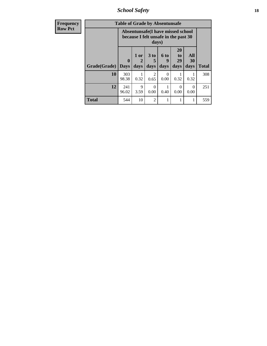*School Safety* **18**

| <b>Frequency</b> |              | <b>Table of Grade by Absentunsafe</b> |                                                                           |                              |                          |                               |                   |              |
|------------------|--------------|---------------------------------------|---------------------------------------------------------------------------|------------------------------|--------------------------|-------------------------------|-------------------|--------------|
| <b>Row Pct</b>   |              |                                       | Absentunsafe(I have missed school<br>because I felt unsafe in the past 30 | days)                        |                          |                               |                   |              |
|                  | Grade(Grade) | $\mathbf 0$<br><b>Days</b>            | 1 or<br>2<br>days                                                         | 3 <sub>to</sub><br>5<br>days | <b>6 to</b><br>9<br>days | <b>20</b><br>to<br>29<br>days | All<br>30<br>days | <b>Total</b> |
|                  | 10           | 303<br>98.38                          | 0.32                                                                      | $\mathfrak{D}$<br>0.65       | 0<br>0.00                | 0.32                          | 0.32              | 308          |
|                  | 12           | 241<br>96.02                          | 9<br>3.59                                                                 | $\Omega$<br>0.00             | 0.40                     | $\Omega$<br>0.00              | $\Omega$<br>0.00  | 251          |
|                  | <b>Total</b> | 544                                   | 10                                                                        | $\overline{2}$               |                          |                               | 1                 | 559          |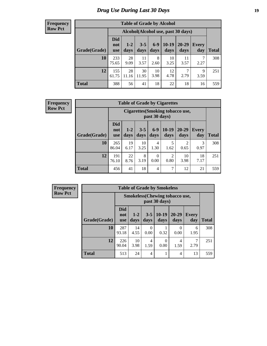# *Drug Use During Last 30 Days* **19**

#### **Frequency Row Pct**

| <b>Table of Grade by Alcohol</b> |                                 |                                                                                                                      |             |            |            |            |           |     |  |  |  |  |  |
|----------------------------------|---------------------------------|----------------------------------------------------------------------------------------------------------------------|-------------|------------|------------|------------|-----------|-----|--|--|--|--|--|
|                                  |                                 | Alcohol(Alcohol use, past 30 days)                                                                                   |             |            |            |            |           |     |  |  |  |  |  |
| Grade(Grade)                     | <b>Did</b><br>not<br><b>use</b> | $6 - 9$<br>$10-19$<br>$20 - 29$<br>$3 - 5$<br>$1 - 2$<br><b>Every</b><br>days<br>days<br>day<br>days<br>days<br>days |             |            |            |            |           |     |  |  |  |  |  |
| 10                               | 233<br>75.65                    | 28<br>9.09                                                                                                           | 11<br>3.57  | 8<br>2.60  | 10<br>3.25 | 11<br>3.57 | 7<br>2.27 | 308 |  |  |  |  |  |
| 12                               | 155<br>61.75                    | 28<br>11.16                                                                                                          | 30<br>11.95 | 10<br>3.98 | 12<br>4.78 | 7<br>2.79  | 9<br>3.59 | 251 |  |  |  |  |  |
| <b>Total</b>                     | 388                             | 56                                                                                                                   | 41          | 18         | 22         | 18         | 16        | 559 |  |  |  |  |  |

#### **Frequency Row Pct**

| <b>Table of Grade by Cigarettes</b> |                                 |                                                                                                                    |            |           |           |                        |           |     |  |  |  |  |  |
|-------------------------------------|---------------------------------|--------------------------------------------------------------------------------------------------------------------|------------|-----------|-----------|------------------------|-----------|-----|--|--|--|--|--|
|                                     |                                 | Cigarettes (Smoking tobacco use,<br>past 30 days)                                                                  |            |           |           |                        |           |     |  |  |  |  |  |
| Grade(Grade)                        | <b>Did</b><br>not<br><b>use</b> | $10-19$<br>$20 - 29$<br>$6-9$<br>$1-2$<br>$3 - 5$<br>Every<br>Total<br>days<br>days<br>days<br>days<br>day<br>days |            |           |           |                        |           |     |  |  |  |  |  |
| 10                                  | 265<br>86.04                    | 19<br>6.17                                                                                                         | 10<br>3.25 | 4<br>1.30 | 5<br>1.62 | $\overline{2}$<br>0.65 | 3<br>0.97 | 308 |  |  |  |  |  |
| 12                                  | 191<br>76.10                    | 22<br>8<br>2<br>18<br>10<br>$\theta$<br>0.80<br>3.19<br>0.00<br>3.98<br>7.17<br>8.76                               |            |           |           |                        |           |     |  |  |  |  |  |
| <b>Total</b>                        | 456                             | 41                                                                                                                 | 18         | 4         | 7         | 12                     | 21        | 559 |  |  |  |  |  |

**Frequency Row Pct**

| <b>Table of Grade by Smokeless</b> |                                                        |                                                           |                 |                 |                   |                     |              |  |  |  |  |  |  |
|------------------------------------|--------------------------------------------------------|-----------------------------------------------------------|-----------------|-----------------|-------------------|---------------------|--------------|--|--|--|--|--|--|
|                                    | <b>Smokeless</b> (Chewing tobaccouse,<br>past 30 days) |                                                           |                 |                 |                   |                     |              |  |  |  |  |  |  |
| Grade(Grade)                       | <b>Did</b><br>not<br><b>use</b>                        | $1-2$<br>days                                             | $3 - 5$<br>days | $10-19$<br>days | $20 - 29$<br>days | <b>Every</b><br>day | <b>Total</b> |  |  |  |  |  |  |
| 10                                 | 287<br>93.18                                           | 14<br>4.55                                                | 0<br>0.00       | 0.32            | 0<br>0.00         | 6<br>1.95           | 308          |  |  |  |  |  |  |
| 12                                 | 226<br>90.04                                           | 10<br>4<br>0<br>4<br>1.59<br>1.59<br>3.98<br>0.00<br>2.79 |                 |                 |                   |                     |              |  |  |  |  |  |  |
| <b>Total</b>                       | 513                                                    | 24                                                        | 4               |                 | 4                 | 13                  | 559          |  |  |  |  |  |  |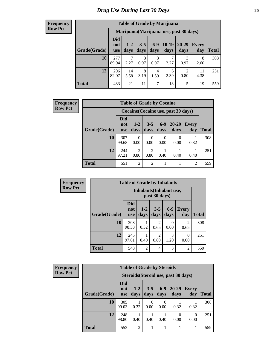#### **Frequency Row Pct**

| <b>Table of Grade by Marijuana</b> |                                                                                                                                            |                                         |           |                        |           |                        |            |     |  |  |  |  |  |
|------------------------------------|--------------------------------------------------------------------------------------------------------------------------------------------|-----------------------------------------|-----------|------------------------|-----------|------------------------|------------|-----|--|--|--|--|--|
|                                    |                                                                                                                                            | Marijuana (Marijuana use, past 30 days) |           |                        |           |                        |            |     |  |  |  |  |  |
| Grade(Grade)                       | <b>Did</b><br>$6 - 9$<br>$10-19$<br>20-29<br>$1-2$<br>$3 - 5$<br>Every<br>not<br>days<br>days<br>days<br>days<br>day<br>days<br><b>use</b> |                                         |           |                        |           |                        |            |     |  |  |  |  |  |
| 10                                 | 277<br>89.94                                                                                                                               | $\mathcal{I}$<br>2.27                   | 3<br>0.97 | 3<br>0.97              | 7<br>2.27 | 3<br>0.97              | 8<br>2.60  | 308 |  |  |  |  |  |
| 12                                 | 206<br>82.07                                                                                                                               | 14<br>5.58                              | 8<br>3.19 | $\overline{4}$<br>1.59 | 6<br>2.39 | $\overline{2}$<br>0.80 | 11<br>4.38 | 251 |  |  |  |  |  |
| <b>Total</b>                       | 483                                                                                                                                        | 21                                      | 11        | 7                      | 13        | 5                      | 19         | 559 |  |  |  |  |  |

| <b>Frequency</b> |              | <b>Table of Grade by Cocaine</b> |                                     |                  |               |                   |                     |              |  |  |  |  |
|------------------|--------------|----------------------------------|-------------------------------------|------------------|---------------|-------------------|---------------------|--------------|--|--|--|--|
| <b>Row Pct</b>   |              |                                  | Cocaine (Cocaine use, past 30 days) |                  |               |                   |                     |              |  |  |  |  |
|                  | Grade(Grade) | <b>Did</b><br>not<br><b>use</b>  | $1-2$<br>days                       | $3-5$<br>days    | $6-9$<br>days | $20 - 29$<br>days | <b>Every</b><br>day | <b>Total</b> |  |  |  |  |
|                  | 10           | 307<br>99.68                     | $\Omega$<br>0.00                    | $\Omega$<br>0.00 | 0<br>0.00     | 0<br>0.00         | 0.32                | 308          |  |  |  |  |
|                  | 12           | 244<br>97.21                     | $\mathfrak{D}$<br>0.80              | 2<br>0.80        | 0.40          | 0.40              | 0.40                | 251          |  |  |  |  |
|                  | <b>Total</b> | 551                              | 2                                   | 2                |               |                   | $\overline{2}$      | 559          |  |  |  |  |

| <b>Frequency</b> | <b>Table of Grade by Inhalants</b> |                                 |                |                        |               |                        |              |
|------------------|------------------------------------|---------------------------------|----------------|------------------------|---------------|------------------------|--------------|
| <b>Row Pct</b>   |                                    | <b>Inhalants</b> (Inhalant use, |                |                        |               |                        |              |
|                  | Grade(Grade)                       | <b>Did</b><br>not<br><b>use</b> | $1-2$<br>days  | $3 - 5$<br>days        | $6-9$<br>days | <b>Every</b><br>day    | <b>Total</b> |
|                  | 10                                 | 303<br>98.38                    | 0.32           | $\overline{c}$<br>0.65 | 0.00          | $\overline{c}$<br>0.65 | 308          |
|                  | 12                                 | 245<br>97.61                    | 0.40           | $\overline{c}$<br>0.80 | 3<br>1.20     | 0<br>0.00              | 251          |
|                  | <b>Total</b>                       | 548                             | $\overline{2}$ | $\overline{4}$         | 3             | $\overline{c}$         | 559          |

| Frequency      | <b>Table of Grade by Steroids</b> |                          |                |                 |                          |                                      |                     |              |
|----------------|-----------------------------------|--------------------------|----------------|-----------------|--------------------------|--------------------------------------|---------------------|--------------|
| <b>Row Pct</b> |                                   |                          |                |                 |                          | Steroids (Steroid use, past 30 days) |                     |              |
|                | Grade(Grade)                      | Did<br>not<br><b>use</b> | $1-2$<br>days  | $3 - 5$<br>days | $6-9$<br>days            | $20 - 29$<br>days                    | <b>Every</b><br>day | <b>Total</b> |
|                | 10                                | 305<br>99.03             | 0.32           | 0.00            | $\left( \right)$<br>0.00 | 0.32                                 | 0.32                | 308          |
|                | 12                                | 248<br>98.80             | 0.40           | 0.40            | 0.40                     | $\Omega$<br>0.00                     | $\Omega$<br>0.00    | 251          |
|                | <b>Total</b>                      | 553                      | $\overline{2}$ |                 |                          |                                      |                     | 559          |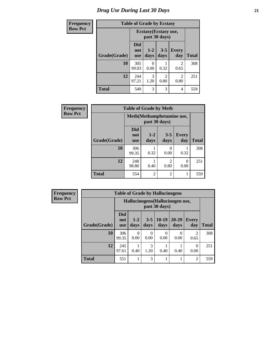# *Drug Use During Last 30 Days* **21**

| <b>Frequency</b> | <b>Table of Grade by Ecstasy</b> |                                 |               |                        |                     |              |
|------------------|----------------------------------|---------------------------------|---------------|------------------------|---------------------|--------------|
| <b>Row Pct</b>   |                                  | Ecstasy (Ecstasy use,           |               |                        |                     |              |
|                  | Grade(Grade)                     | <b>Did</b><br>not<br><b>use</b> | $1-2$<br>days | $3 - 5$<br>days        | <b>Every</b><br>day | <b>Total</b> |
|                  | 10                               | 305<br>99.03                    | 0<br>0.00     | 0.32                   | 2<br>0.65           | 308          |
|                  | 12                               | 244<br>97.21                    | 3<br>1.20     | $\overline{c}$<br>0.80 | 2<br>0.80           | 251          |
|                  | <b>Total</b>                     | 549                             | 3             | 3                      | 4                   | 559          |

| <b>Frequency</b> | <b>Table of Grade by Meth</b> |                                            |                 |                        |                     |              |  |
|------------------|-------------------------------|--------------------------------------------|-----------------|------------------------|---------------------|--------------|--|
| <b>Row Pct</b>   |                               | Meth(Methamphetamine use,<br>past 30 days) |                 |                        |                     |              |  |
|                  | Grade(Grade)                  | <b>Did</b><br>not<br><b>use</b>            | $1 - 2$<br>days | $3 - 5$<br>days        | <b>Every</b><br>day | <b>Total</b> |  |
|                  | 10                            | 306<br>99.35                               | 0.32            | 0<br>0.00              | 0.32                | 308          |  |
|                  | 12                            | 248<br>98.80                               | 0.40            | $\overline{2}$<br>0.80 | 0.00                | 251          |  |
|                  | <b>Total</b>                  | 554                                        | 2               | $\overline{2}$         |                     | 559          |  |

| Frequency      | <b>Table of Grade by Hallucinogens</b>            |                                 |                  |                 |                 |                   |                        |              |
|----------------|---------------------------------------------------|---------------------------------|------------------|-----------------|-----------------|-------------------|------------------------|--------------|
| <b>Row Pct</b> | Hallucinogens (Hallucinogen use,<br>past 30 days) |                                 |                  |                 |                 |                   |                        |              |
|                | Grade(Grade)                                      | <b>Did</b><br>not<br><b>use</b> | $1-2$<br>days    | $3 - 5$<br>days | $10-19$<br>days | $20 - 29$<br>days | <b>Every</b><br>day    | <b>Total</b> |
|                | 10                                                | 306<br>99.35                    | $\Omega$<br>0.00 | 0<br>0.00       | 0<br>0.00       | 0.00              | $\mathfrak{D}$<br>0.65 | 308          |
|                | 12                                                | 245<br>97.61                    | 0.40             | 3<br>1.20       | 0.40            | 0.40              | $\Omega$<br>0.00       | 251          |
|                | <b>Total</b>                                      | 551                             |                  | 3               |                 |                   | $\overline{2}$         | 559          |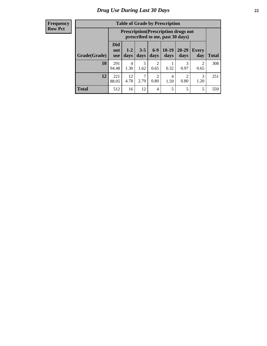#### **Frequency Row Pct**

| <b>Table of Grade by Prescription</b> |                                                                                                     |                                                                                                                           |           |           |      |           |                        |     |
|---------------------------------------|-----------------------------------------------------------------------------------------------------|---------------------------------------------------------------------------------------------------------------------------|-----------|-----------|------|-----------|------------------------|-----|
|                                       |                                                                                                     | <b>Prescription</b> (Prescription drugs not<br>prescribed to me, past 30 days)                                            |           |           |      |           |                        |     |
| Grade(Grade)                          | <b>Did</b><br>not<br><b>use</b>                                                                     | $6 - 9$<br>$10-19$<br>20-29<br>$3 - 5$<br>$1 - 2$<br>Every<br>days<br><b>Total</b><br>days<br>days<br>day<br>days<br>days |           |           |      |           |                        |     |
| 10                                    | 291<br>94.48                                                                                        | 4<br>1.30                                                                                                                 | 5<br>1.62 | 2<br>0.65 | 0.32 | 3<br>0.97 | $\mathfrak{D}$<br>0.65 | 308 |
| 12                                    | 12<br>$\overline{c}$<br>3<br>221<br>∍<br>4<br>4.78<br>2.79<br>0.80<br>1.59<br>88.05<br>0.80<br>1.20 |                                                                                                                           |           |           |      |           |                        |     |
| <b>Total</b>                          | 512                                                                                                 | 16                                                                                                                        | 12        | 4         | 5    | 5         | 5                      | 559 |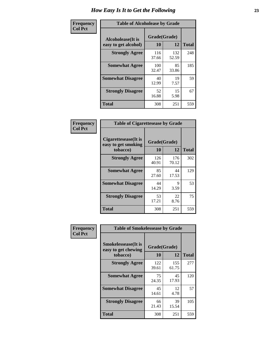| Frequency      | <b>Table of Alcoholease by Grade</b>              |                    |              |              |  |  |
|----------------|---------------------------------------------------|--------------------|--------------|--------------|--|--|
| <b>Col Pct</b> | <b>Alcoholease</b> (It is<br>easy to get alcohol) | Grade(Grade)<br>10 | 12           | <b>Total</b> |  |  |
|                | <b>Strongly Agree</b>                             | 116<br>37.66       | 132<br>52.59 | 248          |  |  |
|                | <b>Somewhat Agree</b>                             | 100<br>32.47       | 85<br>33.86  | 185          |  |  |
|                | <b>Somewhat Disagree</b>                          | 40<br>12.99        | 19<br>7.57   | 59           |  |  |
|                | <b>Strongly Disagree</b>                          | 52<br>16.88        | 15<br>5.98   | 67           |  |  |
|                | <b>Total</b>                                      | 308                | 251          | 559          |  |  |

| Frequency      | <b>Table of Cigarettesease by Grade</b>                 |                    |              |              |  |
|----------------|---------------------------------------------------------|--------------------|--------------|--------------|--|
| <b>Col Pct</b> | Cigarettesease(It is<br>easy to get smoking<br>tobacco) | Grade(Grade)<br>10 | 12           | <b>Total</b> |  |
|                | <b>Strongly Agree</b>                                   | 126<br>40.91       | 176<br>70.12 | 302          |  |
|                | <b>Somewhat Agree</b>                                   | 85<br>27.60        | 44<br>17.53  | 129          |  |
|                | <b>Somewhat Disagree</b>                                | 44<br>14.29        | 9<br>3.59    | 53           |  |
|                | <b>Strongly Disagree</b>                                | 53<br>17.21        | 22<br>8.76   | 75           |  |
|                | <b>Total</b>                                            | 308                | 251          | 559          |  |

| Frequency      | <b>Table of Smokelessease by Grade</b>                         |                    |              |              |
|----------------|----------------------------------------------------------------|--------------------|--------------|--------------|
| <b>Col Pct</b> | <b>Smokelessease</b> (It is<br>easy to get chewing<br>tobacco) | Grade(Grade)<br>10 | 12           | <b>Total</b> |
|                | <b>Strongly Agree</b>                                          | 122<br>39.61       | 155<br>61.75 | 277          |
|                | <b>Somewhat Agree</b>                                          | 75<br>24.35        | 45<br>17.93  | 120          |
|                | <b>Somewhat Disagree</b>                                       | 45<br>14.61        | 12<br>4.78   | 57           |
|                | <b>Strongly Disagree</b>                                       | 66<br>21.43        | 39<br>15.54  | 105          |
|                | Total                                                          | 308                | 251          | 559          |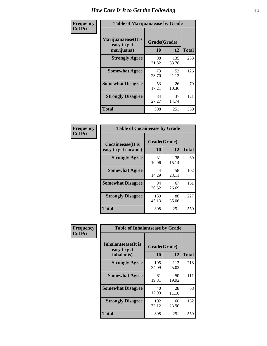| Frequency      | <b>Table of Marijuanaease by Grade</b>           |                           |              |              |  |  |  |
|----------------|--------------------------------------------------|---------------------------|--------------|--------------|--|--|--|
| <b>Col Pct</b> | Marijuanaease(It is<br>easy to get<br>marijuana) | Grade(Grade)<br><b>10</b> | 12           | <b>Total</b> |  |  |  |
|                | <b>Strongly Agree</b>                            | 98<br>31.82               | 135<br>53.78 | 233          |  |  |  |
|                | <b>Somewhat Agree</b>                            | 73<br>23.70               | 53<br>21.12  | 126          |  |  |  |
|                | <b>Somewhat Disagree</b>                         | 53<br>17.21               | 26<br>10.36  | 79           |  |  |  |
|                | <b>Strongly Disagree</b>                         | 84<br>27.27               | 37<br>14.74  | 121          |  |  |  |
|                | <b>Total</b>                                     | 308                       | 251          | 559          |  |  |  |

| <b>Table of Cocaineease by Grade</b>              |                    |             |              |  |  |  |
|---------------------------------------------------|--------------------|-------------|--------------|--|--|--|
| <b>Cocaineease</b> (It is<br>easy to get cocaine) | Grade(Grade)<br>10 | 12          | <b>Total</b> |  |  |  |
| <b>Strongly Agree</b>                             | 31<br>10.06        | 38<br>15.14 | 69           |  |  |  |
| <b>Somewhat Agree</b>                             | 44<br>14.29        | 58<br>23.11 | 102          |  |  |  |
| <b>Somewhat Disagree</b>                          | 94<br>30.52        | 67<br>26.69 | 161          |  |  |  |
| <b>Strongly Disagree</b>                          | 139<br>45.13       | 88<br>35.06 | 227          |  |  |  |
| <b>Total</b>                                      | 308                | 251         | 559          |  |  |  |

| Frequency      | <b>Table of Inhalantsease by Grade</b> |              |              |              |
|----------------|----------------------------------------|--------------|--------------|--------------|
| <b>Col Pct</b> | Inhalantsease(It is<br>easy to get     | Grade(Grade) |              |              |
|                | inhalants)                             | 10           | 12           | <b>Total</b> |
|                | <b>Strongly Agree</b>                  | 105<br>34.09 | 113<br>45.02 | 218          |
|                | <b>Somewhat Agree</b>                  | 61<br>19.81  | 50<br>19.92  | 111          |
|                | <b>Somewhat Disagree</b>               | 40<br>12.99  | 28<br>11.16  | 68           |
|                | <b>Strongly Disagree</b>               | 102<br>33.12 | 60<br>23.90  | 162          |
|                | <b>Total</b>                           | 308          | 251          | 559          |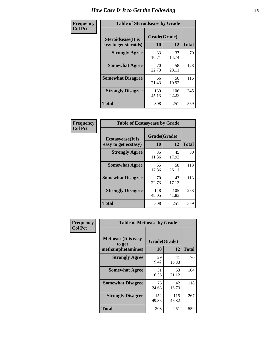| Frequency      | <b>Table of Steroidsease by Grade</b>       |                    |              |              |  |  |  |  |  |  |  |
|----------------|---------------------------------------------|--------------------|--------------|--------------|--|--|--|--|--|--|--|
| <b>Col Pct</b> | Steroidsease(It is<br>easy to get steroids) | Grade(Grade)<br>10 | 12           | <b>Total</b> |  |  |  |  |  |  |  |
|                | <b>Strongly Agree</b>                       | 33<br>10.71        | 37<br>14.74  | 70           |  |  |  |  |  |  |  |
|                | <b>Somewhat Agree</b>                       | 70<br>22.73        | 58<br>23.11  | 128          |  |  |  |  |  |  |  |
|                | <b>Somewhat Disagree</b>                    | 66<br>21.43        | 50<br>19.92  | 116          |  |  |  |  |  |  |  |
|                | <b>Strongly Disagree</b>                    | 139<br>45.13       | 106<br>42.23 | 245          |  |  |  |  |  |  |  |
|                | <b>Total</b>                                | 308                | 251          | 559          |  |  |  |  |  |  |  |

| <b>Frequency</b> |  |
|------------------|--|
| <b>Col Pct</b>   |  |

| <b>Table of Ecstasyease by Grade</b>              |              |                    |     |  |  |  |  |
|---------------------------------------------------|--------------|--------------------|-----|--|--|--|--|
| <b>Ecstasyease</b> (It is<br>easy to get ecstasy) | 10           | Grade(Grade)<br>12 |     |  |  |  |  |
| <b>Strongly Agree</b>                             | 35<br>11.36  | 45<br>17.93        | 80  |  |  |  |  |
| <b>Somewhat Agree</b>                             | 55<br>17.86  | 58<br>23.11        | 113 |  |  |  |  |
| <b>Somewhat Disagree</b>                          | 70<br>22.73  | 43<br>17.13        | 113 |  |  |  |  |
| <b>Strongly Disagree</b>                          | 148<br>48.05 | 105<br>41.83       | 253 |  |  |  |  |
| <b>Total</b>                                      | 308          | 251                | 559 |  |  |  |  |

| Frequency |  |
|-----------|--|
| Col Pct   |  |

| <b>Table of Methease by Grade</b>                          |                    |              |              |
|------------------------------------------------------------|--------------------|--------------|--------------|
| <b>Methease</b> (It is easy<br>to get<br>methamphetamines) | Grade(Grade)<br>10 | 12           | <b>Total</b> |
| <b>Strongly Agree</b>                                      | 29<br>9.42         | 41<br>16.33  | 70           |
| <b>Somewhat Agree</b>                                      | 51<br>16.56        | 53<br>21.12  | 104          |
| <b>Somewhat Disagree</b>                                   | 76<br>24.68        | 42<br>16.73  | 118          |
| <b>Strongly Disagree</b>                                   | 152<br>49.35       | 115<br>45.82 | 267          |
| Total                                                      | 308                | 251          | 559          |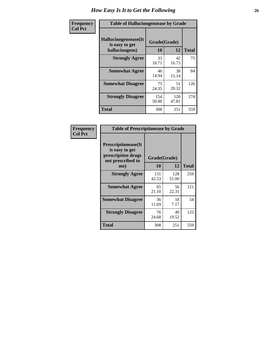| <b>Frequency</b> |                                                          | <b>Table of Hallucinogensease by Grade</b> |              |              |  |  |  |  |  |  |  |  |  |  |
|------------------|----------------------------------------------------------|--------------------------------------------|--------------|--------------|--|--|--|--|--|--|--|--|--|--|
| <b>Col Pct</b>   | Hallucinogensease(It<br>is easy to get<br>hallucinogens) | Grade(Grade)<br>10                         | 12           | <b>Total</b> |  |  |  |  |  |  |  |  |  |  |
|                  | <b>Strongly Agree</b>                                    | 33<br>10.71                                | 42<br>16.73  | 75           |  |  |  |  |  |  |  |  |  |  |
|                  | <b>Somewhat Agree</b>                                    | 46<br>14.94                                | 38<br>15.14  | 84           |  |  |  |  |  |  |  |  |  |  |
|                  | <b>Somewhat Disagree</b>                                 | 75<br>24.35                                | 51<br>20.32  | 126          |  |  |  |  |  |  |  |  |  |  |
|                  | <b>Strongly Disagree</b>                                 | 154<br>50.00                               | 120<br>47.81 | 274          |  |  |  |  |  |  |  |  |  |  |
|                  | <b>Total</b>                                             | 308                                        | 251          | 559          |  |  |  |  |  |  |  |  |  |  |

| Frequency<br>Col Pct |
|----------------------|
|                      |

| <b>Table of Prescriptionease by Grade</b>                                                |              |              |              |
|------------------------------------------------------------------------------------------|--------------|--------------|--------------|
| <b>Prescriptionease</b> (It<br>is easy to get<br>prescription drugs<br>not prescribed to | Grade(Grade) |              |              |
| me)                                                                                      | 10           | 12           | <b>Total</b> |
| <b>Strongly Agree</b>                                                                    | 131<br>42.53 | 128<br>51.00 | 259          |
| <b>Somewhat Agree</b>                                                                    | 65<br>21.10  | 56<br>22.31  | 121          |
| <b>Somewhat Disagree</b>                                                                 | 36<br>11.69  | 18<br>7.17   | 54           |
| <b>Strongly Disagree</b>                                                                 | 76<br>24.68  | 49<br>19.52  | 125          |
| <b>Total</b>                                                                             | 308          | 251          | 559          |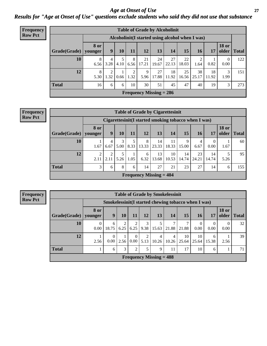#### *Age at Onset of Use* **27** *Results for "Age at Onset of Use" questions exclude students who said they did not use that substance*

| Frequency      |                        |             |           | <b>Table of Grade by Alcoholinit</b> |           |             |                           |                                                  |             |             |             |                       |              |
|----------------|------------------------|-------------|-----------|--------------------------------------|-----------|-------------|---------------------------|--------------------------------------------------|-------------|-------------|-------------|-----------------------|--------------|
| <b>Row Pct</b> |                        |             |           |                                      |           |             |                           | Alcoholinit (I started using alcohol when I was) |             |             |             |                       |              |
|                | Grade(Grade)   younger | <b>8 or</b> | 9         | 10                                   | 11        | 12          | 13                        | 14                                               | 15          | 16          | 17          | <b>18 or</b><br>older | <b>Total</b> |
|                | 10                     | 8<br>6.56   | 3.28      | 4.10                                 | 8<br>6.56 | 21<br>17.21 | 24<br>19.67               | 27<br>22.13                                      | 22<br>18.03 | 1.64        | 0.82        | $\theta$<br>0.00      | 122          |
|                | 12                     | 8<br>5.30   | ∍<br>1.32 | 0.66                                 | 2<br>1.32 | 9<br>5.96   | 27<br>17.88               | 18<br>11.92                                      | 25<br>16.56 | 38<br>25.17 | 18<br>11.92 | 3<br>1.99             | 151          |
|                | <b>Total</b>           | 16          | 6         | 6                                    | 10        | 30          | 51                        | 45                                               | 47          | 40          | 19          | 3                     | 273          |
|                |                        |             |           |                                      |           |             | Frequency Missing $= 286$ |                                                  |             |             |             |                       |              |

#### **Frequency Row Pct**

|              | <b>Table of Grade by Cigarettesinit</b> |                                                      |           |           |                           |             |             |             |             |                  |                       |              |  |
|--------------|-----------------------------------------|------------------------------------------------------|-----------|-----------|---------------------------|-------------|-------------|-------------|-------------|------------------|-----------------------|--------------|--|
|              |                                         | Cigarettesinit(I started smoking tobacco when I was) |           |           |                           |             |             |             |             |                  |                       |              |  |
| Grade(Grade) | 8 or<br>younger                         | 9                                                    | 10        | 11        | 12                        | 13          | 14          | 15          | 16          | 17               | <b>18 or</b><br>older | <b>Total</b> |  |
| 10           | 1.67                                    | 4<br>6.67                                            | 3<br>5.00 | 5<br>8.33 | 8<br>13.33                | 14<br>23.33 | 11<br>18.33 | 9<br>15.00  | 4<br>6.67   | $\Omega$<br>0.00 | 1.67                  | 60           |  |
| 12           | $\overline{2}$<br>2.11                  | 2<br>2.11                                            | 5.26      | 1.05      | 6<br>6.32                 | 13<br>13.68 | 10<br>10.53 | 14<br>14.74 | 23<br>24.21 | 14<br>14.74      | 5.26                  | 95           |  |
| <b>Total</b> | 3                                       | 6                                                    | 8         | 6         | 14                        | 27          | 21          | 23          | 27          | 14               | 6                     | 155          |  |
|              |                                         |                                                      |           |           | Frequency Missing $= 404$ |             |             |             |             |                  |                       |              |  |

**Frequency Row Pct**

|              | <b>Table of Grade by Smokelessinit</b> |                                                     |      |                      |           |                           |                         |             |                  |                  |                       |              |  |
|--------------|----------------------------------------|-----------------------------------------------------|------|----------------------|-----------|---------------------------|-------------------------|-------------|------------------|------------------|-----------------------|--------------|--|
|              |                                        | Smokelessinit(I started chewing tobacco when I was) |      |                      |           |                           |                         |             |                  |                  |                       |              |  |
| Grade(Grade) | 8 or<br>younger                        | 9                                                   | 10   | 11                   | 12        | 13                        | 14                      | 15          | 16               | 17               | <b>18 or</b><br>older | <b>Total</b> |  |
| <b>10</b>    | $\Omega$<br>0.00                       | 6<br>18.75                                          | 6.25 | 6.25                 | 3<br>9.38 | 5<br>15.63                | 21.88                   | 21.88       | $\theta$<br>0.00 | $\Omega$<br>0.00 | 0<br>0.00             | 32           |  |
| 12           | 2.56                                   | $\Omega$<br>0.00                                    | 2.56 | $\Omega$<br>$0.00\,$ | 2<br>5.13 | 4<br>10.26                | $\overline{4}$<br>10.26 | 10<br>25.64 | 10<br>25.64      | 6<br>15.38       | 2.56                  | 39           |  |
| <b>Total</b> |                                        | 6                                                   | 3    | 2                    | 5         | 9                         | 11                      | 17          | 10               | 6                |                       | 71           |  |
|              |                                        |                                                     |      |                      |           | Frequency Missing $= 488$ |                         |             |                  |                  |                       |              |  |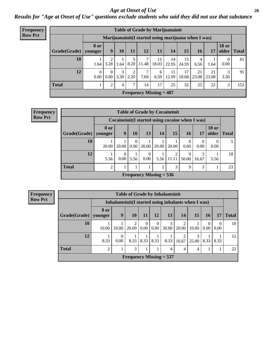#### *Age at Onset of Use* **28**

*Results for "Age at Onset of Use" questions exclude students who said they did not use that substance*

| <b>Frequency</b> |                                                      |                               |                  |           |           |           | <b>Table of Grade by Marijuanainit</b>      |             |             |             |             |                       |              |
|------------------|------------------------------------------------------|-------------------------------|------------------|-----------|-----------|-----------|---------------------------------------------|-------------|-------------|-------------|-------------|-----------------------|--------------|
| <b>Row Pct</b>   | Marijuanainit (I started using marijuana when I was) |                               |                  |           |           |           |                                             |             |             |             |             |                       |              |
|                  | Grade(Grade)                                         | <b>8</b> or<br>younger        | 9                | 10        | 11        | 12        | 13                                          | 14          | 15          | 16          | 17          | <b>18 or</b><br>older | <b>Total</b> |
|                  | 10                                                   | 1.64                          | 2<br>3.28        | 1.64      | 8.20      | 11.48     | 11<br>18.03                                 | 14<br>22.95 | 15<br>24.59 | 4<br>6.56   | 1.64        | $\theta$<br>0.00      | 61           |
|                  | 12                                                   | $\Omega$<br>0.00 <sub>l</sub> | $\Omega$<br>0.00 | 3<br>3.30 | 2<br>2.20 | 7<br>7.69 | 6<br>6.59                                   | 11<br>12.09 | 17<br>18.68 | 21<br>23.08 | 21<br>23.08 | 3<br>3.30             | 91           |
|                  | <b>Total</b>                                         |                               | $\overline{c}$   | 4         | 7         | 14        | 17                                          | 25          | 32          | 25          | 22          | 3                     | 152          |
|                  |                                                      |                               |                  |           |           |           | <b>Frequency Missing <math>= 407</math></b> |             |             |             |             |                       |              |

| Frequency      | <b>Table of Grade by Cocaineinit</b> |                |                  |                  |          |                           |       |                            |                                                 |                  |               |
|----------------|--------------------------------------|----------------|------------------|------------------|----------|---------------------------|-------|----------------------------|-------------------------------------------------|------------------|---------------|
| <b>Row Pct</b> |                                      |                |                  |                  |          |                           |       |                            | Cocaineinit(I started using cocaine when I was) |                  |               |
|                | Grade(Grade)   younger               | 8 or           | 9                | 10               | 13       | 14                        | 15    | 16                         | 17                                              | <b>18 or</b>     | older   Total |
|                | 10                                   | 20.00          | 20.00            | $\theta$<br>0.00 | 20.00    | 20.00                     | 20.00 | $\Omega$<br>$0.00^{\circ}$ | 0.00                                            | $\theta$<br>0.00 | 5             |
|                | 12                                   | 5.56           | $\theta$<br>0.00 | 5.56             | $0.00\,$ | 5.56                      | 11.11 | 9<br>50.00                 | 3<br>16.67                                      | 5.56             | 18            |
|                | <b>Total</b>                         | $\overline{2}$ |                  |                  |          | $\overline{2}$            | 3     | 9                          | 3                                               |                  | 23            |
|                |                                      |                |                  |                  |          | Frequency Missing $= 536$ |       |                            |                                                 |                  |               |

**Frequency Row Pct**

| <b>Table of Grade by Inhalantsinit</b> |                 |                                                      |                         |                      |                  |            |                         |            |                         |                  |              |
|----------------------------------------|-----------------|------------------------------------------------------|-------------------------|----------------------|------------------|------------|-------------------------|------------|-------------------------|------------------|--------------|
|                                        |                 | Inhalantsinit (I started using inhalants when I was) |                         |                      |                  |            |                         |            |                         |                  |              |
| Grade(Grade)                           | 8 or<br>younger | 9                                                    | 10                      | 11                   | 12               | 13         | 14                      | 15         | 16                      | 17               | <b>Total</b> |
| 10                                     | 10.00           | 10.00                                                | $\overline{2}$<br>20.00 | $\Omega$<br>$0.00\,$ | $\theta$<br>0.00 | 3<br>30.00 | $\overline{2}$<br>20.00 | 10.00      | $\Omega$<br>$\mid$ 0.00 | $\theta$<br>0.00 | 10           |
| 12                                     | 8.33            | $\Omega$<br>0.00                                     | 8.33                    | 8.33                 | 8.33             | 8.33       | 2<br>16.67              | 3<br>25.00 | 8.33                    | 8.33             | 12           |
| <b>Total</b>                           | $\mathfrak{D}$  |                                                      | 3                       |                      |                  | 4          | 4                       | 4          |                         |                  | 22           |
| Frequency Missing $= 537$              |                 |                                                      |                         |                      |                  |            |                         |            |                         |                  |              |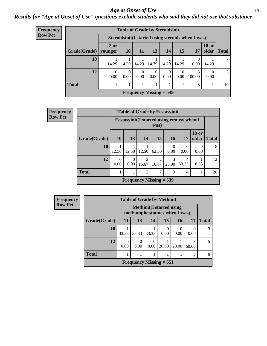#### *Age at Onset of Use* **29**

*Results for "Age at Onset of Use" questions exclude students who said they did not use that substance*

| <b>Frequency</b> |  |
|------------------|--|
| <b>Row Pct</b>   |  |

| ncy |                        |                  | <b>Table of Grade by Steroidsinit</b> |                           |                  |                  |       |                                                    |                       |               |
|-----|------------------------|------------------|---------------------------------------|---------------------------|------------------|------------------|-------|----------------------------------------------------|-----------------------|---------------|
|     |                        |                  |                                       |                           |                  |                  |       | Steroidsinit (I started using steroids when I was) |                       |               |
|     | Grade(Grade)   younger | 8 or             | <b>10</b>                             | <b>11</b>                 | <b>13</b>        | 14               | 15    | 17                                                 | <b>18 or</b><br>older | <b>Total</b>  |
|     | 10                     | 14.29            | 14.29                                 | 14.29                     | 14.29            | 14.29            | 14.29 | 0.00                                               | 14.29                 | 7             |
|     | 12                     | $\Omega$<br>0.00 | $\Omega$<br>0.00                      | 0<br>0.00                 | $\Omega$<br>0.00 | $\Omega$<br>0.00 | 0.00  | 100.00                                             | 0.00                  | $\mathcal{E}$ |
|     | <b>Total</b>           |                  |                                       |                           |                  |                  |       | 3                                                  |                       | 10            |
|     |                        |                  |                                       | Frequency Missing $= 549$ |                  |                  |       |                                                    |                       |               |

| <b>Frequency</b> |              |                  |                  |               | <b>Table of Grade by Ecstasyinit</b>                |            |                  |                       |              |
|------------------|--------------|------------------|------------------|---------------|-----------------------------------------------------|------------|------------------|-----------------------|--------------|
| Row Pct          |              |                  |                  |               | Ecstasyinit (I started using ecstasy when I<br>was) |            |                  |                       |              |
|                  | Grade(Grade) | <b>10</b>        | 13               | <b>14</b>     | 15                                                  | <b>16</b>  | 17               | <b>18 or</b><br>older | <b>Total</b> |
|                  | 10           | 12.50            | 12.50            | 12.50         | 5<br>62.50                                          | 0<br>0.00  | $\theta$<br>0.00 | $\Omega$<br>0.00      | 8            |
|                  | 12           | $\Omega$<br>0.00 | $\Omega$<br>0.00 | 2<br>16.67    | $\mathcal{L}$<br>16.67                              | 3<br>25.00 | 4<br>33.33       | 8.33                  | 12           |
|                  | <b>Total</b> |                  |                  | $\mathcal{F}$ | 7                                                   | 3          | $\overline{4}$   |                       | 20           |
|                  |              |                  |                  |               | <b>Frequency Missing = <math>539</math></b>         |            |                  |                       |              |

| <b>Frequency</b> |              |                              | <b>Table of Grade by Methinit</b> |           |           |           |                  |              |  |  |
|------------------|--------------|------------------------------|-----------------------------------|-----------|-----------|-----------|------------------|--------------|--|--|
| <b>Row Pct</b>   |              | methamphetamines when I was) |                                   |           |           |           |                  |              |  |  |
|                  | Grade(Grade) | 11                           | 13                                | 14        | 15        | 16        | 17               | <b>Total</b> |  |  |
|                  | 10           | 33.33                        | 33.33                             | 33.33     | 0<br>0.00 | 0<br>0.00 | $\Omega$<br>0.00 | 3            |  |  |
|                  | 12           | $\Omega$<br>0.00             | $\Omega$<br>0.00                  | 0<br>0.00 | 20.00     | 20.00     | 3<br>60.00       | 5            |  |  |
|                  | <b>Total</b> |                              |                                   |           |           |           | 3                | 8            |  |  |
|                  |              | Frequency Missing $= 551$    |                                   |           |           |           |                  |              |  |  |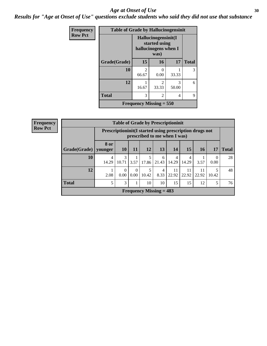#### Age at Onset of Use **30**

*Results for "Age at Onset of Use" questions exclude students who said they did not use that substance*

| <b>Frequency</b> | <b>Table of Grade by Hallucinogensinit</b> |                         |                                                                      |            |              |  |  |  |
|------------------|--------------------------------------------|-------------------------|----------------------------------------------------------------------|------------|--------------|--|--|--|
| <b>Row Pct</b>   |                                            |                         | Hallucinogensinit(I<br>started using<br>hallucinogens when I<br>was) |            |              |  |  |  |
|                  | Grade(Grade)                               | 15                      | 16                                                                   | 17         | <b>Total</b> |  |  |  |
|                  | 10                                         | $\mathfrak{D}$<br>66.67 | 0<br>0.00                                                            | 33.33      | 3            |  |  |  |
|                  | 12                                         | 16.67                   | $\mathfrak{D}$<br>33.33                                              | 3<br>50.00 | 6            |  |  |  |
|                  | <b>Total</b>                               | 3                       | $\mathfrak{D}$                                                       | 4          | 9            |  |  |  |
|                  | Frequency Missing $= 550$                  |                         |                                                                      |            |              |  |  |  |

| Frequency      |              | <b>Table of Grade by Prescriptioninit</b>                  |                        |                  |            |                           |                              |             |             |                  |              |  |
|----------------|--------------|------------------------------------------------------------|------------------------|------------------|------------|---------------------------|------------------------------|-------------|-------------|------------------|--------------|--|
| <b>Row Pct</b> |              | Prescription in it (I started using prescription drugs not |                        |                  |            |                           | prescribed to me when I was) |             |             |                  |              |  |
|                | Grade(Grade) | 8 or<br>vounger                                            | 10                     | 11               | 12         | 13                        | 14                           | 15          | <b>16</b>   | 17               | <b>Total</b> |  |
|                | 10           | 4<br>14.29                                                 | $\mathcal{F}$<br>10.71 | 3.57             | 5<br>17.86 | 6<br>21.43                | 4<br>14.29                   | 4<br>14.29  | 3.57        | $\theta$<br>0.00 | 28           |  |
|                | 12           | 2.08                                                       | $\Omega$<br>0.00       | $\Omega$<br>0.00 | 5<br>10.42 | 4<br>8.33                 | 11<br>22.92                  | 11<br>22.92 | 11<br>22.92 | 5<br>10.42       | 48           |  |
|                | <b>Total</b> |                                                            | 3                      |                  | 10         | 10                        | 15                           | 15          | 12          | 5                | 76           |  |
|                |              |                                                            |                        |                  |            | Frequency Missing $= 483$ |                              |             |             |                  |              |  |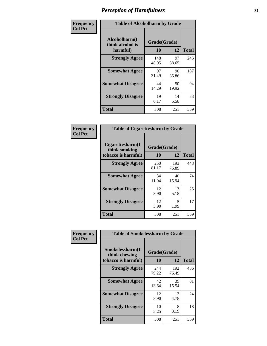| Frequency      | <b>Table of Alcoholharm by Grade</b>          |                    |             |              |  |  |  |
|----------------|-----------------------------------------------|--------------------|-------------|--------------|--|--|--|
| <b>Col Pct</b> | Alcoholharm(I<br>think alcohol is<br>harmful) | Grade(Grade)<br>10 | 12          | <b>Total</b> |  |  |  |
|                | <b>Strongly Agree</b>                         | 148<br>48.05       | 97<br>38.65 | 245          |  |  |  |
|                | <b>Somewhat Agree</b>                         | 97<br>31.49        | 90<br>35.86 | 187          |  |  |  |
|                | <b>Somewhat Disagree</b>                      | 44<br>14.29        | 50<br>19.92 | 94           |  |  |  |
|                | <b>Strongly Disagree</b>                      | 19<br>6.17         | 14<br>5.58  | 33           |  |  |  |
|                | <b>Total</b>                                  | 308                | 251         | 559          |  |  |  |

| <b>Table of Cigarettesharm by Grade</b>                  |                    |              |              |  |  |  |  |  |
|----------------------------------------------------------|--------------------|--------------|--------------|--|--|--|--|--|
| Cigarettesharm(I<br>think smoking<br>tobacco is harmful) | Grade(Grade)<br>10 | 12           | <b>Total</b> |  |  |  |  |  |
| <b>Strongly Agree</b>                                    | 250<br>81.17       | 193<br>76.89 | 443          |  |  |  |  |  |
| <b>Somewhat Agree</b>                                    | 34<br>11.04        | 40<br>15.94  | 74           |  |  |  |  |  |
| <b>Somewhat Disagree</b>                                 | 12<br>3.90         | 13<br>5.18   | 25           |  |  |  |  |  |
| <b>Strongly Disagree</b>                                 | 12<br>3.90         | 5<br>1.99    | 17           |  |  |  |  |  |
| <b>Total</b>                                             | 308                | 251          | 559          |  |  |  |  |  |

| Frequency      | <b>Table of Smokelessharm by Grade</b>                  |                    |              |              |
|----------------|---------------------------------------------------------|--------------------|--------------|--------------|
| <b>Col Pct</b> | Smokelessharm(I<br>think chewing<br>tobacco is harmful) | Grade(Grade)<br>10 | 12           | <b>Total</b> |
|                | <b>Strongly Agree</b>                                   | 244<br>79.22       | 192<br>76.49 | 436          |
|                | <b>Somewhat Agree</b>                                   | 42<br>13.64        | 39<br>15.54  | 81           |
|                | <b>Somewhat Disagree</b>                                | 12<br>3.90         | 12<br>4.78   | 24           |
|                | <b>Strongly Disagree</b>                                | 10<br>3.25         | 8<br>3.19    | 18           |
|                | <b>Total</b>                                            | 308                | 251          | 559          |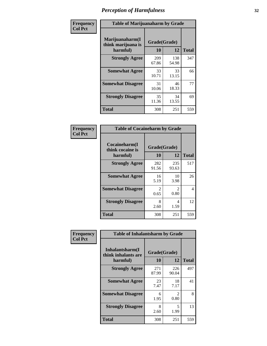| Frequency      |                                                   | <b>Table of Marijuanaharm by Grade</b> |              |              |  |  |  |  |  |
|----------------|---------------------------------------------------|----------------------------------------|--------------|--------------|--|--|--|--|--|
| <b>Col Pct</b> | Marijuanaharm(I<br>think marijuana is<br>harmful) | Grade(Grade)<br>10                     | 12           | <b>Total</b> |  |  |  |  |  |
|                | <b>Strongly Agree</b>                             | 209<br>67.86                           | 138<br>54.98 | 347          |  |  |  |  |  |
|                | <b>Somewhat Agree</b>                             | 33<br>10.71                            | 33<br>13.15  | 66           |  |  |  |  |  |
|                | <b>Somewhat Disagree</b>                          | 31<br>10.06                            | 46<br>18.33  | 77           |  |  |  |  |  |
|                | <b>Strongly Disagree</b>                          | 35<br>11.36                            | 34<br>13.55  | 69           |  |  |  |  |  |
|                | <b>Total</b>                                      | 308                                    | 251          | 559          |  |  |  |  |  |

| <b>Table of Cocaineharm by Grade</b>          |                    |              |              |  |  |
|-----------------------------------------------|--------------------|--------------|--------------|--|--|
| Cocaineharm(I<br>think cocaine is<br>harmful) | Grade(Grade)<br>10 | 12           | <b>Total</b> |  |  |
| <b>Strongly Agree</b>                         | 282<br>91.56       | 235<br>93.63 | 517          |  |  |
| <b>Somewhat Agree</b>                         | 16<br>5.19         | 10<br>3.98   | 26           |  |  |
| <b>Somewhat Disagree</b>                      | 2<br>0.65          | 2<br>0.80    | 4            |  |  |
| <b>Strongly Disagree</b>                      | 8<br>2.60          | 4<br>1.59    | 12           |  |  |
| <b>Total</b>                                  | 308                | 251          | 559          |  |  |

| Frequency      | <b>Table of Inhalantsharm by Grade</b>             |                    |              |              |
|----------------|----------------------------------------------------|--------------------|--------------|--------------|
| <b>Col Pct</b> | Inhalantsharm(I<br>think inhalants are<br>harmful) | Grade(Grade)<br>10 | 12           | <b>Total</b> |
|                | <b>Strongly Agree</b>                              | 271<br>87.99       | 226<br>90.04 | 497          |
|                | <b>Somewhat Agree</b>                              | 23<br>7.47         | 18<br>7.17   | 41           |
|                | <b>Somewhat Disagree</b>                           | 6<br>1.95          | 2<br>0.80    | 8            |
|                | <b>Strongly Disagree</b>                           | 8<br>2.60          | 5<br>1.99    | 13           |
|                | <b>Total</b>                                       | 308                | 251          | 559          |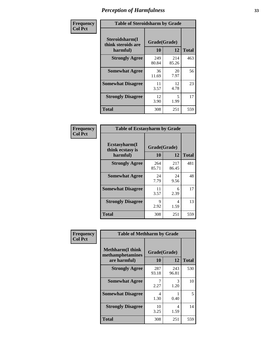| Frequency      | <b>Table of Steroidsharm by Grade</b>            |                    |              |              |  |
|----------------|--------------------------------------------------|--------------------|--------------|--------------|--|
| <b>Col Pct</b> | Steroidsharm(I<br>think steroids are<br>harmful) | Grade(Grade)<br>10 | 12           | <b>Total</b> |  |
|                | <b>Strongly Agree</b>                            | 249<br>80.84       | 214<br>85.26 | 463          |  |
|                | <b>Somewhat Agree</b>                            | 36<br>11.69        | 20<br>7.97   | 56           |  |
|                | <b>Somewhat Disagree</b>                         | 11<br>3.57         | 12<br>4.78   | 23           |  |
|                | <b>Strongly Disagree</b>                         | 12<br>3.90         | 5<br>1.99    | 17           |  |
|                | <b>Total</b>                                     | 308                | 251          | 559          |  |

| <b>Table of Ecstasyharm by Grade</b>          |                    |              |              |  |  |
|-----------------------------------------------|--------------------|--------------|--------------|--|--|
| Ecstasyharm(I<br>think ecstasy is<br>harmful) | Grade(Grade)<br>10 | 12           | <b>Total</b> |  |  |
| <b>Strongly Agree</b>                         | 264<br>85.71       | 217<br>86.45 | 481          |  |  |
| <b>Somewhat Agree</b>                         | 24<br>7.79         | 24<br>9.56   | 48           |  |  |
| <b>Somewhat Disagree</b>                      | 11<br>3.57         | 6<br>2.39    | 17           |  |  |
| <b>Strongly Disagree</b>                      | 9<br>2.92          | 4<br>1.59    | 13           |  |  |
| <b>Total</b>                                  | 308                | 251          | 559          |  |  |

| Frequency      | <b>Table of Methharm by Grade</b>                            |                    |              |              |
|----------------|--------------------------------------------------------------|--------------------|--------------|--------------|
| <b>Col Pct</b> | <b>Methharm</b> (I think<br>methamphetamines<br>are harmful) | Grade(Grade)<br>10 | 12           | <b>Total</b> |
|                | <b>Strongly Agree</b>                                        | 287<br>93.18       | 243<br>96.81 | 530          |
|                | <b>Somewhat Agree</b>                                        | 2.27               | 3<br>1.20    | 10           |
|                | <b>Somewhat Disagree</b>                                     | 4<br>1.30          | 0.40         | 5            |
|                | <b>Strongly Disagree</b>                                     | 10<br>3.25         | 4<br>1.59    | 14           |
|                | <b>Total</b>                                                 | 308                | 251          | 559          |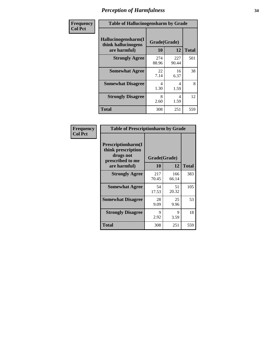| Frequency      | <b>Table of Hallucinogensharm by Grade</b>                 |                    |              |              |
|----------------|------------------------------------------------------------|--------------------|--------------|--------------|
| <b>Col Pct</b> | Hallucinogensharm(I<br>think hallucinogens<br>are harmful) | Grade(Grade)<br>10 | 12           | <b>Total</b> |
|                | <b>Strongly Agree</b>                                      | 274<br>88.96       | 227<br>90.44 | 501          |
|                | <b>Somewhat Agree</b>                                      | 22<br>7.14         | 16<br>6.37   | 38           |
|                | <b>Somewhat Disagree</b>                                   | 4<br>1.30          | 4<br>1.59    | 8            |
|                | <b>Strongly Disagree</b>                                   | 8<br>2.60          | 4<br>1.59    | 12           |
|                | <b>Total</b>                                               | 308                | 251          | 559          |

| <b>Table of Prescriptionharm by Grade</b>                                         |              |              |              |  |
|-----------------------------------------------------------------------------------|--------------|--------------|--------------|--|
| <b>Prescriptionharm(I)</b><br>think prescription<br>drugs not<br>prescribed to me | Grade(Grade) |              |              |  |
| are harmful)                                                                      | 10           | 12           | <b>Total</b> |  |
| <b>Strongly Agree</b>                                                             | 217<br>70.45 | 166<br>66.14 | 383          |  |
| <b>Somewhat Agree</b>                                                             | 54<br>17.53  | 51<br>20.32  | 105          |  |
| <b>Somewhat Disagree</b>                                                          | 28<br>9.09   | 25<br>9.96   | 53           |  |
| <b>Strongly Disagree</b>                                                          | 9<br>2.92    | 9<br>3.59    | 18           |  |
| <b>Total</b>                                                                      | 308          | 251          | 559          |  |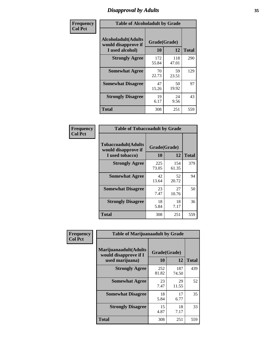# *Disapproval by Adults* **35**

| Frequency      | <b>Table of Alcoholadult by Grade</b>                                 |                    |              |              |
|----------------|-----------------------------------------------------------------------|--------------------|--------------|--------------|
| <b>Col Pct</b> | <b>Alcoholadult</b> (Adults<br>would disapprove if<br>I used alcohol) | Grade(Grade)<br>10 | 12           | <b>Total</b> |
|                | <b>Strongly Agree</b>                                                 | 172<br>55.84       | 118<br>47.01 | 290          |
|                | <b>Somewhat Agree</b>                                                 | 70<br>22.73        | 59<br>23.51  | 129          |
|                | <b>Somewhat Disagree</b>                                              | 47<br>15.26        | 50<br>19.92  | 97           |
|                | <b>Strongly Disagree</b>                                              | 19<br>6.17         | 24<br>9.56   | 43           |
|                | <b>Total</b>                                                          | 308                | 251          | 559          |

| <b>Table of Tobaccoadult by Grade</b>                                 |                    |              |              |  |  |
|-----------------------------------------------------------------------|--------------------|--------------|--------------|--|--|
| <b>Tobaccoadult</b> (Adults<br>would disapprove if<br>I used tobacco) | Grade(Grade)<br>10 | 12           | <b>Total</b> |  |  |
| <b>Strongly Agree</b>                                                 | 225<br>73.05       | 154<br>61.35 | 379          |  |  |
| <b>Somewhat Agree</b>                                                 | 42<br>13.64        | 52<br>20.72  | 94           |  |  |
| <b>Somewhat Disagree</b>                                              | 23<br>7.47         | 27<br>10.76  | 50           |  |  |
| <b>Strongly Disagree</b>                                              | 18<br>5.84         | 18<br>7.17   | 36           |  |  |
| <b>Total</b>                                                          | 308                | 251          | 559          |  |  |

| Frequency      | <b>Table of Marijuanaadult by Grade</b>                           |                    |              |              |  |
|----------------|-------------------------------------------------------------------|--------------------|--------------|--------------|--|
| <b>Col Pct</b> | Marijuanaadult(Adults<br>would disapprove if I<br>used marijuana) | Grade(Grade)<br>10 | 12           | <b>Total</b> |  |
|                | <b>Strongly Agree</b>                                             | 252<br>81.82       | 187<br>74.50 | 439          |  |
|                | <b>Somewhat Agree</b>                                             | 23<br>7.47         | 29<br>11.55  | 52           |  |
|                | <b>Somewhat Disagree</b>                                          | 18<br>5.84         | 17<br>6.77   | 35           |  |
|                | <b>Strongly Disagree</b>                                          | 15<br>4.87         | 18<br>7.17   | 33           |  |
|                | Total                                                             | 308                | 251          | 559          |  |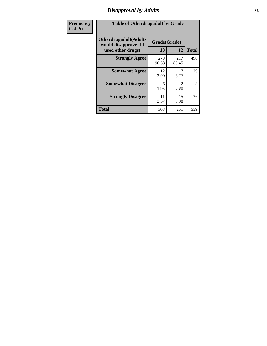# *Disapproval by Adults* **36**

| Frequency      | <b>Table of Otherdrugadult by Grade</b>                                     |                    |                               |              |
|----------------|-----------------------------------------------------------------------------|--------------------|-------------------------------|--------------|
| <b>Col Pct</b> | <b>Otherdrugadult</b> (Adults<br>would disapprove if I<br>used other drugs) | Grade(Grade)<br>10 | 12                            | <b>Total</b> |
|                | <b>Strongly Agree</b>                                                       | 279<br>90.58       | 217<br>86.45                  | 496          |
|                | <b>Somewhat Agree</b>                                                       | 12<br>3.90         | 17<br>6.77                    | 29           |
|                | <b>Somewhat Disagree</b>                                                    | 6<br>1.95          | $\mathcal{D}_{\cdot}$<br>0.80 | 8            |
|                | <b>Strongly Disagree</b>                                                    | 11<br>3.57         | 15<br>5.98                    | 26           |
|                | <b>Total</b>                                                                | 308                | 251                           | 559          |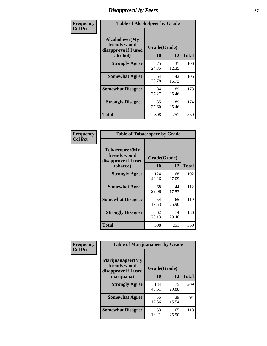# *Disapproval by Peers* **37**

| Frequency      | <b>Table of Alcoholpeer by Grade</b>                    |              |             |              |  |
|----------------|---------------------------------------------------------|--------------|-------------|--------------|--|
| <b>Col Pct</b> | Alcoholpeer(My<br>friends would<br>disapprove if I used | Grade(Grade) |             |              |  |
|                | alcohol)                                                | 10           | 12          | <b>Total</b> |  |
|                | <b>Strongly Agree</b>                                   | 75<br>24.35  | 31<br>12.35 | 106          |  |
|                | <b>Somewhat Agree</b>                                   | 64<br>20.78  | 42<br>16.73 | 106          |  |
|                | <b>Somewhat Disagree</b>                                | 84<br>27.27  | 89<br>35.46 | 173          |  |
|                | <b>Strongly Disagree</b>                                | 85<br>27.60  | 89<br>35.46 | 174          |  |
|                | Total                                                   | 308          | 251         | 559          |  |

| Frequency      | <b>Table of Tobaccopeer by Grade</b>                                |                    |             |              |  |
|----------------|---------------------------------------------------------------------|--------------------|-------------|--------------|--|
| <b>Col Pct</b> | Tobaccopeer(My<br>friends would<br>disapprove if I used<br>tobacco) | Grade(Grade)<br>10 | 12          | <b>Total</b> |  |
|                | <b>Strongly Agree</b>                                               | 124<br>40.26       | 68<br>27.09 | 192          |  |
|                | <b>Somewhat Agree</b>                                               | 68<br>22.08        | 44<br>17.53 | 112          |  |
|                | <b>Somewhat Disagree</b>                                            | 54<br>17.53        | 65<br>25.90 | 119          |  |
|                | <b>Strongly Disagree</b>                                            | 62<br>20.13        | 74<br>29.48 | 136          |  |
|                | <b>Total</b>                                                        | 308                | 251         | 559          |  |

| Frequency<br><b>Col Pct</b> | <b>Table of Marijuanapeer by Grade</b> |              |             |              |
|-----------------------------|----------------------------------------|--------------|-------------|--------------|
|                             | Marijuanapeer(My<br>friends would      | Grade(Grade) |             |              |
|                             | disapprove if I used<br>marijuana)     | 10           | 12          | <b>Total</b> |
|                             | <b>Strongly Agree</b>                  | 134<br>43.51 | 75<br>29.88 | 209          |
|                             | <b>Somewhat Agree</b>                  | 55<br>17.86  | 39<br>15.54 | 94           |
|                             | <b>Somewhat Disagree</b>               | 53<br>17.21  | 65<br>25.90 | 118          |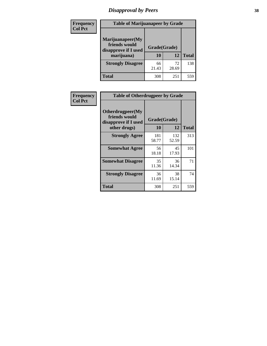# *Disapproval by Peers* **38**

| Frequency<br><b>Col Pct</b> | <b>Table of Marijuanapeer by Grade</b>                                  |                    |             |              |
|-----------------------------|-------------------------------------------------------------------------|--------------------|-------------|--------------|
|                             | Marijuanapeer(My<br>friends would<br>disapprove if I used<br>marijuana) | Grade(Grade)<br>10 | 12          | <b>Total</b> |
|                             | <b>Strongly Disagree</b>                                                | 66<br>21.43        | 72<br>28.69 | 138          |
|                             | Total                                                                   | 308                | 251         | 559          |

| Frequency      | <b>Table of Otherdrugpeer by Grade</b>                                    |                    |              |              |
|----------------|---------------------------------------------------------------------------|--------------------|--------------|--------------|
| <b>Col Pct</b> | Otherdrugpeer(My<br>friends would<br>disapprove if I used<br>other drugs) | Grade(Grade)<br>10 | 12           | <b>Total</b> |
|                | <b>Strongly Agree</b>                                                     | 181<br>58.77       | 132<br>52.59 | 313          |
|                | <b>Somewhat Agree</b>                                                     | 56<br>18.18        | 45<br>17.93  | 101          |
|                | <b>Somewhat Disagree</b>                                                  | 35<br>11.36        | 36<br>14.34  | 71           |
|                | <b>Strongly Disagree</b>                                                  | 36<br>11.69        | 38<br>15.14  | 74           |
|                | <b>Total</b>                                                              | 308                | 251          | 559          |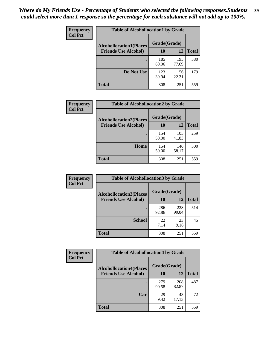| Frequency<br><b>Col Pct</b> | <b>Table of Alcohollocation1 by Grade</b> |              |              |              |
|-----------------------------|-------------------------------------------|--------------|--------------|--------------|
|                             | <b>Alcohollocation1(Places</b>            | Grade(Grade) |              |              |
|                             | <b>Friends Use Alcohol)</b>               | 10           | 12           | <b>Total</b> |
|                             |                                           | 185<br>60.06 | 195<br>77.69 | 380          |
|                             | Do Not Use                                | 123<br>39.94 | 56<br>22.31  | 179          |
|                             | <b>Total</b>                              | 308          | 251          | 559          |

| Frequency      | <b>Table of Alcohollocation2 by Grade</b>                     |                    |              |              |
|----------------|---------------------------------------------------------------|--------------------|--------------|--------------|
| <b>Col Pct</b> | <b>Alcohollocation2(Places</b><br><b>Friends Use Alcohol)</b> | Grade(Grade)<br>10 | 12           | <b>Total</b> |
|                |                                                               | 154<br>50.00       | 105<br>41.83 | 259          |
|                | Home                                                          | 154<br>50.00       | 146<br>58.17 | 300          |
|                | Total                                                         | 308                | 251          | 559          |

| <b>Frequency</b> | <b>Table of Alcohollocation 3 by Grade</b> |              |              |              |
|------------------|--------------------------------------------|--------------|--------------|--------------|
| <b>Col Pct</b>   | <b>Alcohollocation3(Places</b>             | Grade(Grade) |              |              |
|                  | <b>Friends Use Alcohol)</b>                | 10           | 12           | <b>Total</b> |
|                  |                                            | 286<br>92.86 | 228<br>90.84 | 514          |
|                  | <b>School</b>                              | 22<br>7.14   | 23<br>9.16   | 45           |
|                  | <b>Total</b>                               | 308          | 251          | 559          |

| Frequency      | <b>Table of Alcohollocation4 by Grade</b> |              |              |              |
|----------------|-------------------------------------------|--------------|--------------|--------------|
| <b>Col Pct</b> | <b>Alcohollocation4(Places</b>            | Grade(Grade) |              |              |
|                | <b>Friends Use Alcohol)</b>               | 10           | 12           | <b>Total</b> |
|                |                                           | 279<br>90.58 | 208<br>82.87 | 487          |
|                | Car                                       | 29<br>9.42   | 43<br>17.13  | 72           |
|                | <b>Total</b>                              | 308          | 251          | 559          |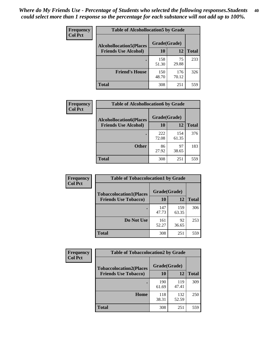| Frequency<br><b>Col Pct</b> | <b>Table of Alcohollocation5 by Grade</b> |              |              |              |
|-----------------------------|-------------------------------------------|--------------|--------------|--------------|
|                             | <b>Alcohollocation5(Places</b>            | Grade(Grade) |              |              |
|                             | <b>Friends Use Alcohol)</b>               | 10           | 12           | <b>Total</b> |
|                             |                                           | 158<br>51.30 | 75<br>29.88  | 233          |
|                             | <b>Friend's House</b>                     | 150<br>48.70 | 176<br>70.12 | 326          |
|                             | <b>Total</b>                              | 308          | 251          | 559          |

| Frequency      | <b>Table of Alcohollocation6 by Grade</b> |              |              |              |
|----------------|-------------------------------------------|--------------|--------------|--------------|
| <b>Col Pct</b> | <b>Alcohollocation6(Places</b>            | Grade(Grade) |              |              |
|                | <b>Friends Use Alcohol)</b>               | 10           | 12           | <b>Total</b> |
|                |                                           | 222<br>72.08 | 154<br>61.35 | 376          |
|                | <b>Other</b>                              | 86<br>27.92  | 97<br>38.65  | 183          |
|                | <b>Total</b>                              | 308          | 251          | 559          |

| Frequency      | <b>Table of Tobaccolocation1 by Grade</b> |              |              |              |
|----------------|-------------------------------------------|--------------|--------------|--------------|
| <b>Col Pct</b> | <b>Tobaccolocation1(Places</b>            | Grade(Grade) |              |              |
|                | <b>Friends Use Tobacco)</b>               | 10           | <b>12</b>    | <b>Total</b> |
|                |                                           | 147<br>47.73 | 159<br>63.35 | 306          |
|                | Do Not Use                                | 161<br>52.27 | 92<br>36.65  | 253          |
|                | <b>Total</b>                              | 308          | 251          | 559          |

| <b>Frequency</b> | <b>Table of Tobaccolocation2 by Grade</b> |              |              |              |  |
|------------------|-------------------------------------------|--------------|--------------|--------------|--|
| <b>Col Pct</b>   | <b>Tobaccolocation2(Places</b>            | Grade(Grade) |              |              |  |
|                  | <b>Friends Use Tobacco)</b>               | 10           | 12           | <b>Total</b> |  |
|                  |                                           | 190<br>61.69 | 119<br>47.41 | 309          |  |
|                  | Home                                      | 118<br>38.31 | 132<br>52.59 | 250          |  |
|                  | <b>Total</b>                              | 308          | 251          | 559          |  |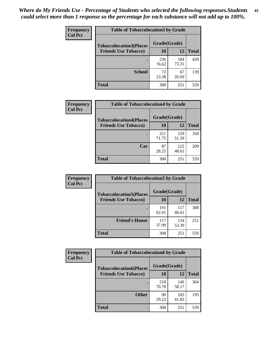| Frequency      | <b>Table of Tobaccolocation 3 by Grade</b> |              |              |              |
|----------------|--------------------------------------------|--------------|--------------|--------------|
| <b>Col Pct</b> | <b>Tobaccolocation3(Places</b>             | Grade(Grade) |              |              |
|                | <b>Friends Use Tobacco)</b>                | 10           | 12           | <b>Total</b> |
|                |                                            | 236<br>76.62 | 184<br>73.31 | 420          |
|                | <b>School</b>                              | 72<br>23.38  | 67<br>26.69  | 139          |
|                | <b>Total</b>                               | 308          | 251          | 559          |

| Frequency      | <b>Table of Tobaccolocation4 by Grade</b> |              |              |              |
|----------------|-------------------------------------------|--------------|--------------|--------------|
| <b>Col Pct</b> | <b>Tobaccolocation4(Places</b>            | Grade(Grade) |              |              |
|                | <b>Friends Use Tobacco)</b>               | 10           | 12           | <b>Total</b> |
|                |                                           | 221<br>71.75 | 129<br>51.39 | 350          |
|                | Car                                       | 87<br>28.25  | 122<br>48.61 | 209          |
|                | <b>Total</b>                              | 308          | 251          | 559          |

| Frequency      | <b>Table of Tobaccolocation5 by Grade</b>                     |                    |              |              |  |
|----------------|---------------------------------------------------------------|--------------------|--------------|--------------|--|
| <b>Col Pct</b> | <b>Tobaccolocation5(Places</b><br><b>Friends Use Tobacco)</b> | Grade(Grade)<br>10 | 12           | <b>Total</b> |  |
|                |                                                               | 191<br>62.01       | 117<br>46.61 | 308          |  |
|                | <b>Friend's House</b>                                         | 117<br>37.99       | 134<br>53.39 | 251          |  |
|                | <b>Total</b>                                                  | 308                | 251          | 559          |  |

| <b>Frequency</b> | <b>Table of Tobaccolocation6 by Grade</b> |              |              |              |  |
|------------------|-------------------------------------------|--------------|--------------|--------------|--|
| <b>Col Pct</b>   | <b>Tobaccolocation6(Places</b>            | Grade(Grade) |              |              |  |
|                  | <b>Friends Use Tobacco)</b>               | 10           | 12           | <b>Total</b> |  |
|                  |                                           | 218<br>70.78 | 146<br>58.17 | 364          |  |
|                  | <b>Other</b>                              | 90<br>29.22  | 105<br>41.83 | 195          |  |
|                  | <b>Total</b>                              | 308          | 251          | 559          |  |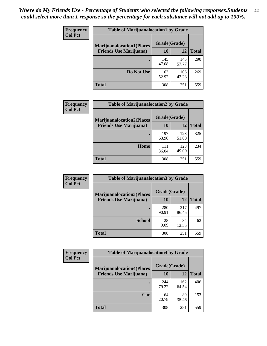| <b>Frequency</b> | <b>Table of Marijuanalocation1 by Grade</b> |              |              |              |
|------------------|---------------------------------------------|--------------|--------------|--------------|
| <b>Col Pct</b>   | <b>Marijuanalocation1(Places</b>            | Grade(Grade) |              |              |
|                  | <b>Friends Use Marijuana</b> )              | 10           | 12           | <b>Total</b> |
|                  |                                             | 145<br>47.08 | 145<br>57.77 | 290          |
|                  | Do Not Use                                  | 163<br>52.92 | 106<br>42.23 | 269          |
|                  | <b>Total</b>                                | 308          | 251          | 559          |

| <b>Frequency</b> | <b>Table of Marijuanalocation2 by Grade</b>                        |                    |              |              |
|------------------|--------------------------------------------------------------------|--------------------|--------------|--------------|
| <b>Col Pct</b>   | <b>Marijuanalocation2(Places</b><br><b>Friends Use Marijuana</b> ) | Grade(Grade)<br>10 | 12           | <b>Total</b> |
|                  |                                                                    | 197<br>63.96       | 128<br>51.00 | 325          |
|                  | Home                                                               | 111<br>36.04       | 123<br>49.00 | 234          |
|                  | <b>Total</b>                                                       | 308                | 251          | 559          |

| <b>Frequency</b><br><b>Col Pct</b> | <b>Table of Marijuanalocation3 by Grade</b> |              |              |              |
|------------------------------------|---------------------------------------------|--------------|--------------|--------------|
|                                    | <b>Marijuanalocation3</b> (Places           | Grade(Grade) |              |              |
|                                    | <b>Friends Use Marijuana</b> )              | <b>10</b>    | 12           | <b>Total</b> |
|                                    |                                             | 280<br>90.91 | 217<br>86.45 | 497          |
|                                    | <b>School</b>                               | 28<br>9.09   | 34<br>13.55  | 62           |
|                                    | <b>Total</b>                                | 308          | 251          | 559          |

| <b>Frequency</b> | <b>Table of Marijuanalocation4 by Grade</b> |              |              |              |  |
|------------------|---------------------------------------------|--------------|--------------|--------------|--|
| <b>Col Pct</b>   | <b>Marijuanalocation4(Places</b>            | Grade(Grade) |              |              |  |
|                  | <b>Friends Use Marijuana</b> )              | <b>10</b>    | 12           | <b>Total</b> |  |
|                  |                                             | 244<br>79.22 | 162<br>64.54 | 406          |  |
|                  | Car                                         | 64<br>20.78  | 89<br>35.46  | 153          |  |
|                  | <b>Total</b>                                | 308          | 251          | 559          |  |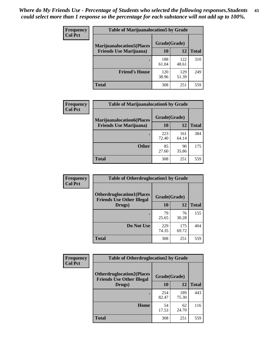| <b>Frequency</b> | <b>Table of Marijuanalocation5 by Grade</b> |              |              |              |
|------------------|---------------------------------------------|--------------|--------------|--------------|
| <b>Col Pct</b>   | <b>Marijuanalocation5</b> (Places           | Grade(Grade) |              |              |
|                  | <b>Friends Use Marijuana</b> )              | 10           | 12           | <b>Total</b> |
|                  |                                             | 188<br>61.04 | 122<br>48.61 | 310          |
|                  | <b>Friend's House</b>                       | 120<br>38.96 | 129<br>51.39 | 249          |
|                  | <b>Total</b>                                | 308          | 251          | 559          |

| <b>Frequency</b> | <b>Table of Marijuanalocation6 by Grade</b>                        |                    |              |              |
|------------------|--------------------------------------------------------------------|--------------------|--------------|--------------|
| <b>Col Pct</b>   | <b>Marijuanalocation6(Places</b><br><b>Friends Use Marijuana</b> ) | Grade(Grade)<br>10 | 12           | <b>Total</b> |
|                  |                                                                    | 223<br>72.40       | 161<br>64.14 | 384          |
|                  | <b>Other</b>                                                       | 85<br>27.60        | 90<br>35.86  | 175          |
|                  | <b>Total</b>                                                       | 308                | 251          | 559          |

| Frequency      | <b>Table of Otherdruglocation1 by Grade</b>                          |              |              |              |
|----------------|----------------------------------------------------------------------|--------------|--------------|--------------|
| <b>Col Pct</b> | <b>Otherdruglocation1(Places</b><br><b>Friends Use Other Illegal</b> | Grade(Grade) |              |              |
|                | Drugs)                                                               | 10           | 12           | <b>Total</b> |
|                |                                                                      | 79<br>25.65  | 76<br>30.28  | 155          |
|                | Do Not Use                                                           | 229<br>74.35 | 175<br>69.72 | 404          |
|                | <b>Total</b>                                                         | 308          | 251          | 559          |

| <b>Frequency</b> | <b>Table of Otherdruglocation2 by Grade</b>                          |              |              |              |
|------------------|----------------------------------------------------------------------|--------------|--------------|--------------|
| <b>Col Pct</b>   | <b>Otherdruglocation2(Places</b><br><b>Friends Use Other Illegal</b> | Grade(Grade) |              |              |
|                  | Drugs)                                                               | 10           | 12           | <b>Total</b> |
|                  |                                                                      | 254<br>82.47 | 189<br>75.30 | 443          |
|                  | <b>Home</b>                                                          | 54<br>17.53  | 62<br>24.70  | 116          |
|                  | <b>Total</b>                                                         | 308          | 251          | 559          |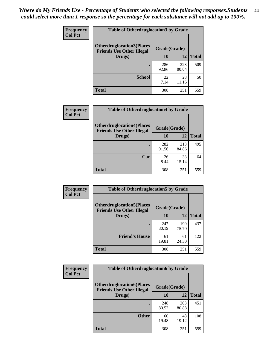| <b>Frequency</b> | <b>Table of Otherdruglocation 3 by Grade</b>                         |              |              |              |
|------------------|----------------------------------------------------------------------|--------------|--------------|--------------|
| <b>Col Pct</b>   | <b>Otherdruglocation3(Places</b><br><b>Friends Use Other Illegal</b> | Grade(Grade) |              |              |
|                  | Drugs)                                                               | <b>10</b>    | 12           | <b>Total</b> |
|                  |                                                                      | 286<br>92.86 | 223<br>88.84 | 509          |
|                  | <b>School</b>                                                        | 22<br>7.14   | 28<br>11.16  | 50           |
|                  | <b>Total</b>                                                         | 308          | 251          | 559          |

| Frequency      | <b>Table of Otherdruglocation4 by Grade</b>                          |              |              |              |
|----------------|----------------------------------------------------------------------|--------------|--------------|--------------|
| <b>Col Pct</b> | <b>Otherdruglocation4(Places</b><br><b>Friends Use Other Illegal</b> | Grade(Grade) |              |              |
|                | Drugs)                                                               | 10           | 12           | <b>Total</b> |
|                |                                                                      | 282<br>91.56 | 213<br>84.86 | 495          |
|                | Car                                                                  | 26<br>8.44   | 38<br>15.14  | 64           |
|                | <b>Total</b>                                                         | 308          | 251          | 559          |

| Frequency      | <b>Table of Otherdruglocation5 by Grade</b>                          |              |              |              |
|----------------|----------------------------------------------------------------------|--------------|--------------|--------------|
| <b>Col Pct</b> | <b>Otherdruglocation5(Places</b><br><b>Friends Use Other Illegal</b> | Grade(Grade) |              |              |
|                | Drugs)                                                               | 10           | 12           | <b>Total</b> |
|                |                                                                      | 247<br>80.19 | 190<br>75.70 | 437          |
|                | <b>Friend's House</b>                                                | 61<br>19.81  | 61<br>24.30  | 122          |
|                | <b>Total</b>                                                         | 308          | 251          | 559          |

| <b>Frequency</b> | <b>Table of Otherdruglocation6 by Grade</b>                          |              |              |              |
|------------------|----------------------------------------------------------------------|--------------|--------------|--------------|
| <b>Col Pct</b>   | <b>Otherdruglocation6(Places</b><br><b>Friends Use Other Illegal</b> | Grade(Grade) |              |              |
|                  | Drugs)                                                               | 10           | 12           | <b>Total</b> |
|                  |                                                                      | 248<br>80.52 | 203<br>80.88 | 451          |
|                  | <b>Other</b>                                                         | 60<br>19.48  | 48<br>19.12  | 108          |
|                  | <b>Total</b>                                                         | 308          | 251          | 559          |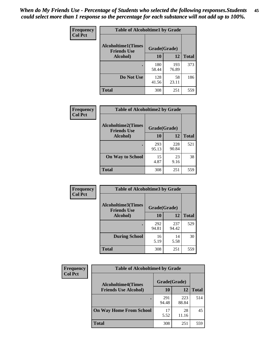| Frequency      | <b>Table of Alcoholtime1 by Grade</b>           |              |              |              |
|----------------|-------------------------------------------------|--------------|--------------|--------------|
| <b>Col Pct</b> | <b>Alcoholtime1(Times</b><br><b>Friends Use</b> | Grade(Grade) |              |              |
|                | Alcohol)                                        | 10           | 12           | <b>Total</b> |
|                |                                                 | 180<br>58.44 | 193<br>76.89 | 373          |
|                | Do Not Use                                      | 128<br>41.56 | 58<br>23.11  | 186          |
|                | <b>Total</b>                                    | 308          | 251          | 559          |

| Frequency      | <b>Table of Alcoholtime2 by Grade</b>           |              |              |              |
|----------------|-------------------------------------------------|--------------|--------------|--------------|
| <b>Col Pct</b> | <b>Alcoholtime2(Times</b><br><b>Friends Use</b> | Grade(Grade) |              |              |
|                | Alcohol)                                        | 10           | 12           | <b>Total</b> |
|                |                                                 | 293<br>95.13 | 228<br>90.84 | 521          |
|                | <b>On Way to School</b>                         | 15<br>4.87   | 23<br>9.16   | 38           |
|                | <b>Total</b>                                    | 308          | 251          | 559          |

| Frequency      | <b>Table of Alcoholtime3 by Grade</b>           |              |              |              |
|----------------|-------------------------------------------------|--------------|--------------|--------------|
| <b>Col Pct</b> | <b>Alcoholtime3(Times</b><br><b>Friends Use</b> | Grade(Grade) |              |              |
|                | Alcohol)                                        | 10           | 12           | <b>Total</b> |
|                |                                                 | 292<br>94.81 | 237<br>94.42 | 529          |
|                | <b>During School</b>                            | 16<br>5.19   | 14<br>5.58   | 30           |
|                | <b>Total</b>                                    | 308          | 251          | 559          |

| Frequency<br><b>Col Pct</b> | <b>Table of Alcoholtime4 by Grade</b> |              |              |              |
|-----------------------------|---------------------------------------|--------------|--------------|--------------|
|                             | <b>Alcoholtime4(Times</b>             | Grade(Grade) |              |              |
|                             | <b>Friends Use Alcohol)</b>           | 10           | 12           | <b>Total</b> |
|                             |                                       | 291<br>94.48 | 223<br>88.84 | 514          |
|                             | <b>On Way Home From School</b>        | 17<br>5.52   | 28<br>11.16  | 45           |
|                             | Total                                 | 308          | 251          | 559          |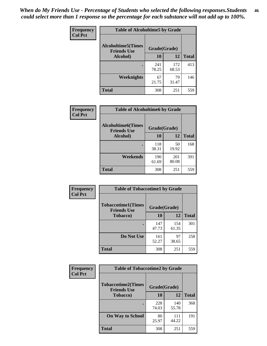*When do My Friends Use - Percentage of Students who selected the following responses.Students could select more than 1 response so the percentage for each substance will not add up to 100%.* **46**

| Frequency      | <b>Table of Alcoholtime5 by Grade</b>           |              |              |              |
|----------------|-------------------------------------------------|--------------|--------------|--------------|
| <b>Col Pct</b> | <b>Alcoholtime5(Times</b><br><b>Friends Use</b> | Grade(Grade) |              |              |
|                | Alcohol)                                        | 10           | 12           | <b>Total</b> |
|                |                                                 | 241<br>78.25 | 172<br>68.53 | 413          |
|                | Weeknights                                      | 67<br>21.75  | 79<br>31.47  | 146          |
|                | <b>Total</b>                                    | 308          | 251          | 559          |

| Frequency      | <b>Table of Alcoholtime6 by Grade</b>           |              |              |              |
|----------------|-------------------------------------------------|--------------|--------------|--------------|
| <b>Col Pct</b> | <b>Alcoholtime6(Times</b><br><b>Friends Use</b> | Grade(Grade) |              |              |
|                | Alcohol)                                        | 10           | 12           | <b>Total</b> |
|                |                                                 | 118<br>38.31 | 50<br>19.92  | 168          |
|                | Weekends                                        | 190<br>61.69 | 201<br>80.08 | 391          |
|                | <b>Total</b>                                    | 308          | 251          | 559          |

| <b>Frequency</b> | <b>Table of Tobaccotime1 by Grade</b>           |              |              |              |
|------------------|-------------------------------------------------|--------------|--------------|--------------|
| <b>Col Pct</b>   | <b>Tobaccotime1(Times</b><br><b>Friends Use</b> | Grade(Grade) |              |              |
|                  | <b>Tobacco</b> )                                | 10           | 12           | <b>Total</b> |
|                  |                                                 | 147<br>47.73 | 154<br>61.35 | 301          |
|                  | Do Not Use                                      | 161<br>52.27 | 97<br>38.65  | 258          |
|                  | <b>Total</b>                                    | 308          | 251          | 559          |

| <b>Frequency</b> | <b>Table of Tobaccotime2 by Grade</b>           |              |              |              |
|------------------|-------------------------------------------------|--------------|--------------|--------------|
| <b>Col Pct</b>   | <b>Tobaccotime2(Times</b><br><b>Friends Use</b> | Grade(Grade) |              |              |
|                  | <b>Tobacco</b> )                                | 10           | 12           | <b>Total</b> |
|                  |                                                 | 228<br>74.03 | 140<br>55.78 | 368          |
|                  | <b>On Way to School</b>                         | 80<br>25.97  | 111<br>44.22 | 191          |
|                  | Total                                           | 308          | 251          | 559          |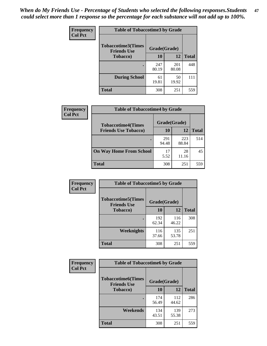*When do My Friends Use - Percentage of Students who selected the following responses.Students could select more than 1 response so the percentage for each substance will not add up to 100%.* **47**

| <b>Frequency</b> | <b>Table of Tobaccotime3 by Grade</b>           |              |              |              |  |
|------------------|-------------------------------------------------|--------------|--------------|--------------|--|
| <b>Col Pct</b>   | <b>Tobaccotime3(Times</b><br><b>Friends Use</b> | Grade(Grade) |              |              |  |
|                  | <b>Tobacco</b> )                                | 10           | 12           | <b>Total</b> |  |
|                  |                                                 | 247<br>80.19 | 201<br>80.08 | 448          |  |
|                  | <b>During School</b>                            | 61<br>19.81  | 50<br>19.92  | 111          |  |
|                  | <b>Total</b>                                    | 308          | 251          | 559          |  |

| <b>Frequency</b><br><b>Col Pct</b> | <b>Table of Tobaccotime4 by Grade</b> |              |              |              |
|------------------------------------|---------------------------------------|--------------|--------------|--------------|
|                                    | <b>Tobaccotime4(Times</b>             | Grade(Grade) |              |              |
|                                    | <b>Friends Use Tobacco)</b>           | 10           | 12           | <b>Total</b> |
|                                    |                                       | 291<br>94.48 | 223<br>88.84 | 514          |
|                                    | <b>On Way Home From School</b>        | 17<br>5.52   | 28<br>11.16  | 45           |
|                                    | Total                                 | 308          | 251          | 559          |

| Frequency      | <b>Table of Tobaccotime5 by Grade</b>           |              |              |              |
|----------------|-------------------------------------------------|--------------|--------------|--------------|
| <b>Col Pct</b> | <b>Tobaccotime5(Times</b><br><b>Friends Use</b> | Grade(Grade) |              |              |
|                | <b>Tobacco</b> )                                | 10           | 12           | <b>Total</b> |
|                |                                                 | 192<br>62.34 | 116<br>46.22 | 308          |
|                | Weeknights                                      | 116<br>37.66 | 135<br>53.78 | 251          |
|                | <b>Total</b>                                    | 308          | 251          | 559          |

| Frequency      | <b>Table of Tobaccotime6 by Grade</b>           |              |              |              |
|----------------|-------------------------------------------------|--------------|--------------|--------------|
| <b>Col Pct</b> | <b>Tobaccotime6(Times</b><br><b>Friends Use</b> | Grade(Grade) |              |              |
|                | <b>Tobacco</b> )                                | 10           | 12           | <b>Total</b> |
|                |                                                 | 174<br>56.49 | 112<br>44.62 | 286          |
|                | Weekends                                        | 134<br>43.51 | 139<br>55.38 | 273          |
|                | <b>Total</b>                                    | 308          | 251          | 559          |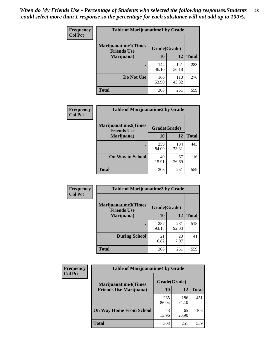| Frequency      | <b>Table of Marijuanatime1 by Grade</b>           |              |              |              |  |
|----------------|---------------------------------------------------|--------------|--------------|--------------|--|
| <b>Col Pct</b> | <b>Marijuanatime1(Times</b><br><b>Friends Use</b> | Grade(Grade) |              |              |  |
|                | Marijuana)                                        | 10           | 12           | <b>Total</b> |  |
|                |                                                   | 142<br>46.10 | 141<br>56.18 | 283          |  |
|                | Do Not Use                                        | 166<br>53.90 | 110<br>43.82 | 276          |  |
|                | <b>Total</b>                                      | 308          | 251          | 559          |  |

| Frequency      | <b>Table of Marijuanatime2 by Grade</b>    |              |              |              |
|----------------|--------------------------------------------|--------------|--------------|--------------|
| <b>Col Pct</b> | Marijuanatime2(Times<br><b>Friends Use</b> | Grade(Grade) |              |              |
|                | Marijuana)                                 | 10           | 12           | <b>Total</b> |
|                |                                            | 259<br>84.09 | 184<br>73.31 | 443          |
|                | <b>On Way to School</b>                    | 49<br>15.91  | 67<br>26.69  | 116          |
|                | <b>Total</b>                               | 308          | 251          | 559          |

| Frequency      | <b>Table of Marijuanatime3 by Grade</b>    |              |              |              |
|----------------|--------------------------------------------|--------------|--------------|--------------|
| <b>Col Pct</b> | Marijuanatime3(Times<br><b>Friends Use</b> | Grade(Grade) |              |              |
|                | Marijuana)                                 | 10           | 12           | <b>Total</b> |
|                |                                            | 287<br>93.18 | 231<br>92.03 | 518          |
|                | <b>During School</b>                       | 21<br>6.82   | 20<br>7.97   | 41           |
|                | <b>Total</b>                               | 308          | 251          | 559          |

| <b>Frequency</b> | <b>Table of Marijuanatime4 by Grade</b> |              |              |       |
|------------------|-----------------------------------------|--------------|--------------|-------|
| <b>Col Pct</b>   | <b>Marijuanatime4(Times</b>             | Grade(Grade) |              |       |
|                  | <b>Friends Use Marijuana</b> )          | 10           | 12           | Total |
|                  |                                         | 265<br>86.04 | 186<br>74.10 | 451   |
|                  | <b>On Way Home From School</b>          | 43<br>13.96  | 65<br>25.90  | 108   |
|                  | <b>Total</b>                            | 308          | 251          | 559   |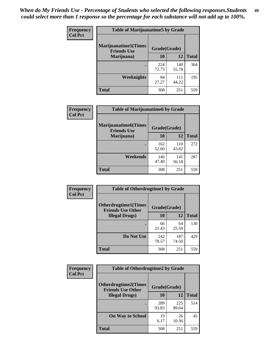| Frequency      | <b>Table of Marijuanatime5 by Grade</b>            |              |              |              |
|----------------|----------------------------------------------------|--------------|--------------|--------------|
| <b>Col Pct</b> | <b>Marijuanatime5</b> (Times<br><b>Friends Use</b> | Grade(Grade) |              |              |
|                | Marijuana)                                         | 10           | 12           | <b>Total</b> |
|                |                                                    | 224<br>72.73 | 140<br>55.78 | 364          |
|                | Weeknights                                         | 84<br>27.27  | 111<br>44.22 | 195          |
|                | <b>Total</b>                                       | 308          | 251          | 559          |

| Frequency      | <b>Table of Marijuanatime6 by Grade</b>            |              |              |              |
|----------------|----------------------------------------------------|--------------|--------------|--------------|
| <b>Col Pct</b> | <b>Marijuanatime6</b> (Times<br><b>Friends Use</b> | Grade(Grade) |              |              |
|                | Marijuana)                                         | 10           | 12           | <b>Total</b> |
|                |                                                    | 162<br>52.60 | 110<br>43.82 | 272          |
|                | Weekends                                           | 146<br>47.40 | 141<br>56.18 | 287          |
|                | <b>Total</b>                                       | 308          | 251          | 559          |

| Frequency      | <b>Table of Otherdrugtime1 by Grade</b>                 |              |              |              |
|----------------|---------------------------------------------------------|--------------|--------------|--------------|
| <b>Col Pct</b> | <b>Otherdrugtime1(Times</b><br><b>Friends Use Other</b> | Grade(Grade) |              |              |
|                | <b>Illegal Drugs</b> )                                  | 10           | 12           | <b>Total</b> |
|                |                                                         | 66<br>21.43  | 64<br>25.50  | 130          |
|                | Do Not Use                                              | 242<br>78.57 | 187<br>74.50 | 429          |
|                | Total                                                   | 308          | 251          | 559          |

| <b>Frequency</b> | <b>Table of Otherdrugtime2 by Grade</b>                 |              |              |              |  |  |
|------------------|---------------------------------------------------------|--------------|--------------|--------------|--|--|
| <b>Col Pct</b>   | <b>Otherdrugtime2(Times</b><br><b>Friends Use Other</b> | Grade(Grade) |              |              |  |  |
|                  | <b>Illegal Drugs</b> )                                  | 10           | 12           | <b>Total</b> |  |  |
|                  |                                                         | 289<br>93.83 | 225<br>89.64 | 514          |  |  |
|                  | <b>On Way to School</b>                                 | 19<br>6.17   | 26<br>10.36  | 45           |  |  |
|                  | Total                                                   | 308          | 251          | 559          |  |  |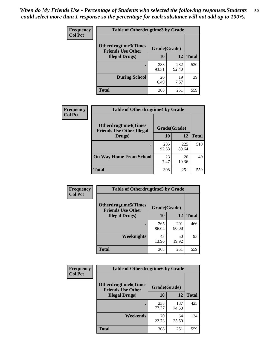| <b>Frequency</b> | <b>Table of Otherdrugtime3 by Grade</b>                                                                |              |              |              |
|------------------|--------------------------------------------------------------------------------------------------------|--------------|--------------|--------------|
| <b>Col Pct</b>   | Otherdrugtime3(Times<br>Grade(Grade)<br><b>Friends Use Other</b><br>12<br>10<br><b>Illegal Drugs</b> ) |              |              |              |
|                  |                                                                                                        |              |              | <b>Total</b> |
|                  |                                                                                                        | 288<br>93.51 | 232<br>92.43 | 520          |
|                  | <b>During School</b>                                                                                   | 20<br>6.49   | 19<br>7.57   | 39           |
|                  | <b>Total</b>                                                                                           | 308          | 251          | 559          |

| <b>Frequency</b> | <b>Table of Otherdrugtime4 by Grade</b>                         |              |              |              |  |  |
|------------------|-----------------------------------------------------------------|--------------|--------------|--------------|--|--|
| <b>Col Pct</b>   | <b>Otherdrugtime4(Times</b><br><b>Friends Use Other Illegal</b> | Grade(Grade) |              |              |  |  |
|                  | Drugs)                                                          | 10           | 12           | <b>Total</b> |  |  |
|                  | $\bullet$                                                       | 285<br>92.53 | 225<br>89.64 | 510          |  |  |
|                  | <b>On Way Home From School</b>                                  | 23<br>7.47   | 26<br>10.36  | 49           |  |  |
|                  | <b>Total</b>                                                    | 308          | 251          | 559          |  |  |

| <b>Frequency</b> | <b>Table of Otherdrugtime5 by Grade</b>                  |              |              |              |  |  |
|------------------|----------------------------------------------------------|--------------|--------------|--------------|--|--|
| <b>Col Pct</b>   | <b>Otherdrugtime5</b> (Times<br><b>Friends Use Other</b> | Grade(Grade) |              |              |  |  |
|                  | <b>Illegal Drugs</b> )                                   | 10           | 12           | <b>Total</b> |  |  |
|                  |                                                          | 265<br>86.04 | 201<br>80.08 | 466          |  |  |
|                  | Weeknights                                               | 43<br>13.96  | 50<br>19.92  | 93           |  |  |
|                  | Total                                                    | 308          | 251          | 559          |  |  |

| Frequency      | <b>Table of Otherdrugtime6 by Grade</b>                 |              |              |              |  |
|----------------|---------------------------------------------------------|--------------|--------------|--------------|--|
| <b>Col Pct</b> | <b>Otherdrugtime6(Times</b><br><b>Friends Use Other</b> | Grade(Grade) |              |              |  |
|                | <b>Illegal Drugs</b> )                                  | 10           | 12           | <b>Total</b> |  |
|                |                                                         | 238<br>77.27 | 187<br>74.50 | 425          |  |
|                | Weekends                                                | 70<br>22.73  | 64<br>25.50  | 134          |  |
|                | <b>Total</b>                                            | 308          | 251          | 559          |  |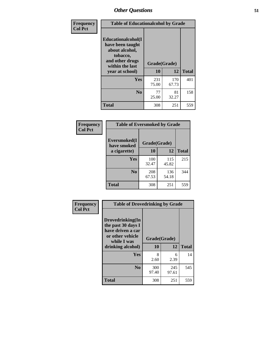| Frequency      | <b>Table of Educationalcohol by Grade</b>                                                                  |              |              |              |  |  |
|----------------|------------------------------------------------------------------------------------------------------------|--------------|--------------|--------------|--|--|
| <b>Col Pct</b> | Educationalcohol(I<br>have been taught<br>about alcohol,<br>tobacco,<br>and other drugs<br>within the last | Grade(Grade) |              |              |  |  |
|                | year at school)                                                                                            | 10           | 12           | <b>Total</b> |  |  |
|                | <b>Yes</b>                                                                                                 | 231<br>75.00 | 170<br>67.73 | 401          |  |  |
|                | N <sub>0</sub>                                                                                             | 77<br>25.00  | 81<br>32.27  | 158          |  |  |
|                | <b>Total</b>                                                                                               | 308          | 251          | 559          |  |  |

| Frequency      | <b>Table of Eversmoked by Grade</b> |              |              |              |  |  |  |
|----------------|-------------------------------------|--------------|--------------|--------------|--|--|--|
| <b>Col Pct</b> | Eversmoked(I<br>have smoked         | Grade(Grade) |              |              |  |  |  |
|                | a cigarette)                        | 10           | 12           | <b>Total</b> |  |  |  |
|                | Yes                                 | 100<br>32.47 | 115<br>45.82 | 215          |  |  |  |
|                | N <sub>0</sub>                      | 208<br>67.53 | 136<br>54.18 | 344          |  |  |  |
|                | <b>Total</b>                        | 308          | 251          | 559          |  |  |  |

| Frequency      | <b>Table of Drovedrinking by Grade</b>                                                                              |                    |              |              |  |  |
|----------------|---------------------------------------------------------------------------------------------------------------------|--------------------|--------------|--------------|--|--|
| <b>Col Pct</b> | Drovedrinking(In<br>the past 30 days I<br>have driven a car<br>or other vehicle<br>while I was<br>drinking alcohol) | Grade(Grade)<br>10 | 12           | <b>Total</b> |  |  |
|                | <b>Yes</b>                                                                                                          | 8<br>2.60          | 6<br>2.39    | 14           |  |  |
|                | N <sub>0</sub>                                                                                                      | 300<br>97.40       | 245<br>97.61 | 545          |  |  |
|                | <b>Total</b>                                                                                                        | 308                | 251          | 559          |  |  |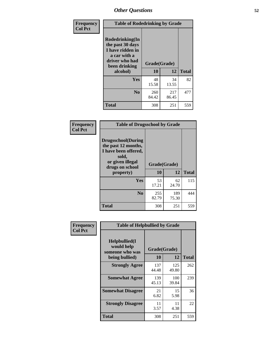| Frequency<br><b>Col Pct</b> | <b>Table of Rodedrinking by Grade</b>                                                                      |              |              |              |  |  |  |
|-----------------------------|------------------------------------------------------------------------------------------------------------|--------------|--------------|--------------|--|--|--|
|                             | Rodedrinking(In<br>the past 30 days<br>I have ridden in<br>a car with a<br>driver who had<br>been drinking | Grade(Grade) |              |              |  |  |  |
|                             | alcohol)                                                                                                   | 10           | 12           | <b>Total</b> |  |  |  |
|                             | <b>Yes</b>                                                                                                 | 48<br>15.58  | 34<br>13.55  | 82           |  |  |  |
|                             | N <sub>0</sub>                                                                                             | 260<br>84.42 | 217<br>86.45 | 477          |  |  |  |
|                             | <b>Total</b>                                                                                               | 308          | 251          | 559          |  |  |  |

#### **Frequency Col Pct**

| <b>Table of Drugsschool by Grade</b>                                                                                                   |                    |              |              |  |  |  |
|----------------------------------------------------------------------------------------------------------------------------------------|--------------------|--------------|--------------|--|--|--|
| <b>Drugsschool</b> (During<br>the past 12 months,<br>I have been offered,<br>sold,<br>or given illegal<br>drugs on school<br>property) | Grade(Grade)<br>10 | 12           | <b>Total</b> |  |  |  |
|                                                                                                                                        |                    |              |              |  |  |  |
|                                                                                                                                        |                    |              |              |  |  |  |
| Yes                                                                                                                                    | 53<br>17.21        | 62<br>24.70  | 115          |  |  |  |
| N <sub>0</sub>                                                                                                                         | 255<br>82.79       | 189<br>75.30 | 444          |  |  |  |

| Frequency      | <b>Table of Helpbullied by Grade</b>           |              |              |              |  |  |  |
|----------------|------------------------------------------------|--------------|--------------|--------------|--|--|--|
| <b>Col Pct</b> | Helpbullied(I<br>would help<br>someone who was | Grade(Grade) |              |              |  |  |  |
|                | being bullied)                                 | 10           | 12           | <b>Total</b> |  |  |  |
|                | <b>Strongly Agree</b>                          | 137<br>44.48 | 125<br>49.80 | 262          |  |  |  |
|                | <b>Somewhat Agree</b>                          | 139<br>45.13 | 100<br>39.84 | 239          |  |  |  |
|                | <b>Somewhat Disagree</b>                       | 21<br>6.82   | 15<br>5.98   | 36           |  |  |  |
|                | <b>Strongly Disagree</b>                       | 11<br>3.57   | 11<br>4.38   | 22           |  |  |  |
|                | <b>Total</b>                                   | 308          | 251          | 559          |  |  |  |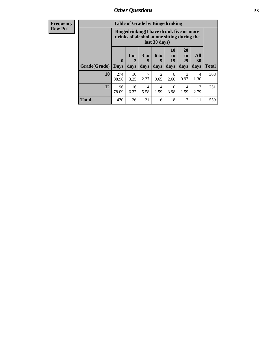| <b>Frequency</b> | <b>Table of Grade by Bingedrinking</b> |                                                                                                         |                   |                   |                          |                        |                                           |                        |              |
|------------------|----------------------------------------|---------------------------------------------------------------------------------------------------------|-------------------|-------------------|--------------------------|------------------------|-------------------------------------------|------------------------|--------------|
| <b>Row Pct</b>   |                                        | Bingedrinking(I have drunk five or more<br>drinks of alcohol at one sitting during the<br>last 30 days) |                   |                   |                          |                        |                                           |                        |              |
|                  | Grade(Grade)                           | $\mathbf{0}$<br><b>Days</b>                                                                             | 1 or<br>2<br>days | 3 to<br>5<br>days | <b>6 to</b><br>9<br>days | 10<br>to<br>19<br>days | <b>20</b><br>t <sub>0</sub><br>29<br>days | All<br>30<br>days      | <b>Total</b> |
|                  | 10                                     | 274<br>88.96                                                                                            | 10<br>3.25        | 7<br>2.27         | 2<br>0.65                | 8<br>2.60              | 3<br>0.97                                 | $\overline{4}$<br>1.30 | 308          |
|                  | 12                                     | 196<br>78.09                                                                                            | 16<br>6.37        | 14<br>5.58        | 4<br>1.59                | 10<br>3.98             | 4<br>1.59                                 | 7<br>2.79              | 251          |
|                  | <b>Total</b>                           | 470                                                                                                     | 26                | 21                | 6                        | 18                     | 7                                         | 11                     | 559          |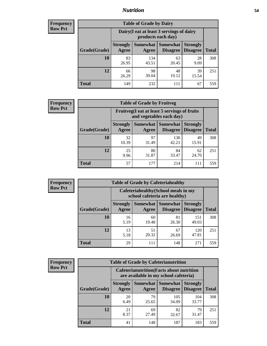## *Nutrition* **54**

| <b>Frequency</b><br>Row Pct |
|-----------------------------|
|                             |

| <b>Table of Grade by Dairy</b> |                          |                                                                 |                                    |                                    |              |  |
|--------------------------------|--------------------------|-----------------------------------------------------------------|------------------------------------|------------------------------------|--------------|--|
|                                |                          | Dairy (I eat at least 3 servings of dairy<br>products each day) |                                    |                                    |              |  |
| Grade(Grade)                   | <b>Strongly</b><br>Agree | <b>Somewhat</b><br>Agree                                        | <b>Somewhat</b><br><b>Disagree</b> | <b>Strongly</b><br><b>Disagree</b> | <b>Total</b> |  |
| 10                             | 83<br>26.95              | 134<br>43.51                                                    | 63<br>20.45                        | 28<br>9.09                         | 308          |  |
| 12                             | 66<br>26.29              | 98<br>39.04                                                     | 48<br>19.12                        | 39<br>15.54                        | 251          |  |
| <b>Total</b>                   | 149                      | 232                                                             | 111                                | 67                                 | 559          |  |

| <b>Frequency</b> |  |
|------------------|--|
| <b>Row Pct</b>   |  |

| <b>Table of Grade by Fruitveg</b> |                          |                                                                          |                               |                                    |              |  |
|-----------------------------------|--------------------------|--------------------------------------------------------------------------|-------------------------------|------------------------------------|--------------|--|
|                                   |                          | Fruitveg(I eat at least 5 servings of fruits<br>and vegetables each day) |                               |                                    |              |  |
| Grade(Grade)                      | <b>Strongly</b><br>Agree | Agree                                                                    | Somewhat Somewhat<br>Disagree | <b>Strongly</b><br><b>Disagree</b> | <b>Total</b> |  |
| 10                                | 32<br>10.39              | 97<br>31.49                                                              | 130<br>42.21                  | 49<br>15.91                        | 308          |  |
| 12                                | 25<br>9.96               | 80<br>31.87                                                              | 84<br>33.47                   | 62<br>24.70                        | 251          |  |
| <b>Total</b>                      | 57                       | 177                                                                      | 214                           | 111                                | 559          |  |

| <b>Frequency</b> | <b>Table of Grade by Cafeteriahealthy</b> |                          |                                                                       |                      |                                    |              |
|------------------|-------------------------------------------|--------------------------|-----------------------------------------------------------------------|----------------------|------------------------------------|--------------|
| <b>Row Pct</b>   |                                           |                          | Cafeteriahealthy (School meals in my<br>school cafeteria are healthy) |                      |                                    |              |
|                  | Grade(Grade)                              | <b>Strongly</b><br>Agree | Somewhat  <br>Agree                                                   | Somewhat<br>Disagree | <b>Strongly</b><br><b>Disagree</b> | <b>Total</b> |
|                  | 10                                        | 16<br>5.19               | 60<br>19.48                                                           | 81<br>26.30          | 151<br>49.03                       | 308          |
|                  | 12                                        | 13<br>5.18               | 51<br>20.32                                                           | 67<br>26.69          | 120<br>47.81                       | 251          |
|                  | Total                                     | 29                       | 111                                                                   | 148                  | 271                                | 559          |

| <b>Frequency</b> |
|------------------|
| <b>Row Pct</b>   |

| <b>Table of Grade by Cafeterianutrition</b> |                          |                                                                                           |                                    |                                    |              |  |
|---------------------------------------------|--------------------------|-------------------------------------------------------------------------------------------|------------------------------------|------------------------------------|--------------|--|
|                                             |                          | <b>Cafeterianutrition</b> (Facts about nutrition<br>are available in my school cafeteria) |                                    |                                    |              |  |
| Grade(Grade)                                | <b>Strongly</b><br>Agree | Somewhat  <br>Agree                                                                       | <b>Somewhat</b><br><b>Disagree</b> | <b>Strongly</b><br><b>Disagree</b> | <b>Total</b> |  |
| 10                                          | 20<br>6.49               | 79<br>25.65                                                                               | 105<br>34.09                       | 104<br>33.77                       | 308          |  |
| 12                                          | 21<br>8.37               | 69<br>27.49                                                                               | 82<br>32.67                        | 79<br>31.47                        | 251          |  |
| Total                                       | 41                       | 148                                                                                       | 187                                | 183                                | 559          |  |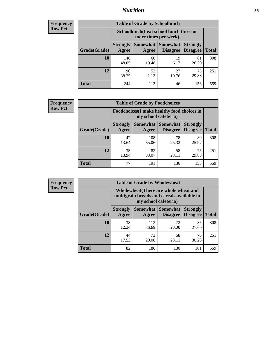## *Nutrition* **55**

| Frequency      |
|----------------|
| <b>Row Pct</b> |

| <b>Table of Grade by Schoollunch</b> |                          |                                                                 |                             |                                    |              |  |
|--------------------------------------|--------------------------|-----------------------------------------------------------------|-----------------------------|------------------------------------|--------------|--|
|                                      |                          | Schoollunch(I eat school lunch three or<br>more times per week) |                             |                                    |              |  |
| Grade(Grade)                         | <b>Strongly</b><br>Agree | Somewhat<br>Agree                                               | <b>Somewhat</b><br>Disagree | <b>Strongly</b><br><b>Disagree</b> | <b>Total</b> |  |
| 10                                   | 148<br>48.05             | 60<br>19.48                                                     | 19<br>6.17                  | 81<br>26.30                        | 308          |  |
| 12                                   | 96<br>38.25              | 53<br>21.12                                                     | 27<br>10.76                 | 75<br>29.88                        | 251          |  |
| <b>Total</b>                         | 244                      | 113                                                             | 46                          | 156                                | 559          |  |

| <b>Frequency</b> |  |
|------------------|--|
| <b>Row Pct</b>   |  |

| <b>Table of Grade by Foodchoices</b> |                          |                                                                     |                                               |                                    |              |
|--------------------------------------|--------------------------|---------------------------------------------------------------------|-----------------------------------------------|------------------------------------|--------------|
|                                      |                          | Foodchoices (I make healthy food choices in<br>my school cafeteria) |                                               |                                    |              |
| Grade(Grade)                         | <b>Strongly</b><br>Agree | Agree                                                               | <b>Somewhat   Somewhat</b><br><b>Disagree</b> | <b>Strongly</b><br><b>Disagree</b> | <b>Total</b> |
| 10                                   | 42<br>13.64              | 108<br>35.06                                                        | 78<br>25.32                                   | 80<br>25.97                        | 308          |
| 12                                   | 35<br>13.94              | 83<br>33.07                                                         | 58<br>23.11                                   | 75<br>29.88                        | 251          |
| <b>Total</b>                         | 77                       | 191                                                                 | 136                                           | 155                                | 559          |

| <b>Frequency</b> |
|------------------|
| <b>Row Pct</b>   |

| $\mathbf{y}$ | <b>Table of Grade by Wholewheat</b> |                                                                                                             |              |                                   |                                    |              |  |
|--------------|-------------------------------------|-------------------------------------------------------------------------------------------------------------|--------------|-----------------------------------|------------------------------------|--------------|--|
|              |                                     | Wholewheat (There are whole wheat and<br>multigrain breads and cereals available in<br>my school cafeteria) |              |                                   |                                    |              |  |
|              | Grade(Grade)                        | <b>Strongly</b><br>Agree                                                                                    | Agree        | Somewhat   Somewhat  <br>Disagree | <b>Strongly</b><br><b>Disagree</b> | <b>Total</b> |  |
|              | 10                                  | 38<br>12.34                                                                                                 | 113<br>36.69 | 72<br>23.38                       | 85<br>27.60                        | 308          |  |
|              | 12                                  | 44<br>17.53                                                                                                 | 73<br>29.08  | 58<br>23.11                       | 76<br>30.28                        | 251          |  |
|              | <b>Total</b>                        | 82                                                                                                          | 186          | 130                               | 161                                | 559          |  |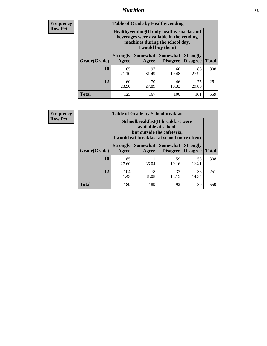## *Nutrition* **56**

**Frequency Row Pct**

| <b>Table of Grade by Healthyvending</b> |                                                                                                                                               |                          |                                    |                                    |              |  |  |
|-----------------------------------------|-----------------------------------------------------------------------------------------------------------------------------------------------|--------------------------|------------------------------------|------------------------------------|--------------|--|--|
|                                         | Healthyvending (If only healthy snacks and<br>beverages were available in the vending<br>machines during the school day,<br>I would buy them) |                          |                                    |                                    |              |  |  |
| Grade(Grade)                            | <b>Strongly</b><br>Agree                                                                                                                      | <b>Somewhat</b><br>Agree | <b>Somewhat</b><br><b>Disagree</b> | <b>Strongly</b><br><b>Disagree</b> | <b>Total</b> |  |  |
| 10                                      | 65<br>21.10                                                                                                                                   | 97<br>31.49              | 60<br>19.48                        | 86<br>27.92                        | 308          |  |  |
| 12                                      | 60<br>23.90                                                                                                                                   | 70<br>27.89              | 46<br>18.33                        | 75<br>29.88                        | 251          |  |  |
| <b>Total</b>                            | 125                                                                                                                                           | 167                      | 106                                | 161                                | 559          |  |  |

**Frequency Row Pct**

| <b>Table of Grade by Schoolbreakfast</b> |                                                                                                                                        |                     |                                    |                                    |              |  |
|------------------------------------------|----------------------------------------------------------------------------------------------------------------------------------------|---------------------|------------------------------------|------------------------------------|--------------|--|
|                                          | Schoolbreakfast(If breakfast were<br>available at school,<br>but outside the cafeteria,<br>I would eat breakfast at school more often) |                     |                                    |                                    |              |  |
| Grade(Grade)                             | <b>Strongly</b><br>Agree                                                                                                               | Somewhat  <br>Agree | <b>Somewhat</b><br><b>Disagree</b> | <b>Strongly</b><br><b>Disagree</b> | <b>Total</b> |  |
| 10                                       | 85<br>27.60                                                                                                                            | 111<br>36.04        | 59<br>19.16                        | 53<br>17.21                        | 308          |  |
| 12                                       | 104<br>41.43                                                                                                                           | 78<br>31.08         | 33<br>13.15                        | 36<br>14.34                        | 251          |  |
| <b>Total</b>                             | 189                                                                                                                                    | 189                 | 92                                 | 89                                 | 559          |  |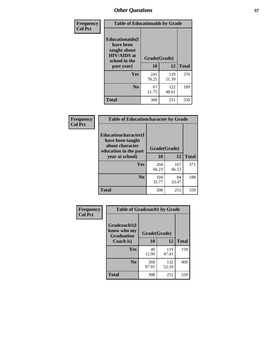| Frequency<br><b>Col Pct</b> | <b>Table of Educationaids by Grade</b>                                                                    |                    |              |              |  |
|-----------------------------|-----------------------------------------------------------------------------------------------------------|--------------------|--------------|--------------|--|
|                             | <b>Educationaids</b> (I<br>have been<br>taught about<br><b>HIV/AIDS</b> at<br>school in the<br>past year) | Grade(Grade)<br>10 | 12           | <b>Total</b> |  |
|                             | Yes                                                                                                       | 241<br>78.25       | 129<br>51.39 | 370          |  |
|                             | N <sub>0</sub>                                                                                            | 67<br>21.75        | 122<br>48.61 | 189          |  |
|                             | <b>Total</b>                                                                                              | 308                | 251          | 559          |  |

| Frequency      | <b>Table of Educationcharacter by Grade</b>                 |              |              |              |  |
|----------------|-------------------------------------------------------------|--------------|--------------|--------------|--|
| <b>Col Pct</b> | Educationcharacter(I<br>have been taught<br>about character | Grade(Grade) |              |              |  |
|                | education in the past<br>year at school)                    | 10           | 12           | <b>Total</b> |  |
|                | <b>Yes</b>                                                  | 204<br>66.23 | 167<br>66.53 | 371          |  |
|                | N <sub>0</sub>                                              | 104<br>33.77 | 84<br>33.47  | 188          |  |
|                | <b>Total</b>                                                | 308          | 251          | 559          |  |

| Frequency      | <b>Table of Gradcoach1 by Grade</b> |              |              |              |  |
|----------------|-------------------------------------|--------------|--------------|--------------|--|
| <b>Col Pct</b> | Gradcoach1(I                        |              |              |              |  |
|                | know who my<br><b>Graduation</b>    | Grade(Grade) |              |              |  |
|                | Coach is)                           | 10           | 12           | <b>Total</b> |  |
|                | Yes                                 | 40<br>12.99  | 119<br>47.41 | 159          |  |
|                | N <sub>0</sub>                      | 268<br>87.01 | 132<br>52.59 | 400          |  |
|                | <b>Total</b>                        | 308          | 251          | 559          |  |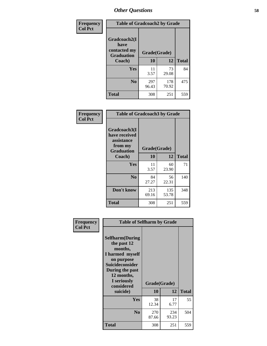| Frequency      | <b>Table of Gradcoach2 by Grade</b> |              |              |              |
|----------------|-------------------------------------|--------------|--------------|--------------|
| <b>Col Pct</b> | Gradcoach2(I<br>have                |              |              |              |
|                | contacted my<br><b>Graduation</b>   | Grade(Grade) |              |              |
|                | Coach)                              | 10           | 12           | <b>Total</b> |
|                | Yes                                 | 11<br>3.57   | 73<br>29.08  | 84           |
|                | N <sub>0</sub>                      | 297<br>96.43 | 178<br>70.92 | 475          |
|                | <b>Total</b>                        | 308          | 251          | 559          |

| <b>Frequency</b><br><b>Col Pct</b> | <b>Table of Gradcoach3 by Grade</b>                    |              |              |              |  |
|------------------------------------|--------------------------------------------------------|--------------|--------------|--------------|--|
|                                    | Gradcoach3(I<br>have received<br>assistance<br>from my | Grade(Grade) |              |              |  |
|                                    | <b>Graduation</b><br>Coach)                            | 10           | 12           | <b>Total</b> |  |
|                                    | Yes                                                    | 11<br>3.57   | 60<br>23.90  | 71           |  |
|                                    | N <sub>0</sub>                                         | 84<br>27.27  | 56<br>22.31  | 140          |  |
|                                    | Don't know                                             | 213<br>69.16 | 135<br>53.78 | 348          |  |
|                                    | <b>Total</b>                                           | 308          | 251          | 559          |  |

| Frequency<br><b>Col Pct</b> | <b>Table of Selfharm by Grade</b>                                                                                                                                                      |                    |              |              |
|-----------------------------|----------------------------------------------------------------------------------------------------------------------------------------------------------------------------------------|--------------------|--------------|--------------|
|                             | <b>Selfharm</b> (During<br>the past 12<br>months,<br>I harmed myself<br>on purpose<br><b>Suicideconsider</b><br>During the past<br>12 months,<br>I seriously<br>considered<br>suicide) | Grade(Grade)<br>10 | 12           | <b>Total</b> |
|                             |                                                                                                                                                                                        |                    |              |              |
|                             | <b>Yes</b>                                                                                                                                                                             | 38<br>12.34        | 17<br>6.77   | 55           |
|                             | N <sub>0</sub>                                                                                                                                                                         | 270<br>87.66       | 234<br>93.23 | 504          |
|                             | <b>Total</b>                                                                                                                                                                           | 308                | 251          | 559          |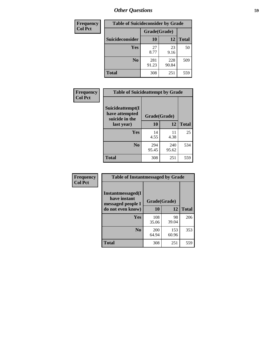| <b>Frequency</b> |                 | <b>Table of Suicideconsider by Grade</b> |              |              |  |
|------------------|-----------------|------------------------------------------|--------------|--------------|--|
| <b>Col Pct</b>   |                 | Grade(Grade)                             |              |              |  |
|                  | Suicideconsider | <b>10</b>                                | 12           | <b>Total</b> |  |
|                  | Yes             | 27<br>8.77                               | 23<br>9.16   | 50           |  |
|                  | N <sub>0</sub>  | 281<br>91.23                             | 228<br>90.84 | 509          |  |
|                  | Total           | 308                                      | 251          | 559          |  |

| Frequency      | <b>Table of Suicideattempt by Grade</b>              |              |              |              |
|----------------|------------------------------------------------------|--------------|--------------|--------------|
| <b>Col Pct</b> | Suicideattempt(I<br>have attempted<br>suicide in the | Grade(Grade) |              |              |
|                | last year)                                           | 10           | 12           | <b>Total</b> |
|                | Yes                                                  | 14<br>4.55   | 11<br>4.38   | 25           |
|                | N <sub>0</sub>                                       | 294<br>95.45 | 240<br>95.62 | 534          |
|                | <b>Total</b>                                         | 308          | 251          | 559          |

| Frequency      | <b>Table of Instantmessaged by Grade</b>               |              |              |              |  |
|----------------|--------------------------------------------------------|--------------|--------------|--------------|--|
| <b>Col Pct</b> | Instantmessaged(I<br>have instant<br>messaged people I | Grade(Grade) |              |              |  |
|                | do not even know)                                      | 10           | 12           | <b>Total</b> |  |
|                | Yes                                                    | 108<br>35.06 | 98<br>39.04  | 206          |  |
|                | N <sub>0</sub>                                         | 200<br>64.94 | 153<br>60.96 | 353          |  |
|                | <b>Total</b>                                           | 308          | 251          | 559          |  |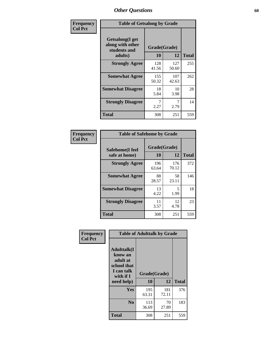| Frequency      | <b>Table of Getsalong by Grade</b>                          |              |              |              |  |  |
|----------------|-------------------------------------------------------------|--------------|--------------|--------------|--|--|
| <b>Col Pct</b> | <b>Getsalong</b> (I get<br>along with other<br>students and | Grade(Grade) |              |              |  |  |
|                | adults)                                                     | 10           | 12           | <b>Total</b> |  |  |
|                | <b>Strongly Agree</b>                                       | 128<br>41.56 | 127<br>50.60 | 255          |  |  |
|                | <b>Somewhat Agree</b>                                       | 155<br>50.32 | 107<br>42.63 | 262          |  |  |
|                | <b>Somewhat Disagree</b>                                    | 18<br>5.84   | 10<br>3.98   | 28           |  |  |
|                | <b>Strongly Disagree</b>                                    | 7<br>2.27    | 7<br>2.79    | 14           |  |  |
|                | <b>Total</b>                                                | 308          | 251          | 559          |  |  |

| Frequency      | <b>Table of Safehome by Grade</b> |                    |              |              |
|----------------|-----------------------------------|--------------------|--------------|--------------|
| <b>Col Pct</b> | Safehome(I feel<br>safe at home)  | Grade(Grade)<br>10 | 12           | <b>Total</b> |
|                | <b>Strongly Agree</b>             | 196<br>63.64       | 176<br>70.12 | 372          |
|                | <b>Somewhat Agree</b>             | 88<br>28.57        | 58<br>23.11  | 146          |
|                | <b>Somewhat Disagree</b>          | 13<br>4.22         | 5<br>1.99    | 18           |
|                | <b>Strongly Disagree</b>          | 11<br>3.57         | 12<br>4.78   | 23           |
|                | <b>Total</b>                      | 308                | 251          | 559          |

| Frequency      |                                                                                     | <b>Table of Adulttalk by Grade</b> |              |              |  |  |  |
|----------------|-------------------------------------------------------------------------------------|------------------------------------|--------------|--------------|--|--|--|
| <b>Col Pct</b> | <b>Adulttalk(I</b><br>know an<br>adult at<br>school that<br>I can talk<br>with if I | Grade(Grade)                       |              |              |  |  |  |
|                | need help)                                                                          | 10                                 | 12           | <b>Total</b> |  |  |  |
|                | <b>Yes</b>                                                                          | 195<br>63.31                       | 181<br>72.11 | 376          |  |  |  |
|                | N <sub>0</sub>                                                                      | 113<br>36.69                       | 70<br>27.89  | 183          |  |  |  |
|                | <b>Total</b>                                                                        | 308                                | 251          | 559          |  |  |  |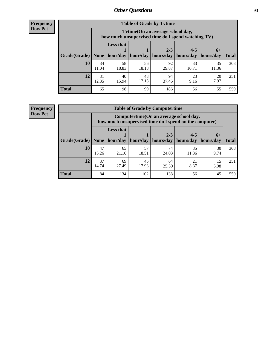**Frequency Row Pct**

| <b>Table of Grade by Tvtime</b> |             |                                                                                        |             |             |             |             |              |  |  |  |
|---------------------------------|-------------|----------------------------------------------------------------------------------------|-------------|-------------|-------------|-------------|--------------|--|--|--|
|                                 |             | Tvtime(On an average school day,<br>how much unsupervised time do I spend watching TV) |             |             |             |             |              |  |  |  |
|                                 |             | <b>Less that</b>                                                                       |             | $2 - 3$     | $4 - 5$     | $6+$        |              |  |  |  |
| Grade(Grade)                    | None        | hour/day                                                                               | hour/day    | hours/day   | hours/day   | hours/day   | <b>Total</b> |  |  |  |
| 10                              | 34<br>11.04 | 58<br>18.83                                                                            | 56<br>18.18 | 92<br>29.87 | 33<br>10.71 | 35<br>11.36 | 308          |  |  |  |
| 12                              | 31<br>12.35 | 40<br>15.94                                                                            | 43<br>17.13 | 94<br>37.45 | 23<br>9.16  | 20<br>7.97  | 251          |  |  |  |
| <b>Total</b>                    | 65          | 98                                                                                     | 99          | 186         | 56          | 55          | 559          |  |  |  |

**Frequency Row Pct**

| <b>Table of Grade by Computertime</b> |             |                                                                                                   |                     |             |             |            |              |  |  |  |
|---------------------------------------|-------------|---------------------------------------------------------------------------------------------------|---------------------|-------------|-------------|------------|--------------|--|--|--|
|                                       |             | Computertime (On an average school day,<br>how much unsupervised time do I spend on the computer) |                     |             |             |            |              |  |  |  |
|                                       |             | <b>Less that</b>                                                                                  |                     | $2 - 3$     | $4 - 5$     | $6+$       |              |  |  |  |
| Grade(Grade)                          | None $ $    |                                                                                                   | hour/day   hour/day | hours/day   | hours/day   | hours/day  | <b>Total</b> |  |  |  |
| 10                                    | 47<br>15.26 | 65<br>21.10                                                                                       | 57<br>18.51         | 74<br>24.03 | 35<br>11.36 | 30<br>9.74 | 308          |  |  |  |
| 12                                    | 37<br>14.74 | 45<br>69<br>21<br>15<br>64<br>8.37<br>27.49<br>17.93<br>5.98<br>25.50                             |                     |             |             |            |              |  |  |  |
| <b>Total</b>                          | 84          | 134                                                                                               | 102                 | 138         | 56          | 45         | 559          |  |  |  |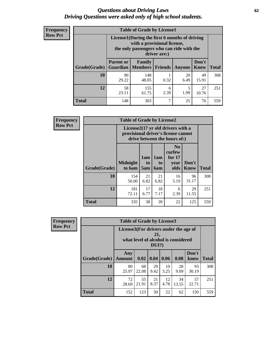#### *Questions about Driving Laws* **62** *Driving Questions were asked only of high school students.*

| <b>Frequency</b> |
|------------------|
| <b>Row Pct</b>   |

| <b>Table of Grade by License1</b> |                                     |                                                                                                                                           |         |            |               |              |  |  |  |  |  |
|-----------------------------------|-------------------------------------|-------------------------------------------------------------------------------------------------------------------------------------------|---------|------------|---------------|--------------|--|--|--|--|--|
|                                   |                                     | License1(During the first 6 months of driving<br>with a provisional license,<br>the only passengers who can ride with the<br>driver are:) |         |            |               |              |  |  |  |  |  |
| Grade(Grade)                      | <b>Parent or</b><br><b>Guardian</b> | Family<br>  Members                                                                                                                       | Friends | Anyone     | Don't<br>Know | <b>Total</b> |  |  |  |  |  |
| 10                                | 90<br>29.22                         | 148<br>48.05                                                                                                                              | 0.32    | 20<br>6.49 | 49<br>15.91   | 308          |  |  |  |  |  |
| 12                                | 58<br>23.11                         | 27<br>155<br>5<br>6<br>1.99<br>2.39<br>61.75<br>10.76                                                                                     |         |            |               |              |  |  |  |  |  |
| <b>Total</b>                      | 148                                 | 303                                                                                                                                       | 7       | 25         | 76            | 559          |  |  |  |  |  |

| <b>Frequency</b> |              | <b>Table of Grade by License2</b>                                                                        |                  |                              |                                                      |               |              |  |  |
|------------------|--------------|----------------------------------------------------------------------------------------------------------|------------------|------------------------------|------------------------------------------------------|---------------|--------------|--|--|
| <b>Row Pct</b>   |              | License2(17 yr old drivers with a<br>provisional driver's license cannot<br>drive between the hours of:) |                  |                              |                                                      |               |              |  |  |
|                  | Grade(Grade) | <b>Midnight</b><br>to 6am                                                                                | 1am<br>to<br>5am | 1am<br>t <sub>0</sub><br>6am | N <sub>0</sub><br>curfew<br>for $17$<br>vear<br>olds | Don't<br>Know | <b>Total</b> |  |  |
|                  | 10           | 154<br>50.00                                                                                             | 21<br>6.82       | 21<br>6.82                   | 16<br>5.19                                           | 96<br>31.17   | 308          |  |  |
|                  | 12           | 181<br>72.11                                                                                             | 17<br>6.77       | 18<br>7.17                   | 6<br>2.39                                            | 29<br>11.55   | 251          |  |  |
|                  | <b>Total</b> | 335                                                                                                      | 38               | 39                           | 22                                                   | 125           | 559          |  |  |

| Frequency      |              | <b>Table of Grade by License3</b>     |             |                 |            |                                     |               |              |
|----------------|--------------|---------------------------------------|-------------|-----------------|------------|-------------------------------------|---------------|--------------|
| <b>Row Pct</b> |              | License3(For drivers under the age of |             | 21,<br>$DUI$ ?) |            | what level of alcohol is considered |               |              |
|                | Grade(Grade) | Any<br><b>Amount</b>                  | 0.02        | 0.04            | 0.06       | 0.08                                | Don't<br>know | <b>Total</b> |
|                | <b>10</b>    | 80<br>25.97                           | 68<br>22.08 | 29<br>9.42      | 10<br>3.25 | 28<br>9.09                          | 93<br>30.19   | 308          |
|                | 12           | 72<br>28.69                           | 55<br>21.91 | 21<br>8.37      | 12<br>4.78 | 34<br>13.55                         | 57<br>22.71   | 251          |
|                | <b>Total</b> | 152                                   | 123         | 50              | 22         | 62                                  | 150           | 559          |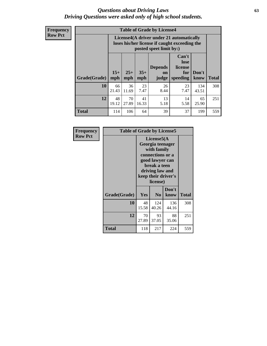#### *Questions about Driving Laws* **63** *Driving Questions were asked only of high school students.*

**Frequency Row Pct**

| <b>Table of Grade by License4</b> |             |                                                                                                                                                                                                                                                                                |            |            |            |              |     |  |  |  |
|-----------------------------------|-------------|--------------------------------------------------------------------------------------------------------------------------------------------------------------------------------------------------------------------------------------------------------------------------------|------------|------------|------------|--------------|-----|--|--|--|
|                                   |             | License4(A driver under 21 automatically<br>loses his/her license if caught exceeding the<br>posted speet limit by:)<br>Can't<br>lose<br><b>Depends</b><br>license<br>$15+$<br>$25+$<br>$35+$<br>Don't<br>for<br>on<br><b>Total</b><br>mph<br>speeding<br>know<br>mph<br>judge |            |            |            |              |     |  |  |  |
| Grade(Grade)                      | mph         |                                                                                                                                                                                                                                                                                |            |            |            |              |     |  |  |  |
| 10                                | 66<br>21.43 | 36<br>11.69                                                                                                                                                                                                                                                                    | 23<br>7.47 | 26<br>8.44 | 23<br>7.47 | 134<br>43.51 | 308 |  |  |  |
| 12                                | 48<br>19.12 | 70<br>41<br>13<br>14<br>65<br>27.89<br>16.33<br>5.58<br>5.18<br>25.90                                                                                                                                                                                                          |            |            |            |              |     |  |  |  |
| <b>Total</b>                      | 114         | 106                                                                                                                                                                                                                                                                            | 64         | 39         | 37         | 199          | 559 |  |  |  |

| Frequency      | <b>Table of Grade by License5</b> |             |                                                                                                                                                             |               |       |  |
|----------------|-----------------------------------|-------------|-------------------------------------------------------------------------------------------------------------------------------------------------------------|---------------|-------|--|
| <b>Row Pct</b> |                                   |             | License5(A)<br>Georgia teenager<br>with family<br>connections or a<br>good lawyer can<br>break a teen<br>driving law and<br>keep their driver's<br>license) |               |       |  |
|                | Grade(Grade)                      | <b>Yes</b>  | N <sub>0</sub>                                                                                                                                              | Don't<br>know | Total |  |
|                | <b>10</b>                         | 48<br>15.58 | 124<br>40.26                                                                                                                                                | 136<br>44.16  | 308   |  |
|                | 12                                | 70<br>27.89 | 93<br>37.05                                                                                                                                                 | 88<br>35.06   | 251   |  |
|                | <b>Total</b>                      | 118         | 217                                                                                                                                                         | 224           | 559   |  |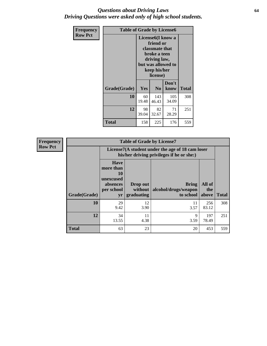#### *Questions about Driving Laws* **64** *Driving Questions were asked only of high school students.*

| <b>Frequency</b> | <b>Table of Grade by License6</b> |                                                                                                                                                 |                |               |              |
|------------------|-----------------------------------|-------------------------------------------------------------------------------------------------------------------------------------------------|----------------|---------------|--------------|
| <b>Row Pct</b>   |                                   | License <sub>6</sub> (I know a<br>friend or<br>classmate that<br>broke a teen<br>driving law,<br>but was allowed to<br>keep his/her<br>license) |                |               |              |
|                  | Grade(Grade)                      | <b>Yes</b>                                                                                                                                      | N <sub>0</sub> | Don't<br>know | <b>Total</b> |
|                  | 10                                | 60<br>19.48                                                                                                                                     | 143<br>46.43   | 105<br>34.09  | 308          |
|                  | 12                                | 98<br>39.04                                                                                                                                     | 251            |               |              |
|                  | <b>Total</b>                      | 158                                                                                                                                             | 225            | 176           | 559          |

| <b>Frequency</b> |              | <b>Table of Grade by License7</b>                                           |                                                                                               |                                                   |                        |              |  |
|------------------|--------------|-----------------------------------------------------------------------------|-----------------------------------------------------------------------------------------------|---------------------------------------------------|------------------------|--------------|--|
| <b>Row Pct</b>   |              |                                                                             | License7(A student under the age of 18 cam loser<br>his/her driving privileges if he or she:) |                                                   |                        |              |  |
|                  | Grade(Grade) | <b>Have</b><br>more than<br>10<br>unexcused<br>absences<br>per school<br>yr | Drop out<br>without  <br>graduating                                                           | <b>Bring</b><br>alcohol/drugs/weapon<br>to school | All of<br>the<br>above | <b>Total</b> |  |
|                  | 10           | 29<br>9.42                                                                  | 12<br>3.90                                                                                    | 11<br>3.57                                        | 256<br>83.12           | 308          |  |
|                  | 12           | 34<br>13.55                                                                 | 11<br>4.38                                                                                    | 9<br>3.59                                         | 197<br>78.49           | 251          |  |
|                  | <b>Total</b> | 63                                                                          | 23                                                                                            | 20                                                | 453                    | 559          |  |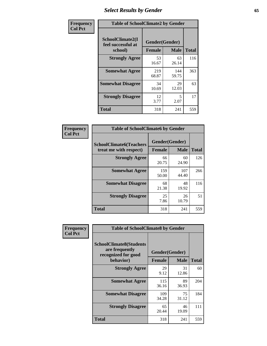# *Select Results by Gender* **65**

| Frequency      | <b>Table of SchoolClimate2 by Gender</b>          |                                 |              |              |
|----------------|---------------------------------------------------|---------------------------------|--------------|--------------|
| <b>Col Pct</b> | SchoolClimate2(I<br>feel successful at<br>school) | Gender(Gender)<br><b>Female</b> | <b>Male</b>  | <b>Total</b> |
|                | <b>Strongly Agree</b>                             | 53<br>16.67                     | 63<br>26.14  | 116          |
|                | <b>Somewhat Agree</b>                             | 219<br>68.87                    | 144<br>59.75 | 363          |
|                | <b>Somewhat Disagree</b>                          | 34<br>10.69                     | 29<br>12.03  | 63           |
|                | <b>Strongly Disagree</b>                          | 12<br>3.77                      | 5<br>2.07    | 17           |
|                | <b>Total</b>                                      | 318                             | 241          | 559          |

| Frequency      | <b>Table of SchoolClimate6 by Gender</b>                 |                                 |              |              |  |
|----------------|----------------------------------------------------------|---------------------------------|--------------|--------------|--|
| <b>Col Pct</b> | <b>SchoolClimate6(Teachers</b><br>treat me with respect) | Gender(Gender)<br><b>Female</b> | <b>Male</b>  | <b>Total</b> |  |
|                | <b>Strongly Agree</b>                                    | 66<br>20.75                     | 60<br>24.90  | 126          |  |
|                | <b>Somewhat Agree</b>                                    | 159<br>50.00                    | 107<br>44.40 | 266          |  |
|                | <b>Somewhat Disagree</b>                                 | 68<br>21.38                     | 48<br>19.92  | 116          |  |
|                | <b>Strongly Disagree</b>                                 | 25<br>7.86                      | 26<br>10.79  | 51           |  |
|                | <b>Total</b>                                             | 318                             | 241          | 559          |  |

| <b>Frequency</b> | <b>Table of SchoolClimate8 by Gender</b>                                             |               |                               |              |
|------------------|--------------------------------------------------------------------------------------|---------------|-------------------------------|--------------|
| <b>Col Pct</b>   | <b>SchoolClimate8(Students</b><br>are frequently<br>recognized for good<br>behavior) | <b>Female</b> | Gender(Gender)<br><b>Male</b> | <b>Total</b> |
|                  | <b>Strongly Agree</b>                                                                | 29            | 31                            | 60           |
|                  |                                                                                      | 9.12          | 12.86                         |              |
|                  | <b>Somewhat Agree</b>                                                                | 115<br>36.16  | 89<br>36.93                   | 204          |
|                  | <b>Somewhat Disagree</b>                                                             | 109<br>34.28  | 75<br>31.12                   | 184          |
|                  | <b>Strongly Disagree</b>                                                             | 65<br>20.44   | 46<br>19.09                   | 111          |
|                  | Total                                                                                | 318           | 241                           | 559          |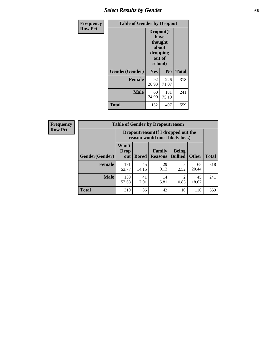# *Select Results by Gender* **66**

| <b>Frequency</b> | <b>Table of Gender by Dropout</b> |                                                                        |                |              |
|------------------|-----------------------------------|------------------------------------------------------------------------|----------------|--------------|
| <b>Row Pct</b>   |                                   | Dropout(I<br>have<br>thought<br>about<br>dropping<br>out of<br>school) |                |              |
|                  | Gender(Gender)                    | Yes                                                                    | N <sub>0</sub> | <b>Total</b> |
|                  | <b>Female</b>                     | 92<br>28.93                                                            | 226<br>71.07   | 318          |
|                  | <b>Male</b>                       | 60<br>24.90                                                            | 181<br>75.10   | 241          |
|                  | <b>Total</b>                      | 152                                                                    | 407            | 559          |

| <b>Frequency</b> | <b>Table of Gender by Dropoutreason</b> |                                                                     |              |                          |                                |              |              |
|------------------|-----------------------------------------|---------------------------------------------------------------------|--------------|--------------------------|--------------------------------|--------------|--------------|
| <b>Row Pct</b>   |                                         | Dropoutreason (If I dropped out the<br>reason would most likely be) |              |                          |                                |              |              |
|                  | Gender(Gender)                          | Won't<br><b>Drop</b><br>out                                         | <b>Bored</b> | Family<br><b>Reasons</b> | <b>Being</b><br><b>Bullied</b> | <b>Other</b> | <b>Total</b> |
|                  | Female                                  | 171<br>53.77                                                        | 45<br>14.15  | 29<br>9.12               | 8<br>2.52                      | 65<br>20.44  | 318          |
|                  | <b>Male</b>                             | 139<br>57.68                                                        | 41<br>17.01  | 14<br>5.81               | っ<br>0.83                      | 45<br>18.67  | 241          |
|                  | <b>Total</b>                            | 310                                                                 | 86           | 43                       | 10                             | 110          | 559          |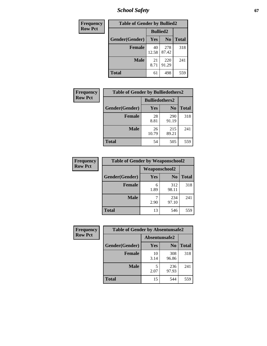*School Safety* **67**

| Frequency      | <b>Table of Gender by Bullied2</b> |                 |                |              |
|----------------|------------------------------------|-----------------|----------------|--------------|
| <b>Row Pct</b> |                                    | <b>Bullied2</b> |                |              |
|                | Gender(Gender)                     | Yes             | N <sub>0</sub> | <b>Total</b> |
|                | <b>Female</b>                      | 40<br>12.58     | 278<br>87.42   | 318          |
|                | <b>Male</b>                        | 21<br>8.71      | 220<br>91.29   | 241          |
|                | <b>Total</b>                       | 61              | 498            | 559          |

| Frequency      | <b>Table of Gender by Bulliedothers2</b> |                       |                |              |
|----------------|------------------------------------------|-----------------------|----------------|--------------|
| <b>Row Pct</b> |                                          | <b>Bulliedothers2</b> |                |              |
|                | Gender(Gender)                           | <b>Yes</b>            | N <sub>0</sub> | <b>Total</b> |
|                | <b>Female</b>                            | 28<br>8.81            | 290<br>91.19   | 318          |
|                | <b>Male</b>                              | 26<br>10.79           | 215<br>89.21   | 241          |
|                | <b>Total</b>                             | 54                    | 505            | 559          |

| Frequency      | <b>Table of Gender by Weaponschool2</b> |                      |                |              |
|----------------|-----------------------------------------|----------------------|----------------|--------------|
| <b>Row Pct</b> |                                         | <b>Weaponschool2</b> |                |              |
|                | Gender(Gender)                          | Yes                  | N <sub>0</sub> | <b>Total</b> |
|                | <b>Female</b>                           | 6<br>1.89            | 312<br>98.11   | 318          |
|                | <b>Male</b>                             | 2.90                 | 234<br>97.10   | 241          |
|                | <b>Total</b>                            | 13                   | 546            | 559          |

| Frequency      | <b>Table of Gender by Absentunsafe2</b> |               |                |              |
|----------------|-----------------------------------------|---------------|----------------|--------------|
| <b>Row Pct</b> |                                         | Absentunsafe2 |                |              |
|                | Gender(Gender)                          | Yes           | N <sub>0</sub> | <b>Total</b> |
|                | <b>Female</b>                           | 10<br>3.14    | 308<br>96.86   | 318          |
|                | <b>Male</b>                             | 2.07          | 236<br>97.93   | 241          |
|                | <b>Total</b>                            | 15            | 544            | 559          |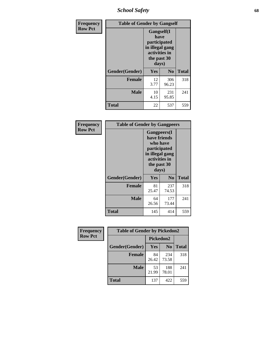*School Safety* **68**

| Frequency      | <b>Table of Gender by Gangself</b> |                                                                                                        |              |              |
|----------------|------------------------------------|--------------------------------------------------------------------------------------------------------|--------------|--------------|
| <b>Row Pct</b> |                                    | <b>Gangself</b> (I<br>have<br>participated<br>in illegal gang<br>activities in<br>the past 30<br>days) |              |              |
|                | Gender(Gender)                     | Yes                                                                                                    | No           | <b>Total</b> |
|                | <b>Female</b>                      | 12<br>3.77                                                                                             | 306<br>96.23 | 318          |
|                | <b>Male</b>                        | 10<br>4.15                                                                                             | 231<br>95.85 | 241          |
|                | <b>Total</b>                       | 22                                                                                                     | 537          | 559          |

| <b>Frequency</b> | <b>Table of Gender by Gangpeers</b> |                                                                                                                             |                |              |
|------------------|-------------------------------------|-----------------------------------------------------------------------------------------------------------------------------|----------------|--------------|
| <b>Row Pct</b>   |                                     | <b>Gangpeers</b> (I<br>have friends<br>who have<br>participated<br>in illegal gang<br>activities in<br>the past 30<br>days) |                |              |
|                  | Gender(Gender)                      | <b>Yes</b>                                                                                                                  | N <sub>0</sub> | <b>Total</b> |
|                  | <b>Female</b>                       | 81<br>25.47                                                                                                                 | 237<br>74.53   | 318          |
|                  | <b>Male</b>                         | 64<br>26.56                                                                                                                 | 177<br>73.44   | 241          |
|                  | Total                               | 145                                                                                                                         | 414            | 559          |

| Frequency      |                | <b>Table of Gender by Pickedon2</b> |                |              |  |
|----------------|----------------|-------------------------------------|----------------|--------------|--|
| <b>Row Pct</b> |                | Pickedon2                           |                |              |  |
|                | Gender(Gender) | Yes                                 | N <sub>0</sub> | <b>Total</b> |  |
|                | <b>Female</b>  | 84<br>26.42                         | 234<br>73.58   | 318          |  |
|                | <b>Male</b>    | 53<br>21.99                         | 188<br>78.01   | 241          |  |
|                | <b>Total</b>   | 137                                 | 422            | 559          |  |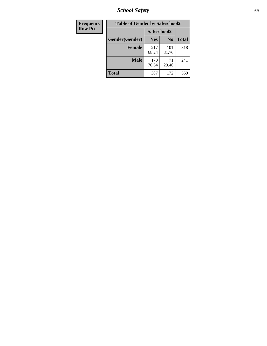*School Safety* **69**

| Frequency      | <b>Table of Gender by Safeschool2</b> |              |                |              |
|----------------|---------------------------------------|--------------|----------------|--------------|
| <b>Row Pct</b> |                                       | Safeschool2  |                |              |
|                | Gender(Gender)                        | <b>Yes</b>   | N <sub>0</sub> | <b>Total</b> |
|                | <b>Female</b>                         | 217<br>68.24 | 101<br>31.76   | 318          |
|                | <b>Male</b>                           | 170<br>70.54 | 71<br>29.46    | 241          |
|                | <b>Total</b>                          | 387          | 172            | 559          |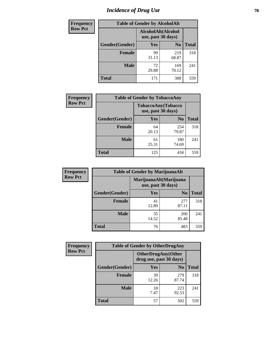# *Incidence of Drug Use* **70**

| <b>Frequency</b> |                                          | <b>Table of Gender by AlcoholAlt</b> |                |              |
|------------------|------------------------------------------|--------------------------------------|----------------|--------------|
| <b>Row Pct</b>   | AlcoholAlt(Alcohol<br>use, past 30 days) |                                      |                |              |
|                  | Gender(Gender)                           | Yes                                  | N <sub>0</sub> | <b>Total</b> |
|                  | <b>Female</b>                            | 99<br>31.13                          | 219<br>68.87   | 318          |
|                  | <b>Male</b>                              | 72<br>29.88                          | 169<br>70.12   | 241          |
|                  | <b>Total</b>                             | 171                                  | 388            | 559          |

| <b>Frequency</b> | <b>Table of Gender by TobaccoAny</b> |                                          |                |              |
|------------------|--------------------------------------|------------------------------------------|----------------|--------------|
| <b>Row Pct</b>   |                                      | TobaccoAny(Tobacco<br>use, past 30 days) |                |              |
|                  | Gender(Gender)                       | Yes                                      | N <sub>0</sub> | <b>Total</b> |
|                  | <b>Female</b>                        | 64<br>20.13                              | 254<br>79.87   | 318          |
|                  | <b>Male</b>                          | 61<br>25.31                              | 180<br>74.69   | 241          |
|                  | <b>Total</b>                         | 125                                      | 434            | 559          |

| <b>Frequency</b> | <b>Table of Gender by MarijuanaAlt</b> |             |                                              |              |
|------------------|----------------------------------------|-------------|----------------------------------------------|--------------|
| <b>Row Pct</b>   |                                        |             | MarijuanaAlt(Marijuana<br>use, past 30 days) |              |
|                  | Gender(Gender)                         | <b>Yes</b>  | N <sub>0</sub>                               | <b>Total</b> |
|                  | <b>Female</b>                          | 41<br>12.89 | 277<br>87.11                                 | 318          |
|                  | <b>Male</b>                            | 35<br>14.52 | 206<br>85.48                                 | 241          |
|                  | <b>Total</b>                           | 76          | 483                                          | 559          |

| <b>Frequency</b> | <b>Table of Gender by OtherDrugAny</b> |                                                      |                |              |
|------------------|----------------------------------------|------------------------------------------------------|----------------|--------------|
| <b>Row Pct</b>   |                                        | <b>OtherDrugAny(Other</b><br>drug use, past 30 days) |                |              |
|                  | Gender(Gender)                         | <b>Yes</b>                                           | N <sub>0</sub> | <b>Total</b> |
|                  | <b>Female</b>                          | 39<br>12.26                                          | 279<br>87.74   | 318          |
|                  | <b>Male</b>                            | 18<br>7.47                                           | 223<br>92.53   | 241          |
|                  | <b>Total</b>                           | 57                                                   | 502            | 559          |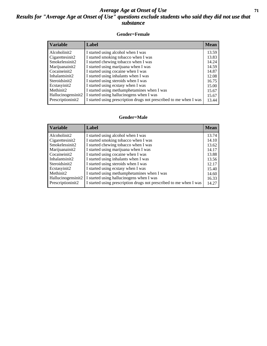### *Average Age at Onset of Use* **71** *Results for "Average Age at Onset of Use" questions exclude students who said they did not use that substance*

#### **Gender=Female**

| <b>Variable</b>                 | Label                                                              | <b>Mean</b> |
|---------------------------------|--------------------------------------------------------------------|-------------|
| Alcoholinit2                    | I started using alcohol when I was                                 | 13.59       |
| Cigarettesinit2                 | I started smoking tobacco when I was                               | 13.83       |
| Smokelessinit2                  | I started chewing tobacco when I was                               | 14.24       |
| Marijuanainit2                  | I started using marijuana when I was                               | 14.59       |
| Cocaineinit2                    | I started using cocaine when I was                                 | 14.87       |
| Inhalantsinit2                  | I started using inhalants when I was                               | 12.08       |
| Steroidsinit2                   | I started using steroids when I was                                | 16.75       |
| Ecstasyinit2                    | I started using ecstasy when I was                                 | 15.00       |
| Methinit2                       | I started using methamphetamines when I was                        | 15.67       |
| Hallucinogensinit2              | I started using hallucinogens when I was                           | 15.67       |
| Prescription in it <sub>2</sub> | I started using prescription drugs not prescribed to me when I was | 13.44       |

#### **Gender=Male**

| <b>Variable</b>    | Label                                                              | <b>Mean</b> |
|--------------------|--------------------------------------------------------------------|-------------|
| Alcoholinit2       | I started using alcohol when I was                                 | 13.74       |
| Cigarettesinit2    | I started smoking tobacco when I was                               | 14.10       |
| Smokelessinit2     | I started chewing tobacco when I was                               | 13.62       |
| Marijuanainit2     | I started using marijuana when I was                               | 14.17       |
| Cocaineinit2       | I started using cocaine when I was                                 | 13.88       |
| Inhalantsinit2     | I started using inhalants when I was                               | 13.56       |
| Steroidsinit2      | I started using steroids when I was                                | 12.17       |
| Ecstasyinit2       | I started using ecstasy when I was                                 | 15.40       |
| Methinit2          | I started using methamphetamines when I was                        | 14.60       |
| Hallucinogensinit2 | I started using hallucinogens when I was                           | 16.33       |
| Prescription in t2 | I started using prescription drugs not prescribed to me when I was | 14.27       |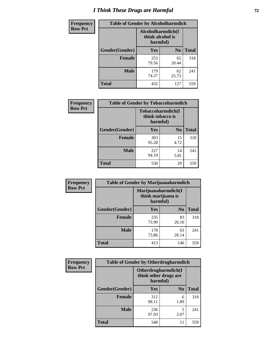# *I Think These Drugs are Harmful* **72**

| <b>Frequency</b> | <b>Table of Gender by Alcoholharmdich</b> |                                                   |                |              |
|------------------|-------------------------------------------|---------------------------------------------------|----------------|--------------|
| <b>Row Pct</b>   |                                           | Alcoholharmdich(I<br>think alcohol is<br>harmful) |                |              |
|                  | Gender(Gender)                            | Yes                                               | N <sub>0</sub> | <b>Total</b> |
|                  | <b>Female</b>                             | 253<br>79.56                                      | 65<br>20.44    | 318          |
|                  | <b>Male</b>                               | 179<br>74.27                                      | 62<br>25.73    | 241          |
|                  | Total                                     | 432                                               | 127            | 559          |

| Frequency      | <b>Table of Gender by Tobaccoharmdich</b> |                              |                   |              |
|----------------|-------------------------------------------|------------------------------|-------------------|--------------|
| <b>Row Pct</b> |                                           | think tobacco is<br>harmful) | Tobaccoharmdich(I |              |
|                | Gender(Gender)                            | Yes                          | N <sub>0</sub>    | <b>Total</b> |
|                | <b>Female</b>                             | 303<br>95.28                 | 15<br>4.72        | 318          |
|                | <b>Male</b>                               | 227<br>94.19                 | 14<br>5.81        | 241          |
|                | Total                                     | 530                          | 29                | 559          |

| Frequency      | <b>Table of Gender by Marijuanaharmdich</b> |                                                       |                |              |  |
|----------------|---------------------------------------------|-------------------------------------------------------|----------------|--------------|--|
| <b>Row Pct</b> |                                             | Marijuanaharmdich(I<br>think marijuana is<br>harmful) |                |              |  |
|                | Gender(Gender)                              | <b>Yes</b>                                            | N <sub>0</sub> | <b>Total</b> |  |
|                | <b>Female</b>                               | 235<br>73.90                                          | 83<br>26.10    | 318          |  |
|                | <b>Male</b>                                 | 178<br>73.86                                          | 63<br>26.14    | 241          |  |
|                | <b>Total</b>                                | 413                                                   | 146            | 559          |  |

| Frequency      | <b>Table of Gender by Otherdrugharmdich</b> |                                                          |                |              |
|----------------|---------------------------------------------|----------------------------------------------------------|----------------|--------------|
| <b>Row Pct</b> |                                             | Otherdrugharmdich(I<br>think other drugs are<br>harmful) |                |              |
|                | Gender(Gender)                              | <b>Yes</b>                                               | N <sub>0</sub> | <b>Total</b> |
|                | <b>Female</b>                               | 312<br>98.11                                             | 6<br>1.89      | 318          |
|                | <b>Male</b>                                 | 236<br>97.93                                             | 5<br>2.07      | 241          |
|                | <b>Total</b>                                | 548                                                      | 11             | 559          |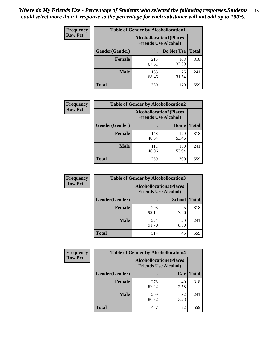| <b>Frequency</b> | <b>Table of Gender by Alcohollocation1</b> |                                                               |              |              |
|------------------|--------------------------------------------|---------------------------------------------------------------|--------------|--------------|
| <b>Row Pct</b>   |                                            | <b>Alcohollocation1(Places</b><br><b>Friends Use Alcohol)</b> |              |              |
|                  | Gender(Gender)                             |                                                               | Do Not Use   | <b>Total</b> |
|                  | <b>Female</b>                              | 215<br>67.61                                                  | 103<br>32.39 | 318          |
|                  | <b>Male</b>                                | 165<br>68.46                                                  | 76<br>31.54  | 241          |
|                  | <b>Total</b>                               | 380                                                           | 179          | 559          |

| <b>Frequency</b> | <b>Table of Gender by Alcohollocation2</b> |                                                               |              |              |
|------------------|--------------------------------------------|---------------------------------------------------------------|--------------|--------------|
| <b>Row Pct</b>   |                                            | <b>Alcohollocation2(Places</b><br><b>Friends Use Alcohol)</b> |              |              |
|                  | Gender(Gender)                             |                                                               | Home         | <b>Total</b> |
|                  | <b>Female</b>                              | 148<br>46.54                                                  | 170<br>53.46 | 318          |
|                  | <b>Male</b>                                | 111<br>46.06                                                  | 130<br>53.94 | 241          |
|                  | <b>Total</b>                               | 259                                                           | 300          | 559          |

| Frequency      | <b>Table of Gender by Alcohollocation3</b> |                                                               |               |              |
|----------------|--------------------------------------------|---------------------------------------------------------------|---------------|--------------|
| <b>Row Pct</b> |                                            | <b>Alcohollocation3(Places</b><br><b>Friends Use Alcohol)</b> |               |              |
|                | Gender(Gender)                             |                                                               | <b>School</b> | <b>Total</b> |
|                | <b>Female</b>                              | 293<br>92.14                                                  | 25<br>7.86    | 318          |
|                | <b>Male</b>                                | 221<br>91.70                                                  | 20<br>8.30    | 241          |
|                | <b>Total</b>                               | 514                                                           | 45            | 559          |

| Frequency      | <b>Table of Gender by Alcohollocation4</b> |                                                               |             |              |  |
|----------------|--------------------------------------------|---------------------------------------------------------------|-------------|--------------|--|
| <b>Row Pct</b> |                                            | <b>Alcohollocation4(Places</b><br><b>Friends Use Alcohol)</b> |             |              |  |
|                | <b>Gender</b> (Gender)                     |                                                               | Car         | <b>Total</b> |  |
|                | <b>Female</b>                              | 278<br>87.42                                                  | 40<br>12.58 | 318          |  |
|                | <b>Male</b>                                | 209<br>86.72                                                  | 32<br>13.28 | 241          |  |
|                | <b>Total</b>                               | 487                                                           | 72          | 559          |  |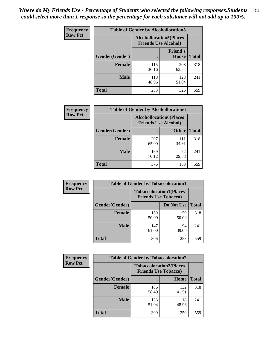| <b>Frequency</b> | <b>Table of Gender by Alcohollocation5</b> |                                                                |                                 |              |
|------------------|--------------------------------------------|----------------------------------------------------------------|---------------------------------|--------------|
| <b>Row Pct</b>   |                                            | <b>Alcohollocation5</b> (Places<br><b>Friends Use Alcohol)</b> |                                 |              |
|                  | Gender(Gender)                             |                                                                | <b>Friend's</b><br><b>House</b> | <b>Total</b> |
|                  | <b>Female</b>                              | 115<br>36.16                                                   | 203<br>63.84                    | 318          |
|                  | <b>Male</b>                                | 118<br>48.96                                                   | 123<br>51.04                    | 241          |
|                  | <b>Total</b>                               | 233                                                            | 326                             | 559          |

| <b>Frequency</b> | <b>Table of Gender by Alcohollocation6</b> |              |                                                               |              |
|------------------|--------------------------------------------|--------------|---------------------------------------------------------------|--------------|
| <b>Row Pct</b>   |                                            |              | <b>Alcohollocation6(Places</b><br><b>Friends Use Alcohol)</b> |              |
|                  | <b>Gender</b> (Gender)                     |              | <b>Other</b>                                                  | <b>Total</b> |
|                  | Female                                     | 207<br>65.09 | 111<br>34.91                                                  | 318          |
|                  | <b>Male</b>                                | 169<br>70.12 | 72<br>29.88                                                   | 241          |
|                  | <b>Total</b>                               | 376          | 183                                                           | 559          |

| Frequency      | <b>Table of Gender by Tobaccolocation1</b> |                                                               |              |              |  |
|----------------|--------------------------------------------|---------------------------------------------------------------|--------------|--------------|--|
| <b>Row Pct</b> |                                            | <b>Tobaccolocation1(Places</b><br><b>Friends Use Tobacco)</b> |              |              |  |
|                | Gender(Gender)                             |                                                               | Do Not Use   | <b>Total</b> |  |
|                | Female                                     | 159<br>50.00                                                  | 159<br>50.00 | 318          |  |
|                | <b>Male</b>                                | 147<br>61.00                                                  | 94<br>39.00  | 241          |  |
|                | <b>Total</b>                               | 306                                                           | 253          | 559          |  |

| <b>Frequency</b> |                | <b>Table of Gender by Tobaccolocation2</b>                    |              |              |
|------------------|----------------|---------------------------------------------------------------|--------------|--------------|
| <b>Row Pct</b>   |                | <b>Tobaccolocation2(Places</b><br><b>Friends Use Tobacco)</b> |              |              |
|                  | Gender(Gender) |                                                               | Home         | <b>Total</b> |
|                  | Female         | 186<br>58.49                                                  | 132<br>41.51 | 318          |
|                  | <b>Male</b>    | 123<br>51.04                                                  | 118<br>48.96 | 241          |
|                  | <b>Total</b>   | 309                                                           | 250          | 559          |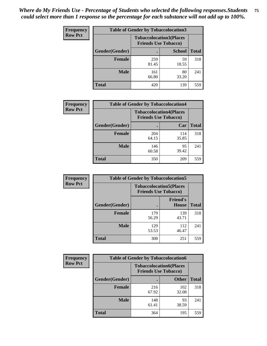| <b>Frequency</b> | <b>Table of Gender by Tobaccolocation3</b> |                                                               |               |              |
|------------------|--------------------------------------------|---------------------------------------------------------------|---------------|--------------|
| <b>Row Pct</b>   |                                            | <b>Tobaccolocation3(Places</b><br><b>Friends Use Tobacco)</b> |               |              |
|                  | Gender(Gender)                             |                                                               | <b>School</b> | <b>Total</b> |
|                  | <b>Female</b>                              | 259<br>81.45                                                  | 59<br>18.55   | 318          |
|                  | <b>Male</b>                                | 161<br>66.80                                                  | 80<br>33.20   | 241          |
|                  | <b>Total</b>                               | 420                                                           | 139           | 559          |

| <b>Frequency</b> | <b>Table of Gender by Tobaccolocation4</b> |                                                               |              |              |
|------------------|--------------------------------------------|---------------------------------------------------------------|--------------|--------------|
| <b>Row Pct</b>   |                                            | <b>Tobaccolocation4(Places</b><br><b>Friends Use Tobacco)</b> |              |              |
|                  | Gender(Gender)                             |                                                               | Car          | <b>Total</b> |
|                  | <b>Female</b>                              | 204<br>64.15                                                  | 114<br>35.85 | 318          |
|                  | <b>Male</b>                                | 146<br>60.58                                                  | 95<br>39.42  | 241          |
|                  | <b>Total</b>                               | 350                                                           | 209          | 559          |

| <b>Frequency</b> | <b>Table of Gender by Tobaccolocation5</b> |                                                               |                                 |              |
|------------------|--------------------------------------------|---------------------------------------------------------------|---------------------------------|--------------|
| <b>Row Pct</b>   |                                            | <b>Tobaccolocation5(Places</b><br><b>Friends Use Tobacco)</b> |                                 |              |
|                  | Gender(Gender)                             |                                                               | <b>Friend's</b><br><b>House</b> | <b>Total</b> |
|                  | <b>Female</b>                              | 179<br>56.29                                                  | 139<br>43.71                    | 318          |
|                  | <b>Male</b>                                | 129<br>53.53                                                  | 112<br>46.47                    | 241          |
|                  | <b>Total</b>                               | 308                                                           | 251                             | 559          |

| <b>Frequency</b> | <b>Table of Gender by Tobaccolocation6</b> |                                                               |              |              |  |
|------------------|--------------------------------------------|---------------------------------------------------------------|--------------|--------------|--|
| <b>Row Pct</b>   |                                            | <b>Tobaccolocation6(Places</b><br><b>Friends Use Tobacco)</b> |              |              |  |
|                  | Gender(Gender)                             |                                                               | <b>Other</b> | <b>Total</b> |  |
|                  | <b>Female</b>                              | 216<br>67.92                                                  | 102<br>32.08 | 318          |  |
|                  | <b>Male</b>                                | 148<br>61.41                                                  | 93<br>38.59  | 241          |  |
|                  | <b>Total</b>                               | 364                                                           | 195          | 559          |  |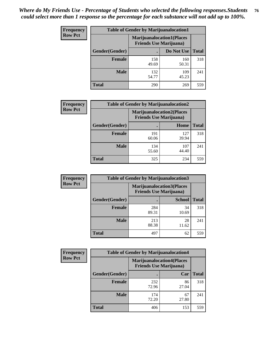| <b>Frequency</b> | <b>Table of Gender by Marijuanalocation1</b> |                                                                    |              |              |
|------------------|----------------------------------------------|--------------------------------------------------------------------|--------------|--------------|
| <b>Row Pct</b>   |                                              | <b>Marijuanalocation1(Places</b><br><b>Friends Use Marijuana</b> ) |              |              |
|                  | Gender(Gender)                               |                                                                    | Do Not Use   | <b>Total</b> |
|                  | <b>Female</b>                                | 158<br>49.69                                                       | 160<br>50.31 | 318          |
|                  | <b>Male</b>                                  | 132<br>54.77                                                       | 109<br>45.23 | 241          |
|                  | <b>Total</b>                                 | 290                                                                | 269          | 559          |

| <b>Frequency</b> | <b>Table of Gender by Marijuanalocation2</b> |                                                                    |              |              |
|------------------|----------------------------------------------|--------------------------------------------------------------------|--------------|--------------|
| <b>Row Pct</b>   |                                              | <b>Marijuanalocation2(Places</b><br><b>Friends Use Marijuana</b> ) |              |              |
|                  | Gender(Gender)                               |                                                                    | Home         | <b>Total</b> |
|                  | Female                                       | 191<br>60.06                                                       | 127<br>39.94 | 318          |
|                  | <b>Male</b>                                  | 134<br>55.60                                                       | 107<br>44.40 | 241          |
|                  | <b>Total</b>                                 | 325                                                                | 234          | 559          |

| Frequency      | <b>Table of Gender by Marijuanalocation3</b> |                                                                    |               |              |
|----------------|----------------------------------------------|--------------------------------------------------------------------|---------------|--------------|
| <b>Row Pct</b> |                                              | <b>Marijuanalocation3(Places</b><br><b>Friends Use Marijuana</b> ) |               |              |
|                | Gender(Gender)                               |                                                                    | <b>School</b> | <b>Total</b> |
|                | Female                                       | 284<br>89.31                                                       | 34<br>10.69   | 318          |
|                | <b>Male</b>                                  | 213<br>88.38                                                       | 28<br>11.62   | 241          |
|                | <b>Total</b>                                 | 497                                                                | 62            | 559          |

| <b>Frequency</b> |                | <b>Table of Gender by Marijuanalocation4</b> |                                  |              |
|------------------|----------------|----------------------------------------------|----------------------------------|--------------|
| <b>Row Pct</b>   |                | <b>Friends Use Marijuana</b> )               | <b>Marijuanalocation4(Places</b> |              |
|                  | Gender(Gender) |                                              | Car                              | <b>Total</b> |
|                  | <b>Female</b>  | 232<br>72.96                                 | 86<br>27.04                      | 318          |
|                  | <b>Male</b>    | 174<br>72.20                                 | 67<br>27.80                      | 241          |
|                  | <b>Total</b>   | 406                                          | 153                              | 559          |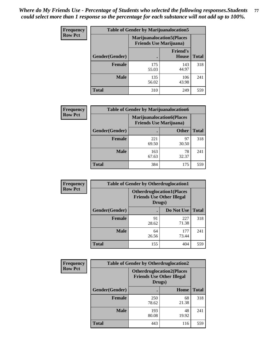| <b>Frequency</b> | <b>Table of Gender by Marijuanalocation5</b> |                                                                    |                                 |              |
|------------------|----------------------------------------------|--------------------------------------------------------------------|---------------------------------|--------------|
| <b>Row Pct</b>   |                                              | <b>Marijuanalocation5(Places</b><br><b>Friends Use Marijuana</b> ) |                                 |              |
|                  | Gender(Gender)                               |                                                                    | <b>Friend's</b><br><b>House</b> | <b>Total</b> |
|                  | <b>Female</b>                                | 175<br>55.03                                                       | 143<br>44.97                    | 318          |
|                  | <b>Male</b>                                  | 135<br>56.02                                                       | 106<br>43.98                    | 241          |
|                  | <b>Total</b>                                 | 310                                                                | 249                             | 559          |

| <b>Frequency</b> | <b>Table of Gender by Marijuanalocation6</b> |                                                                    |              |              |
|------------------|----------------------------------------------|--------------------------------------------------------------------|--------------|--------------|
| <b>Row Pct</b>   |                                              | <b>Marijuanalocation6(Places</b><br><b>Friends Use Marijuana</b> ) |              |              |
|                  | Gender(Gender)                               |                                                                    | <b>Other</b> | <b>Total</b> |
|                  | <b>Female</b>                                | 221<br>69.50                                                       | 97<br>30.50  | 318          |
|                  | <b>Male</b>                                  | 163<br>67.63                                                       | 78<br>32.37  | 241          |
|                  | <b>Total</b>                                 | 384                                                                | 175          | 559          |

| <b>Frequency</b> | <b>Table of Gender by Otherdruglocation1</b> |                                                                                |              |              |
|------------------|----------------------------------------------|--------------------------------------------------------------------------------|--------------|--------------|
| <b>Row Pct</b>   |                                              | <b>Otherdruglocation1(Places</b><br><b>Friends Use Other Illegal</b><br>Drugs) |              |              |
|                  | Gender(Gender)                               |                                                                                | Do Not Use   | <b>Total</b> |
|                  | <b>Female</b>                                | 91<br>28.62                                                                    | 227<br>71.38 | 318          |
|                  | <b>Male</b>                                  | 64<br>26.56                                                                    | 177<br>73.44 | 241          |
|                  | <b>Total</b>                                 | 155                                                                            | 404          | 559          |

| <b>Frequency</b> | <b>Table of Gender by Otherdruglocation2</b> |                                            |                                   |              |
|------------------|----------------------------------------------|--------------------------------------------|-----------------------------------|--------------|
| <b>Row Pct</b>   |                                              | <b>Friends Use Other Illegal</b><br>Drugs) | <b>Otherdruglocation2(Places)</b> |              |
|                  | Gender(Gender)                               |                                            | <b>Home</b>                       | <b>Total</b> |
|                  | Female                                       | 250<br>78.62                               | 68<br>21.38                       | 318          |
|                  | <b>Male</b>                                  | 193<br>80.08                               | 48<br>19.92                       | 241          |
|                  | <b>Total</b>                                 | 443                                        | 116                               | 559          |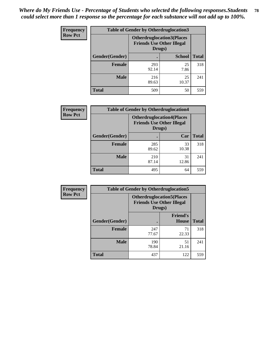| Frequency      | <b>Table of Gender by Otherdruglocation3</b> |                                                                                |               |              |
|----------------|----------------------------------------------|--------------------------------------------------------------------------------|---------------|--------------|
| <b>Row Pct</b> |                                              | <b>Otherdruglocation3(Places</b><br><b>Friends Use Other Illegal</b><br>Drugs) |               |              |
|                | Gender(Gender)                               |                                                                                | <b>School</b> | <b>Total</b> |
|                | Female                                       | 293<br>92.14                                                                   | 25<br>7.86    | 318          |
|                | <b>Male</b>                                  | 216<br>89.63                                                                   | 25<br>10.37   | 241          |
|                | <b>Total</b>                                 | 509                                                                            | 50            | 559          |

| Frequency      | <b>Table of Gender by Otherdruglocation4</b> |                                                                                |             |              |
|----------------|----------------------------------------------|--------------------------------------------------------------------------------|-------------|--------------|
| <b>Row Pct</b> |                                              | <b>Otherdruglocation4(Places</b><br><b>Friends Use Other Illegal</b><br>Drugs) |             |              |
|                | Gender(Gender)                               |                                                                                | Car         | <b>Total</b> |
|                | <b>Female</b>                                | 285<br>89.62                                                                   | 33<br>10.38 | 318          |
|                | <b>Male</b>                                  | 210<br>87.14                                                                   | 31<br>12.86 | 241          |
|                | <b>Total</b>                                 | 495                                                                            | 64          | 559          |

| Frequency      | <b>Table of Gender by Otherdruglocation5</b> |              |                                                                      |              |
|----------------|----------------------------------------------|--------------|----------------------------------------------------------------------|--------------|
| <b>Row Pct</b> |                                              | Drugs)       | <b>Otherdruglocation5(Places</b><br><b>Friends Use Other Illegal</b> |              |
|                | Gender(Gender)                               |              | <b>Friend's</b><br><b>House</b>                                      | <b>Total</b> |
|                | <b>Female</b>                                | 247<br>77.67 | 71<br>22.33                                                          | 318          |
|                | <b>Male</b>                                  | 190<br>78.84 | 51<br>21.16                                                          | 241          |
|                | <b>Total</b>                                 | 437          | 122                                                                  | 559          |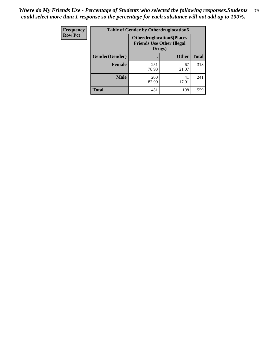| <b>Frequency</b> | <b>Table of Gender by Otherdruglocation6</b> |                                            |                                  |              |
|------------------|----------------------------------------------|--------------------------------------------|----------------------------------|--------------|
| <b>Row Pct</b>   |                                              | <b>Friends Use Other Illegal</b><br>Drugs) | <b>Otherdruglocation6(Places</b> |              |
|                  | Gender(Gender)                               |                                            | <b>Other</b>                     | <b>Total</b> |
|                  | <b>Female</b>                                | 251<br>78.93                               | 67<br>21.07                      | 318          |
|                  | <b>Male</b>                                  | 200<br>82.99                               | 41<br>17.01                      | 241          |
|                  | <b>Total</b>                                 | 451                                        | 108                              | 559          |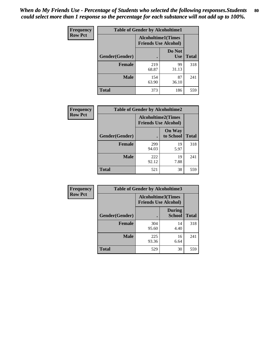| <b>Frequency</b> | <b>Table of Gender by Alcoholtime1</b> |                                                          |                      |              |
|------------------|----------------------------------------|----------------------------------------------------------|----------------------|--------------|
| <b>Row Pct</b>   |                                        | <b>Alcoholtime1(Times</b><br><b>Friends Use Alcohol)</b> |                      |              |
|                  | Gender(Gender)                         | ٠                                                        | Do Not<br><b>Use</b> | <b>Total</b> |
|                  | <b>Female</b>                          | 219<br>68.87                                             | 99<br>31.13          | 318          |
|                  | <b>Male</b>                            | 154<br>63.90                                             | 87<br>36.10          | 241          |
|                  | <b>Total</b>                           | 373                                                      | 186                  | 559          |

| <b>Frequency</b> | <b>Table of Gender by Alcoholtime2</b> |                                                          |                            |              |
|------------------|----------------------------------------|----------------------------------------------------------|----------------------------|--------------|
| <b>Row Pct</b>   |                                        | <b>Alcoholtime2(Times</b><br><b>Friends Use Alcohol)</b> |                            |              |
|                  | Gender(Gender)                         |                                                          | <b>On Way</b><br>to School | <b>Total</b> |
|                  | <b>Female</b>                          | 299<br>94.03                                             | 19<br>5.97                 | 318          |
|                  | <b>Male</b>                            | 222<br>92.12                                             | 19<br>7.88                 | 241          |
|                  | <b>Total</b>                           | 521                                                      | 38                         | 559          |

| <b>Frequency</b> | <b>Table of Gender by Alcoholtime3</b> |                                                          |                                |              |
|------------------|----------------------------------------|----------------------------------------------------------|--------------------------------|--------------|
| <b>Row Pct</b>   |                                        | <b>Alcoholtime3(Times</b><br><b>Friends Use Alcohol)</b> |                                |              |
|                  | Gender(Gender)                         |                                                          | <b>During</b><br><b>School</b> | <b>Total</b> |
|                  | Female                                 | 304<br>95.60                                             | 14<br>4.40                     | 318          |
|                  | <b>Male</b>                            | 225<br>93.36                                             | 16<br>6.64                     | 241          |
|                  | <b>Total</b>                           | 529                                                      | 30                             | 559          |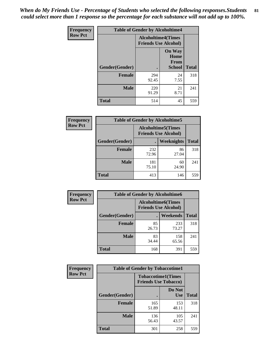*When do My Friends Use - Percentage of Students who selected the following responses.Students could select more than 1 response so the percentage for each substance will not add up to 100%.* **81**

| <b>Frequency</b> | <b>Table of Gender by Alcoholtime4</b> |                                                          |                                                       |              |
|------------------|----------------------------------------|----------------------------------------------------------|-------------------------------------------------------|--------------|
| <b>Row Pct</b>   |                                        | <b>Alcoholtime4(Times</b><br><b>Friends Use Alcohol)</b> |                                                       |              |
|                  | Gender(Gender)                         |                                                          | <b>On Way</b><br>Home<br><b>From</b><br><b>School</b> | <b>Total</b> |
|                  | <b>Female</b>                          | 294<br>92.45                                             | 24<br>7.55                                            | 318          |
|                  | <b>Male</b>                            | 220<br>91.29                                             | 21<br>8.71                                            | 241          |
|                  | <b>Total</b>                           | 514                                                      | 45                                                    | 559          |

| <b>Frequency</b> | <b>Table of Gender by Alcoholtime5</b> |                                                           |             |              |
|------------------|----------------------------------------|-----------------------------------------------------------|-------------|--------------|
| <b>Row Pct</b>   |                                        | <b>Alcoholtime5</b> (Times<br><b>Friends Use Alcohol)</b> |             |              |
|                  | Gender(Gender)                         |                                                           | Weeknights  | <b>Total</b> |
|                  | <b>Female</b>                          | 232<br>72.96                                              | 86<br>27.04 | 318          |
|                  | <b>Male</b>                            | 181<br>75.10                                              | 60<br>24.90 | 241          |
|                  | <b>Total</b>                           | 413                                                       | 146         | 559          |

| <b>Frequency</b> | <b>Table of Gender by Alcoholtime6</b> |             |                                                          |              |
|------------------|----------------------------------------|-------------|----------------------------------------------------------|--------------|
| <b>Row Pct</b>   |                                        |             | <b>Alcoholtime6(Times</b><br><b>Friends Use Alcohol)</b> |              |
|                  | Gender(Gender)                         |             | Weekends                                                 | <b>Total</b> |
|                  | Female                                 | 85<br>26.73 | 233<br>73.27                                             | 318          |
|                  | <b>Male</b>                            | 83<br>34.44 | 158<br>65.56                                             | 241          |
|                  | <b>Total</b>                           | 168         | 391                                                      | 559          |

| Frequency      | <b>Table of Gender by Tobaccotime1</b> |                                                          |                      |              |
|----------------|----------------------------------------|----------------------------------------------------------|----------------------|--------------|
| <b>Row Pct</b> |                                        | <b>Tobaccotime1(Times</b><br><b>Friends Use Tobacco)</b> |                      |              |
|                | Gender(Gender)                         |                                                          | Do Not<br><b>Use</b> | <b>Total</b> |
|                | <b>Female</b>                          | 165<br>51.89                                             | 153<br>48.11         | 318          |
|                | <b>Male</b>                            | 136<br>56.43                                             | 105<br>43.57         | 241          |
|                | <b>Total</b>                           | 301                                                      | 258                  | 559          |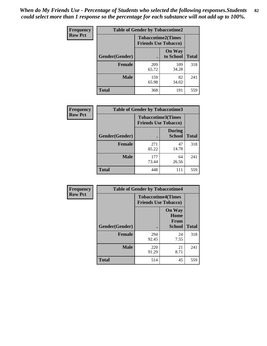| <b>Frequency</b> | <b>Table of Gender by Tobaccotime2</b> |                             |                            |              |
|------------------|----------------------------------------|-----------------------------|----------------------------|--------------|
| <b>Row Pct</b>   |                                        | <b>Friends Use Tobacco)</b> | <b>Tobaccotime2(Times</b>  |              |
|                  | Gender(Gender)                         |                             | <b>On Way</b><br>to School | <b>Total</b> |
|                  | <b>Female</b>                          | 209<br>65.72                | 109<br>34.28               | 318          |
|                  | <b>Male</b>                            | 159<br>65.98                | 82<br>34.02                | 241          |
|                  | <b>Total</b>                           | 368                         | 191                        | 559          |

| <b>Frequency</b> | <b>Table of Gender by Tobaccotime3</b> |                                                          |                                |              |
|------------------|----------------------------------------|----------------------------------------------------------|--------------------------------|--------------|
| <b>Row Pct</b>   |                                        | <b>Tobaccotime3(Times</b><br><b>Friends Use Tobacco)</b> |                                |              |
|                  | Gender(Gender)                         |                                                          | <b>During</b><br><b>School</b> | <b>Total</b> |
|                  | <b>Female</b>                          | 271<br>85.22                                             | 47<br>14.78                    | 318          |
|                  | <b>Male</b>                            | 177<br>73.44                                             | 64<br>26.56                    | 241          |
|                  | <b>Total</b>                           | 448                                                      | 111                            | 559          |

| <b>Frequency</b> | <b>Table of Gender by Tobaccotime4</b> |                                                          |                                         |              |
|------------------|----------------------------------------|----------------------------------------------------------|-----------------------------------------|--------------|
| <b>Row Pct</b>   |                                        | <b>Tobaccotime4(Times</b><br><b>Friends Use Tobacco)</b> |                                         |              |
|                  | Gender(Gender)                         |                                                          | <b>On Way</b><br>Home<br>From<br>School | <b>Total</b> |
|                  | <b>Female</b>                          | 294<br>92.45                                             | 24<br>7.55                              | 318          |
|                  | <b>Male</b>                            | 220<br>91.29                                             | 21<br>8.71                              | 241          |
|                  | <b>Total</b>                           | 514                                                      | 45                                      | 559          |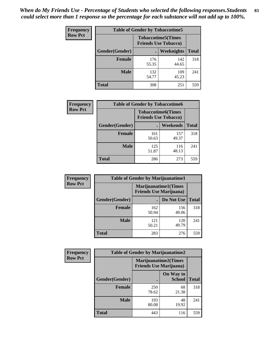| <b>Frequency</b> | <b>Table of Gender by Tobaccotime5</b> |              |                                                          |              |  |
|------------------|----------------------------------------|--------------|----------------------------------------------------------|--------------|--|
| <b>Row Pct</b>   |                                        |              | <b>Tobaccotime5(Times</b><br><b>Friends Use Tobacco)</b> |              |  |
|                  | Gender(Gender)                         |              | <b>Weeknights</b>                                        | <b>Total</b> |  |
|                  | <b>Female</b>                          | 176<br>55.35 | 142<br>44.65                                             | 318          |  |
|                  | <b>Male</b>                            | 132<br>54.77 | 109<br>45.23                                             | 241          |  |
|                  | Total                                  | 308          | 251                                                      | 559          |  |

| Frequency      | <b>Table of Gender by Tobaccotime6</b> |                                                          |                 |              |
|----------------|----------------------------------------|----------------------------------------------------------|-----------------|--------------|
| <b>Row Pct</b> |                                        | <b>Tobaccotime6(Times</b><br><b>Friends Use Tobacco)</b> |                 |              |
|                | Gender(Gender)                         |                                                          | <b>Weekends</b> | <b>Total</b> |
|                | Female                                 | 161<br>50.63                                             | 157<br>49.37    | 318          |
|                | <b>Male</b>                            | 125<br>51.87                                             | 116<br>48.13    | 241          |
|                | <b>Total</b>                           | 286                                                      | 273             | 559          |

| <b>Frequency</b> | <b>Table of Gender by Marijuanatime1</b> |                                                               |              |              |  |
|------------------|------------------------------------------|---------------------------------------------------------------|--------------|--------------|--|
| <b>Row Pct</b>   |                                          | <b>Marijuanatime1(Times</b><br><b>Friends Use Marijuana</b> ) |              |              |  |
|                  | Gender(Gender)                           |                                                               | Do Not Use   | <b>Total</b> |  |
|                  | <b>Female</b>                            | 162<br>50.94                                                  | 156<br>49.06 | 318          |  |
|                  | <b>Male</b>                              | 121<br>50.21                                                  | 120<br>49.79 | 241          |  |
|                  | <b>Total</b>                             | 283                                                           | 276          | 559          |  |

| <b>Frequency</b> | <b>Table of Gender by Marijuanatime2</b> |                                                               |                            |              |
|------------------|------------------------------------------|---------------------------------------------------------------|----------------------------|--------------|
| <b>Row Pct</b>   |                                          | <b>Marijuanatime2(Times</b><br><b>Friends Use Marijuana</b> ) |                            |              |
|                  | Gender(Gender)                           |                                                               | On Way to<br><b>School</b> | <b>Total</b> |
|                  | Female                                   | 250<br>78.62                                                  | 68<br>21.38                | 318          |
|                  | <b>Male</b>                              | 193<br>80.08                                                  | 48<br>19.92                | 241          |
|                  | <b>Total</b>                             | 443                                                           | 116                        | 559          |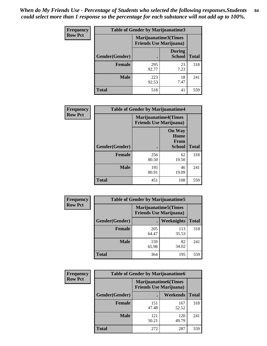*When do My Friends Use - Percentage of Students who selected the following responses.Students could select more than 1 response so the percentage for each substance will not add up to 100%.* **84**

| <b>Frequency</b> | Table of Gender by Marijuanatime3 |                                                        |                                |              |
|------------------|-----------------------------------|--------------------------------------------------------|--------------------------------|--------------|
| <b>Row Pct</b>   |                                   | Marijuanatime3(Times<br><b>Friends Use Marijuana</b> ) |                                |              |
|                  | Gender(Gender)                    |                                                        | <b>During</b><br><b>School</b> | <b>Total</b> |
|                  | <b>Female</b>                     | 295<br>92.77                                           | 23<br>7.23                     | 318          |
|                  | <b>Male</b>                       | 223<br>92.53                                           | 18<br>7.47                     | 241          |
|                  | <b>Total</b>                      | 518                                                    | 41                             | 559          |

| Frequency      | <b>Table of Gender by Marijuanatime4</b> |                                |                                                |              |
|----------------|------------------------------------------|--------------------------------|------------------------------------------------|--------------|
| <b>Row Pct</b> |                                          | <b>Friends Use Marijuana</b> ) | <b>Marijuanatime4</b> (Times                   |              |
|                | Gender(Gender)                           |                                | <b>On Way</b><br>Home<br>From<br><b>School</b> | <b>Total</b> |
|                | <b>Female</b>                            | 256<br>80.50                   | 62<br>19.50                                    | 318          |
|                | <b>Male</b>                              | 195<br>80.91                   | 46<br>19.09                                    | 241          |
|                | <b>Total</b>                             | 451                            | 108                                            | 559          |

| Frequency      | <b>Table of Gender by Marijuanatime5</b> |              |                                                                |              |  |
|----------------|------------------------------------------|--------------|----------------------------------------------------------------|--------------|--|
| <b>Row Pct</b> |                                          |              | <b>Marijuanatime5</b> (Times<br><b>Friends Use Marijuana</b> ) |              |  |
|                | Gender(Gender)                           |              | Weeknights                                                     | <b>Total</b> |  |
|                | <b>Female</b>                            | 205<br>64.47 | 113<br>35.53                                                   | 318          |  |
|                | <b>Male</b>                              | 159<br>65.98 | 82<br>34.02                                                    | 241          |  |
|                | <b>Total</b>                             | 364          | 195                                                            | 559          |  |

| <b>Frequency</b> | <b>Table of Gender by Marijuanatime6</b> |                                                               |                 |              |
|------------------|------------------------------------------|---------------------------------------------------------------|-----------------|--------------|
| <b>Row Pct</b>   |                                          | <b>Marijuanatime6(Times</b><br><b>Friends Use Marijuana</b> ) |                 |              |
|                  | Gender(Gender)                           |                                                               | <b>Weekends</b> | <b>Total</b> |
|                  | <b>Female</b>                            | 151<br>47.48                                                  | 167<br>52.52    | 318          |
|                  | <b>Male</b>                              | 121<br>50.21                                                  | 120<br>49.79    | 241          |
|                  | <b>Total</b>                             | 272                                                           | 287             | 559          |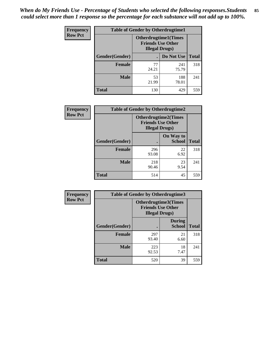*When do My Friends Use - Percentage of Students who selected the following responses.Students could select more than 1 response so the percentage for each substance will not add up to 100%.* **85**

| <b>Frequency</b> | <b>Table of Gender by Otherdrugtime1</b> |                                                                                    |              |              |  |
|------------------|------------------------------------------|------------------------------------------------------------------------------------|--------------|--------------|--|
| <b>Row Pct</b>   |                                          | <b>Otherdrugtime1</b> (Times<br><b>Friends Use Other</b><br><b>Illegal Drugs</b> ) |              |              |  |
|                  | Gender(Gender)                           |                                                                                    | Do Not Use   | <b>Total</b> |  |
|                  | <b>Female</b>                            | 77<br>24.21                                                                        | 241<br>75.79 | 318          |  |
|                  | <b>Male</b>                              | 53<br>21.99                                                                        | 188<br>78.01 | 241          |  |
|                  | <b>Total</b>                             | 130                                                                                | 429          | 559          |  |

| Frequency      | <b>Table of Gender by Otherdrugtime2</b> |                        |                                                         |              |
|----------------|------------------------------------------|------------------------|---------------------------------------------------------|--------------|
| <b>Row Pct</b> |                                          | <b>Illegal Drugs</b> ) | <b>Otherdrugtime2(Times</b><br><b>Friends Use Other</b> |              |
|                | <b>Gender</b> (Gender)                   |                        | On Way to<br><b>School</b>                              | <b>Total</b> |
|                | <b>Female</b>                            | 296<br>93.08           | 22<br>6.92                                              | 318          |
|                | <b>Male</b>                              | 218<br>90.46           | 23<br>9.54                                              | 241          |
|                | <b>Total</b>                             | 514                    | 45                                                      | 559          |

| Frequency      | <b>Table of Gender by Otherdrugtime3</b> |                        |                                                  |              |
|----------------|------------------------------------------|------------------------|--------------------------------------------------|--------------|
| <b>Row Pct</b> |                                          | <b>Illegal Drugs</b> ) | Otherdrugtime3(Times<br><b>Friends Use Other</b> |              |
|                | Gender(Gender)                           |                        | <b>During</b><br><b>School</b>                   | <b>Total</b> |
|                | <b>Female</b>                            | 297<br>93.40           | 21<br>6.60                                       | 318          |
|                | <b>Male</b>                              | 223<br>92.53           | 18<br>7.47                                       | 241          |
|                | <b>Total</b>                             | 520                    | 39                                               | 559          |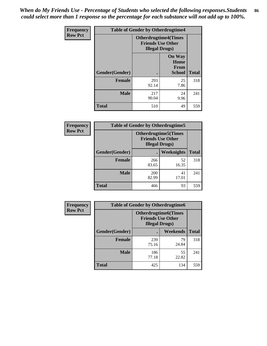*When do My Friends Use - Percentage of Students who selected the following responses.Students could select more than 1 response so the percentage for each substance will not add up to 100%.* **86**

| <b>Frequency</b> | <b>Table of Gender by Otherdrugtime4</b> |                                                    |                                                       |              |
|------------------|------------------------------------------|----------------------------------------------------|-------------------------------------------------------|--------------|
| <b>Row Pct</b>   |                                          | <b>Friends Use Other</b><br><b>Illegal Drugs</b> ) | <b>Otherdrugtime4(Times</b>                           |              |
|                  | Gender(Gender)                           |                                                    | <b>On Way</b><br>Home<br><b>From</b><br><b>School</b> | <b>Total</b> |
|                  | <b>Female</b>                            | 293<br>92.14                                       | 25<br>7.86                                            | 318          |
|                  | <b>Male</b>                              | 217<br>90.04                                       | 24<br>9.96                                            | 241          |
|                  | <b>Total</b>                             | 510                                                | 49                                                    | 559          |

| Frequency      | <b>Table of Gender by Otherdrugtime5</b> |                                                                                    |             |              |
|----------------|------------------------------------------|------------------------------------------------------------------------------------|-------------|--------------|
| <b>Row Pct</b> |                                          | <b>Otherdrugtime5</b> (Times<br><b>Friends Use Other</b><br><b>Illegal Drugs</b> ) |             |              |
|                | Gender(Gender)                           |                                                                                    | Weeknights  | <b>Total</b> |
|                | <b>Female</b>                            | 266<br>83.65                                                                       | 52<br>16.35 | 318          |
|                | <b>Male</b>                              | 200<br>82.99                                                                       | 41<br>17.01 | 241          |
|                | <b>Total</b>                             | 466                                                                                | 93          | 559          |

| <b>Frequency</b> | <b>Table of Gender by Otherdrugtime6</b> |                                                                                   |             |              |
|------------------|------------------------------------------|-----------------------------------------------------------------------------------|-------------|--------------|
| <b>Row Pct</b>   |                                          | <b>Otherdrugtime6(Times</b><br><b>Friends Use Other</b><br><b>Illegal Drugs</b> ) |             |              |
|                  | Gender(Gender)                           |                                                                                   | Weekends    | <b>Total</b> |
|                  | <b>Female</b>                            | 239<br>75.16                                                                      | 79<br>24.84 | 318          |
|                  | <b>Male</b>                              | 186<br>77.18                                                                      | 55<br>22.82 | 241          |
|                  | <b>Total</b>                             | 425                                                                               | 134         | 559          |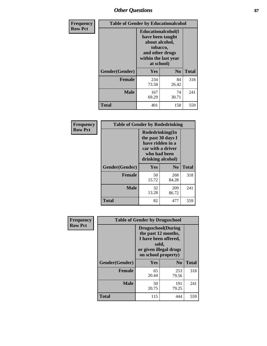# *Other Questions* **87**

| <b>Frequency</b> | <b>Table of Gender by Educationalcohol</b> |                                                                                                                                       |                |              |  |
|------------------|--------------------------------------------|---------------------------------------------------------------------------------------------------------------------------------------|----------------|--------------|--|
| <b>Row Pct</b>   |                                            | <b>Educationalcohol</b> (I<br>have been taught<br>about alcohol,<br>tobacco,<br>and other drugs<br>within the last year<br>at school) |                |              |  |
|                  | Gender(Gender)                             | <b>Yes</b>                                                                                                                            | N <sub>0</sub> | <b>Total</b> |  |
|                  | <b>Female</b>                              | 234<br>73.58                                                                                                                          | 84<br>26.42    | 318          |  |
|                  | <b>Male</b>                                | 167<br>69.29                                                                                                                          | 74<br>30.71    | 241          |  |
|                  | <b>Total</b>                               | 401                                                                                                                                   | 158            | 559          |  |

| Frequency      | <b>Table of Gender by Rodedrinking</b> |                                                                                                                     |                |              |  |
|----------------|----------------------------------------|---------------------------------------------------------------------------------------------------------------------|----------------|--------------|--|
| <b>Row Pct</b> |                                        | Rodedrinking(In<br>the past 30 days I<br>have ridden in a<br>car with a driver<br>who had been<br>drinking alcohol) |                |              |  |
|                | Gender(Gender)                         | Yes                                                                                                                 | N <sub>0</sub> | <b>Total</b> |  |
|                | <b>Female</b>                          | 50<br>15.72                                                                                                         | 268<br>84.28   | 318          |  |
|                | <b>Male</b>                            | 32<br>13.28                                                                                                         | 209<br>86.72   | 241          |  |
|                | <b>Total</b>                           | 82                                                                                                                  | 477            | 559          |  |

| Frequency      | <b>Table of Gender by Drugsschool</b> |                                                                                                                                     |                |              |  |
|----------------|---------------------------------------|-------------------------------------------------------------------------------------------------------------------------------------|----------------|--------------|--|
| <b>Row Pct</b> |                                       | <b>Drugsschool</b> (During<br>the past 12 months,<br>I have been offered,<br>sold,<br>or given illegal drugs<br>on school property) |                |              |  |
|                | Gender(Gender)                        | <b>Yes</b>                                                                                                                          | N <sub>0</sub> | <b>Total</b> |  |
|                | <b>Female</b>                         | 65<br>20.44                                                                                                                         | 253<br>79.56   | 318          |  |
|                | <b>Male</b>                           | 50<br>20.75                                                                                                                         | 191<br>79.25   | 241          |  |
|                | <b>Total</b>                          | 115                                                                                                                                 | 444            | 559          |  |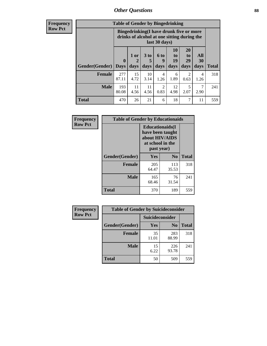# *Other Questions* **88**

**Frequency Row Pct**

| <b>Table of Gender by Bingedrinking</b> |                            |                                                                                                         |                   |                        |                        |                               |                   |              |
|-----------------------------------------|----------------------------|---------------------------------------------------------------------------------------------------------|-------------------|------------------------|------------------------|-------------------------------|-------------------|--------------|
|                                         |                            | Bingedrinking(I have drunk five or more<br>drinks of alcohol at one sitting during the<br>last 30 days) |                   |                        |                        |                               |                   |              |
| <b>Gender</b> (Gender)                  | $\mathbf 0$<br><b>Days</b> | 1 or<br>days                                                                                            | 3 to<br>5<br>days | 6 to<br>9<br>days      | 10<br>to<br>19<br>days | <b>20</b><br>to<br>29<br>days | All<br>30<br>days | <b>Total</b> |
| Female                                  | 277<br>87.11               | 15<br>4.72                                                                                              | 10<br>3.14        | 4<br>1.26              | 6<br>1.89              | 2<br>0.63                     | 4<br>1.26         | 318          |
| <b>Male</b>                             | 193<br>80.08               | 11<br>4.56                                                                                              | 11<br>4.56        | $\overline{2}$<br>0.83 | 12<br>4.98             | 5<br>2.07                     | 7<br>2.90         | 241          |
| <b>Total</b>                            | 470                        | 26                                                                                                      | 21                | 6                      | 18                     | 7                             | 11                | 559          |

| Frequency      | <b>Table of Gender by Educationaids</b> |                                                                                                 |                |              |  |
|----------------|-----------------------------------------|-------------------------------------------------------------------------------------------------|----------------|--------------|--|
| <b>Row Pct</b> |                                         | <b>Educationaids</b> (I<br>have been taught<br>about HIV/AIDS<br>at school in the<br>past year) |                |              |  |
|                | Gender(Gender)                          | Yes                                                                                             | N <sub>0</sub> | <b>Total</b> |  |
|                | <b>Female</b>                           | 205<br>64.47                                                                                    | 113<br>35.53   | 318          |  |
|                | <b>Male</b>                             | 165<br>68.46                                                                                    | 76<br>31.54    | 241          |  |
|                | <b>Total</b>                            | 370                                                                                             | 189            | 559          |  |

| <b>Frequency</b> | <b>Table of Gender by Suicideconsider</b> |                 |                |              |
|------------------|-------------------------------------------|-----------------|----------------|--------------|
| <b>Row Pct</b>   |                                           | Suicideconsider |                |              |
|                  | Gender(Gender)                            | Yes             | N <sub>0</sub> | <b>Total</b> |
|                  | <b>Female</b>                             | 35<br>11.01     | 283<br>88.99   | 318          |
|                  | <b>Male</b>                               | 15<br>6.22      | 226<br>93.78   | 241          |
|                  | <b>Total</b>                              | 50              | 509            | 559          |